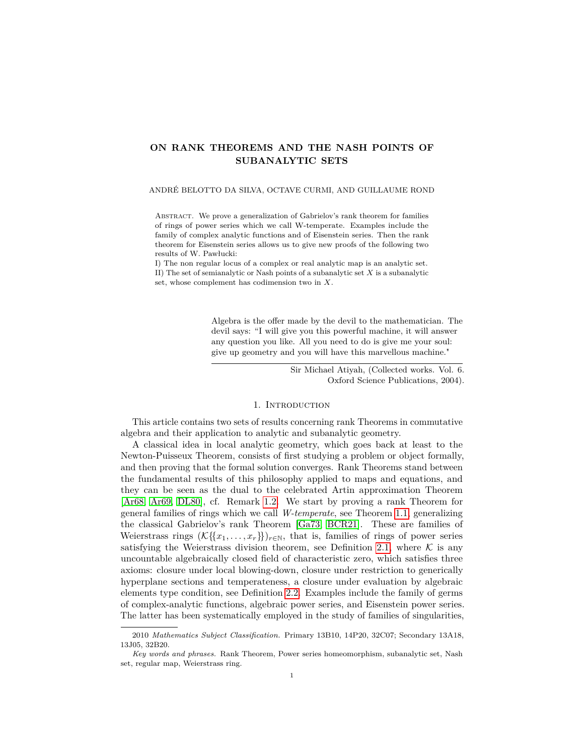# **ON RANK THEOREMS AND THE NASH POINTS OF SUBANALYTIC SETS**

#### ANDRÉ BELOTTO DA SILVA, OCTAVE CURMI, AND GUILLAUME ROND

ABSTRACT. We prove a generalization of Gabrielov's rank theorem for families of rings of power series which we call W-temperate. Examples include the family of complex analytic functions and of Eisenstein series. Then the rank theorem for Eisenstein series allows us to give new proofs of the following two results of W. Pawłucki:

I) The non regular locus of a complex or real analytic map is an analytic set. II) The set of semianalytic or Nash points of a subanalytic set *X* is a subanalytic set, whose complement has codimension two in *X*.

> Algebra is the offer made by the devil to the mathematician. The devil says: "I will give you this powerful machine, it will answer any question you like. All you need to do is give me your soul: give up geometry and you will have this marvellous machine."

> > Sir Michael Atiyah, (Collected works. Vol. 6. Oxford Science Publications, 2004).

#### 1. Introduction

This article contains two sets of results concerning rank Theorems in commutative algebra and their application to analytic and subanalytic geometry.

A classical idea in local analytic geometry, which goes back at least to the Newton-Puisseux Theorem, consists of first studying a problem or object formally, and then proving that the formal solution converges. Rank Theorems stand between the fundamental results of this philosophy applied to maps and equations, and they can be seen as the dual to the celebrated Artin approximation Theorem [\[Ar68,](#page-47-0) [Ar69,](#page-47-1) [DL80\]](#page-48-0), cf. Remark [1.2.](#page-2-0) We start by proving a rank Theorem for general families of rings which we call *W-temperate*, see Theorem [1.1,](#page-1-0) generalizing the classical Gabrielov's rank Theorem [\[Ga73,](#page-48-1) [BCR21\]](#page-48-2). These are families of Weierstrass rings  $(\mathcal{K}\{\{x_1,\ldots,x_r\}\}_{r\in\mathbb{N}}$ , that is, families of rings of power series satisfying the Weierstrass division theorem, see Definition [2.1,](#page-4-0) where  $K$  is any uncountable algebraically closed field of characteristic zero, which satisfies three axioms: closure under local blowing-down, closure under restriction to generically hyperplane sections and temperateness, a closure under evaluation by algebraic elements type condition, see Definition [2.2.](#page-5-0) Examples include the family of germs of complex-analytic functions, algebraic power series, and Eisenstein power series. The latter has been systematically employed in the study of families of singularities,

<sup>2010</sup> *Mathematics Subject Classification.* Primary 13B10, 14P20, 32C07; Secondary 13A18, 13J05, 32B20.

*Key words and phrases.* Rank Theorem, Power series homeomorphism, subanalytic set, Nash set, regular map, Weierstrass ring.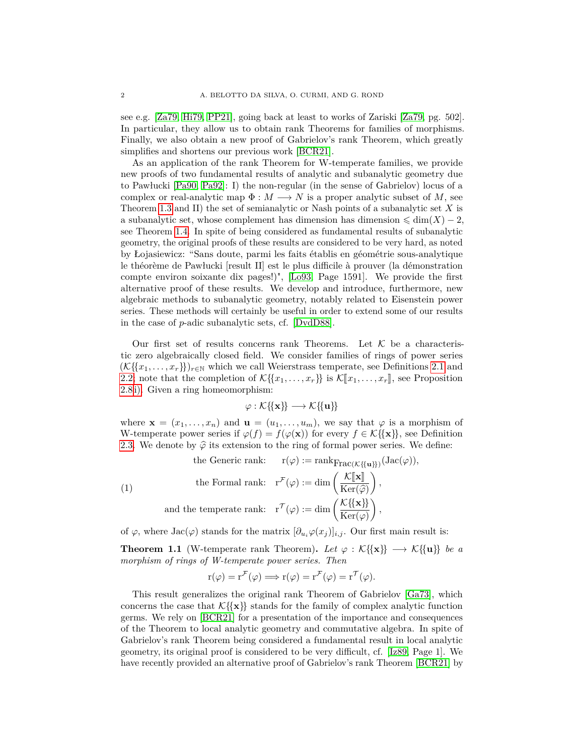see e.g. [\[Za79,](#page-49-0) [Hi79,](#page-48-3) [PP21\]](#page-49-1), going back at least to works of Zariski [\[Za79,](#page-49-0) pg. 502]. In particular, they allow us to obtain rank Theorems for families of morphisms. Finally, we also obtain a new proof of Gabrielov's rank Theorem, which greatly simplifies and shortens our previous work [\[BCR21\]](#page-48-2).

As an application of the rank Theorem for W-temperate families, we provide new proofs of two fundamental results of analytic and subanalytic geometry due to Pawłucki [\[Pa90,](#page-49-2) [Pa92\]](#page-49-3): I) the non-regular (in the sense of Gabrielov) locus of a complex or real-analytic map  $\Phi : M \longrightarrow N$  is a proper analytic subset of M, see Theorem [1.3](#page-2-1) and II) the set of semianalytic or Nash points of a subanalytic set *X* is a subanalytic set, whose complement has dimension has dimension  $\leq \dim(X) - 2$ , see Theorem [1.4.](#page-3-0) In spite of being considered as fundamental results of subanalytic geometry, the original proofs of these results are considered to be very hard, as noted by Łojasiewicz: "Sans doute, parmi les faits établis en géométrie sous-analytique le théorème de Pawłucki [result II] est le plus difficile à prouver (la démonstration compte environ soixante dix pages!)", [\[Lo93,](#page-48-4) Page 1591]. We provide the first alternative proof of these results. We develop and introduce, furthermore, new algebraic methods to subanalytic geometry, notably related to Eisenstein power series. These methods will certainly be useful in order to extend some of our results in the case of *p*-adic subanalytic sets, cf. [\[DvdD88\]](#page-48-5).

Our first set of results concerns rank Theorems. Let  $K$  be a characteristic zero algebraically closed field. We consider families of rings of power series  $(\mathcal{K}\{\{x_1,\ldots,x_r\}\})_{r\in\mathbb{N}}$  which we call Weierstrass temperate, see Definitions [2.1](#page-4-0) and [2.2;](#page-5-0) note that the completion of  $\mathcal{K}\{\{x_1,\ldots,x_r\}\}\$ is  $\mathcal{K}[\![x_1,\ldots,x_r]\!]$ , see Proposition [2.8](#page-7-0) [i\).](#page-7-1) Given a ring homeomorphism:

$$
\varphi : \mathcal{K}\{\!\{{\bf x}\}\!\} \longrightarrow \mathcal{K}\{\!\{{\bf u}\}\!\}
$$

where  $\mathbf{x} = (x_1, \ldots, x_n)$  and  $\mathbf{u} = (u_1, \ldots, u_m)$ , we say that  $\varphi$  is a morphism of W-temperate power series if  $\varphi(f) = f(\varphi(\mathbf{x}))$  for every  $f \in \mathcal{K} \{\{\mathbf{x}\}\}\)$ , see Definition [2.3.](#page-5-1) We denote by  $\hat{\varphi}$  its extension to the ring of formal power series. We define:

<span id="page-1-1"></span>(1)

\nthe General rank:

\n
$$
r(\varphi) := \text{rank}_{\text{Frac}(K\{\{\mathbf{u}\}\})}(\text{Jac}(\varphi)),
$$
\nthe Formal rank:

\n
$$
r^{\mathcal{F}}(\varphi) := \dim\left(\frac{K[\mathbf{x}]}{\text{Ker}(\varphi)}\right),
$$
\nand the temperature rank:

\n
$$
r^{\mathcal{F}}(\varphi) := \dim\left(\frac{K\{\{\mathbf{x}\}\}}{\text{Ker}(\varphi)}\right),
$$

of  $\varphi$ , where Jac( $\varphi$ ) stands for the matrix  $[\partial_{u_i}\varphi(x_j)]_{i,j}$ . Our first main result is:

<span id="page-1-0"></span>**Theorem 1.1** (W-temperate rank Theorem). Let  $\varphi : \mathcal{K}\{\{x\}\} \longrightarrow \mathcal{K}\{\{u\}\}\$ be a *morphism of rings of W-temperate power series. Then*

$$
r(\varphi) = r^{\mathcal{F}}(\varphi) \Longrightarrow r(\varphi) = r^{\mathcal{F}}(\varphi) = r^{\mathcal{T}}(\varphi).
$$

This result generalizes the original rank Theorem of Gabrielov [\[Ga73\]](#page-48-1), which concerns the case that  $K\{\mathbf{x}\}\$  stands for the family of complex analytic function germs. We rely on [\[BCR21\]](#page-48-2) for a presentation of the importance and consequences of the Theorem to local analytic geometry and commutative algebra. In spite of Gabrielov's rank Theorem being considered a fundamental result in local analytic geometry, its original proof is considered to be very difficult, cf. [\[Iz89,](#page-48-6) Page 1]. We have recently provided an alternative proof of Gabrielov's rank Theorem [\[BCR21\]](#page-48-2) by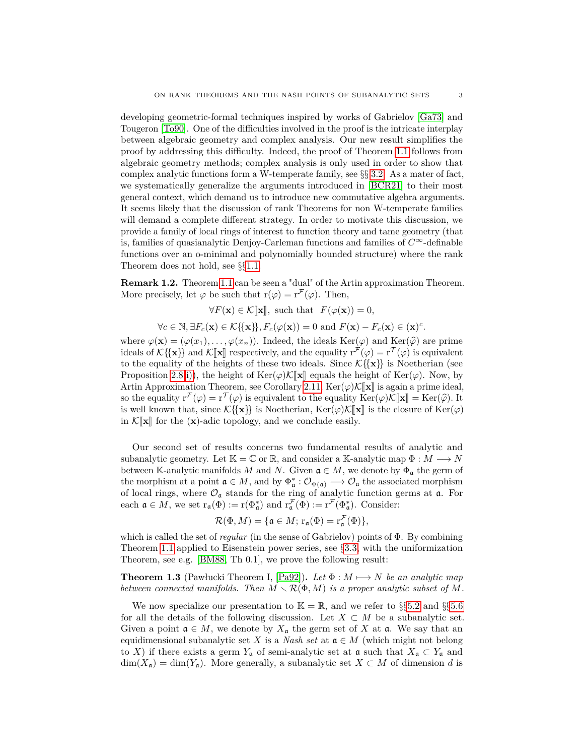developing geometric-formal techniques inspired by works of Gabrielov [\[Ga73\]](#page-48-1) and Tougeron [\[To90\]](#page-49-4). One of the difficulties involved in the proof is the intricate interplay between algebraic geometry and complex analysis. Our new result simplifies the proof by addressing this difficulty. Indeed, the proof of Theorem [1.1](#page-1-0) follows from algebraic geometry methods; complex analysis is only used in order to show that complex analytic functions form a W-temperate family, see §§ [3.2.](#page-11-0) As a mater of fact, we systematically generalize the arguments introduced in [\[BCR21\]](#page-48-2) to their most general context, which demand us to introduce new commutative algebra arguments. It seems likely that the discussion of rank Theorems for non W-temperate families will demand a complete different strategy. In order to motivate this discussion, we provide a family of local rings of interest to function theory and tame geometry (that is, families of quasianalytic Denjoy-Carleman functions and families of *C*∞-definable functions over an o-minimal and polynomially bounded structure) where the rank Theorem does not hold, see §§[1.1.](#page-3-1)

<span id="page-2-0"></span>**Remark 1.2.** Theorem [1.1](#page-1-0) can be seen a "dual" of the Artin approximation Theorem. More precisely, let  $\varphi$  be such that  $r(\varphi) = r^{\mathcal{F}}(\varphi)$ . Then,

$$
\forall F(\mathbf{x}) \in \mathcal{K}[\![\mathbf{x}]\!], \text{ such that } F(\varphi(\mathbf{x})) = 0,
$$

 $\forall c \in \mathbb{N}, \exists F_c(\mathbf{x}) \in \mathcal{K}\{\{\mathbf{x}\}\}, F_c(\varphi(\mathbf{x})) = 0 \text{ and } F(\mathbf{x}) - F_c(\mathbf{x}) \in (\mathbf{x})^c.$ 

where  $\varphi(\mathbf{x}) = (\varphi(x_1), \dots, \varphi(x_n))$ . Indeed, the ideals Ker( $\varphi$ ) and Ker( $\widehat{\varphi}$ ) are prime ideals of  $\mathcal{K}\{\mathbf{x}\}\}\$  and  $\mathcal{K}[\mathbf{x}]$  respectively, and the equality  $r^{\mathcal{F}}(\varphi) = r^{\mathcal{T}}(\varphi)$  is equivalent to the equality of the heights of these two ideals. Since  $\mathcal{K}\{\{\mathbf{x}\}\}\$ is Noetherian (see Proposition [2.8](#page-7-0) [i\)\)](#page-7-1), the height of Ker( $\varphi$ )K $\llbracket \mathbf{x} \rrbracket$  equals the height of Ker( $\varphi$ ). Now, by Artin Approximation Theorem, see Corollary [2.11,](#page-8-0)  $\text{Ker}(\varphi)\mathcal{K}[\![\mathbf{x}]\!]$  is again a prime ideal, so the equality  $\mathbf{r}^{\mathcal{F}}(\varphi) = \mathbf{r}^{\mathcal{T}}(\varphi)$  is equivalent to the equality  $\text{Ker}(\varphi)\mathcal{K}[\![\mathbf{x}]\!] = \text{Ker}(\widehat{\varphi})$ . It is well known that since  $\mathcal{K}^{\{f\}}\mathbf{x}^{\{\}}\}$  is Nootherian.  $\text{Ker}(\varphi)\mathcal{K}[\![\mathbf{x}]\!]$  is well known that, since  $\mathcal{K}\{\{\mathbf{x}\}\}\$ is Noetherian,  $\text{Ker}(\varphi)\mathcal{K}[\![\mathbf{x}]\!]$  is the closure of  $\text{Ker}(\varphi)$ in  $\mathcal{K}[\![\mathbf{x}]\!]$  for the  $(\mathbf{x})$ -adic topology, and we conclude easily.

Our second set of results concerns two fundamental results of analytic and subanalytic geometry. Let  $\mathbb{K} = \mathbb{C}$  or  $\mathbb{R}$ , and consider a K-analytic map  $\Phi : M \longrightarrow N$ between K-analytic manifolds *M* and *N*. Given  $a \in M$ , we denote by  $\Phi_a$  the germ of the morphism at a point  $\mathfrak{a} \in M$ , and by  $\Phi_{\mathfrak{a}}^* : \mathcal{O}_{\Phi(\mathfrak{a})} \longrightarrow \mathcal{O}_{\mathfrak{a}}$  the associated morphism of local rings, where  $\mathcal{O}_\mathfrak{a}$  stands for the ring of analytic function germs at  $\mathfrak{a}$ . For each  $\mathfrak{a} \in M$ , we set  $r_{\mathfrak{a}}(\Phi) := r(\Phi_{\mathfrak{a}}^{*})$  and  $r_{\mathfrak{a}}^{\mathcal{F}}(\Phi) := r^{\mathcal{F}}(\Phi_{\mathfrak{a}}^{*})$ . Consider:

$$
\mathcal{R}(\Phi, M) = \{ \mathfrak{a} \in M \colon \mathbf{r}_{\mathfrak{a}}(\Phi) = \mathbf{r}_{\mathfrak{a}}^{\mathcal{F}}(\Phi) \},
$$

which is called the set of *regular* (in the sense of Gabrielov) points of Φ. By combining Theorem [1.1](#page-1-0) applied to Eisenstein power series, see §[3.3,](#page-12-0) with the uniformization Theorem, see e.g. [\[BM88,](#page-48-7) Th 0.1], we prove the following result:

<span id="page-2-1"></span>**Theorem 1.3** (Pawłucki Theorem I, [\[Pa92\]](#page-49-3)). Let  $\Phi : M \mapsto N$  be an analytic map *between connected manifolds. Then*  $M \setminus \mathcal{R}(\Phi, M)$  *is a proper analytic subset of*  $M$ *.* 

We now specialize our presentation to  $\mathbb{K} = \mathbb{R}$ , and we refer to §§[5.2](#page-32-0) and §§[5.6](#page-38-0) for all the details of the following discussion. Let  $X \subset M$  be a subanalytic set. Given a point  $\mathfrak{a} \in M$ , we denote by  $X_{\mathfrak{a}}$  the germ set of X at  $\mathfrak{a}$ . We say that an equidimensional subanalytic set *X* is a *Nash set* at  $a \in M$  (which might not belong to *X*) if there exists a germ  $Y_a$  of semi-analytic set at  $a$  such that  $X_a \subset Y_a$  and  $\dim(X_{\mathfrak{a}}) = \dim(Y_{\mathfrak{a}})$ . More generally, a subanalytic set  $X \subset M$  of dimension *d* is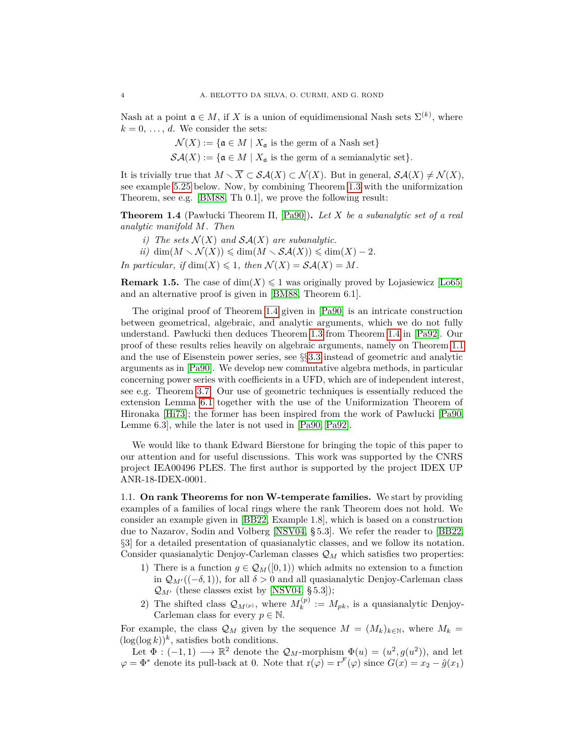Nash at a point  $\mathfrak{a} \in M$ , if X is a union of equidimensional Nash sets  $\Sigma^{(k)}$ , where  $k = 0, \ldots, d$ . We consider the sets:

$$
\mathcal{N}(X) := \{ \mathfrak{a} \in M \mid X_{\mathfrak{a}} \text{ is the germ of a Nash set} \}
$$

 $\mathcal{S}\mathcal{A}(X) := \{ \mathfrak{a} \in M \mid X_{\mathfrak{a}} \text{ is the germ of a semianalytic set} \}.$ 

It is trivially true that  $M \setminus \overline{X} \subset \mathcal{SA}(X) \subset \mathcal{N}(X)$ . But in general,  $\mathcal{SA}(X) \neq \mathcal{N}(X)$ , see example [5.25](#page-39-0) below. Now, by combining Theorem [1.3](#page-2-1) with the uniformization Theorem, see e.g. [\[BM88,](#page-48-7) Th 0.1], we prove the following result:

<span id="page-3-0"></span>**Theorem 1.4** (Pawłucki Theorem II, [\[Pa90\]](#page-49-2))**.** *Let X be a subanalytic set of a real analytic manifold M. Then*

- *i)* The sets  $\mathcal{N}(X)$  and  $\mathcal{SA}(X)$  are subanalytic.
- $\dim(M \setminus \mathcal{N}(X)) \leqslant \dim(M \setminus \mathcal{SA}(X)) \leqslant \dim(X) 2.$

*In particular, if* dim $(X) \leq 1$ *, then*  $\mathcal{N}(X) = \mathcal{S}\mathcal{A}(X) = M$ *.* 

**Remark 1.5.** The case of  $dim(X) \leq 1$  was originally proved by Lojasiewicz [\[Lo65\]](#page-48-8) and an alternative proof is given in [\[BM88,](#page-48-7) Theorem 6.1].

The original proof of Theorem [1.4](#page-3-0) given in [\[Pa90\]](#page-49-2) is an intricate construction between geometrical, algebraic, and analytic arguments, which we do not fully understand. Pawłucki then deduces Theorem [1.3](#page-2-1) from Theorem [1.4](#page-3-0) in [\[Pa92\]](#page-49-3). Our proof of these results relies heavily on algebraic arguments, namely on Theorem [1.1](#page-1-0) and the use of Eisenstein power series, see §§[3.3](#page-12-0) instead of geometric and analytic arguments as in [\[Pa90\]](#page-49-2). We develop new commutative algebra methods, in particular concerning power series with coefficients in a UFD, which are of independent interest, see e.g. Theorem [3.7.](#page-14-0) Our use of geometric techniques is essentially reduced the extension Lemma [6.1](#page-42-0) together with the use of the Uniformization Theorem of Hironaka [\[Hi73\]](#page-48-9); the former has been inspired from the work of Pawłucki [\[Pa90,](#page-49-2) Lemme 6.3], while the later is not used in [\[Pa90,](#page-49-2) [Pa92\]](#page-49-3).

We would like to thank Edward Bierstone for bringing the topic of this paper to our attention and for useful discussions. This work was supported by the CNRS project IEA00496 PLES. The first author is supported by the project IDEX UP ANR-18-IDEX-0001.

<span id="page-3-1"></span>1.1. **On rank Theorems for non W-temperate families.** We start by providing examples of a families of local rings where the rank Theorem does not hold. We consider an example given in [\[BB22,](#page-48-10) Example 1.8], which is based on a construction due to Nazarov, Sodin and Volberg [\[NSV04,](#page-49-5) § 5.3]. We refer the reader to [\[BB22,](#page-48-10) §3] for a detailed presentation of quasianalytic classes, and we follow its notation. Consider quasianalytic Denjoy-Carleman classes Q*<sup>M</sup>* which satisfies two properties:

- 1) There is a function  $g \in \mathcal{Q}_M([0,1))$  which admits no extension to a function in  $\mathcal{Q}_{M}((-\delta, 1))$ , for all  $\delta > 0$  and all quasianalytic Denjoy-Carleman class  $\mathcal{Q}_{M'}$  (these classes exist by [\[NSV04,](#page-49-5) § 5.3]);
- 2) The shifted class  $\mathcal{Q}_{M^{(p)}},$  where  $M_k^{(p)}$  $k^{(p)} := M_{pk}$ , is a quasianalytic Denjoy-Carleman class for every  $p \in \mathbb{N}$ .

For example, the class  $\mathcal{Q}_M$  given by the sequence  $M = (M_k)_{k \in \mathbb{N}}$ , where  $M_k =$  $(\log(\log k))^k$ , satisfies both conditions.

Let  $\Phi: (-1,1) \longrightarrow \mathbb{R}^2$  denote the  $\mathcal{Q}_M$ -morphism  $\Phi(u) = (u^2, g(u^2))$ , and let  $\varphi = \Phi^*$  denote its pull-back at 0. Note that  $r(\varphi) = r^{\mathcal{F}}(\varphi)$  since  $G(x) = x_2 - \hat{g}(x_1)$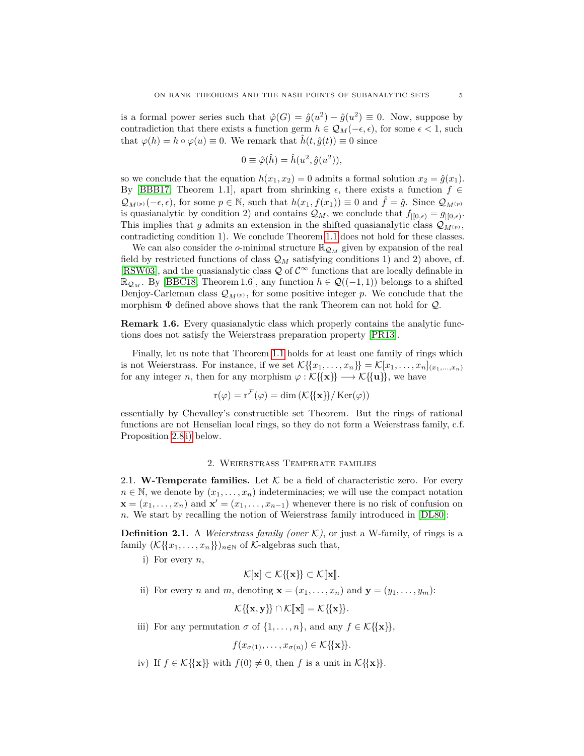is a formal power series such that  $\hat{\varphi}(G) = \hat{g}(u^2) - \hat{g}(u^2) \equiv 0$ . Now, suppose by contradiction that there exists a function germ  $h \in \mathcal{Q}_M(-\epsilon, \epsilon)$ , for some  $\epsilon < 1$ , such that  $\varphi(h) = h \circ \varphi(u) \equiv 0$ . We remark that  $\hat{h}(t, \hat{g}(t)) \equiv 0$  since

$$
0 \equiv \hat{\varphi}(\hat{h}) = \hat{h}(u^2, \hat{g}(u^2)),
$$

so we conclude that the equation  $h(x_1, x_2) = 0$  admits a formal solution  $x_2 = \hat{g}(x_1)$ . By [\[BBB17,](#page-47-2) Theorem 1.1], apart from shrinking  $\epsilon$ , there exists a function  $f \in$  $\mathcal{Q}_{M^{(p)}}(-\epsilon,\epsilon)$ , for some  $p \in \mathbb{N}$ , such that  $h(x_1,f(x_1)) \equiv 0$  and  $f = \hat{g}$ . Since  $\mathcal{Q}_{M^{(p)}}$ is quasianalytic by condition 2) and contains  $\mathcal{Q}_M$ , we conclude that  $f|_{[0,\epsilon)} = g|_{[0,\epsilon)}$ . This implies that *g* admits an extension in the shifted quasianalytic class  $\mathcal{Q}_{M(p)}$ , contradicting condition 1). We conclude Theorem [1.1](#page-1-0) does not hold for these classes.

We can also consider the *o*-minimal structure  $\mathbb{R}_{\mathcal{Q}_M}$  given by expansion of the real field by restricted functions of class  $\mathcal{Q}_M$  satisfying conditions 1) and 2) above, cf. [\[RSW03\]](#page-49-6), and the quasianalytic class  $\mathcal Q$  of  $\mathcal C^{\infty}$  functions that are locally definable in  $\mathbb{R}_{\mathcal{Q}_M}$ . By [\[BBC18,](#page-48-11) Theorem 1.6], any function *h* ∈  $\mathcal{Q}((-1,1))$  belongs to a shifted Denjoy-Carleman class  $\mathcal{Q}_{M(p)}$ , for some positive integer *p*. We conclude that the morphism  $\Phi$  defined above shows that the rank Theorem can not hold for  $Q$ .

**Remark 1.6.** Every quasianalytic class which properly contains the analytic functions does not satisfy the Weierstrass preparation property [\[PR13\]](#page-49-7).

Finally, let us note that Theorem [1.1](#page-1-0) holds for at least one family of rings which is not Weierstrass. For instance, if we set  $\mathcal{K}\{\{x_1,\ldots,x_n\}\} = \mathcal{K}[x_1,\ldots,x_n]_{(x_1,\ldots,x_n)}$ for any integer *n*, then for any morphism  $\varphi : \mathcal{K} \{ \{ \mathbf{x} \} \} \longrightarrow \mathcal{K} \{ \{ \mathbf{u} \} \}$ , we have

$$
\mathbf{r}(\varphi) = \mathbf{r}^{\mathcal{F}}(\varphi) = \dim \left( \mathcal{K}\{\mathbf{x}\}\right) / \operatorname{Ker}(\varphi) \right)
$$

essentially by Chevalley's constructible set Theorem. But the rings of rational functions are not Henselian local rings, so they do not form a Weierstrass family, c.f. Proposition [2.8](#page-7-0) [i\)](#page-7-1) below.

#### 2. Weierstrass Temperate families

2.1. **W-Temperate families.** Let  $K$  be a field of characteristic zero. For every  $n \in \mathbb{N}$ , we denote by  $(x_1, \ldots, x_n)$  indeterminacies; we will use the compact notation  $\mathbf{x} = (x_1, \dots, x_n)$  and  $\mathbf{x}' = (x_1, \dots, x_{n-1})$  whenever there is no risk of confusion on *n*. We start by recalling the notion of Weierstrass family introduced in [\[DL80\]](#page-48-0):

<span id="page-4-0"></span>**Definition 2.1.** A *Weierstrass family (over*  $K$ ), or just a W-family, of rings is a family  $(\mathcal{K}\{\{x_1,\ldots,x_n\}\})_{n\in\mathbb{N}}$  of  $\mathcal{K}\text{-algebras such that,}$ 

<span id="page-4-1"></span>i) For every *n*,

$$
\mathcal{K}[\mathbf{x}]\subset \mathcal{K}\{\!\{\mathbf{x}\}\!\}\subset \mathcal{K}[\![\mathbf{x}]\!].
$$

<span id="page-4-2"></span>ii) For every *n* and *m*, denoting  $\mathbf{x} = (x_1, \ldots, x_n)$  and  $\mathbf{y} = (y_1, \ldots, y_m)$ :

 $\mathcal{K}\{\{\mathbf{x},\mathbf{y}\}\}\cap\mathcal{K}[\![\mathbf{x}]\!]=\mathcal{K}\{\{\mathbf{x}\}\}.$ 

<span id="page-4-3"></span>iii) For any permutation  $\sigma$  of  $\{1, \ldots, n\}$ , and any  $f \in \mathcal{K}\{\{\mathbf{x}\}\}\,$ ,

$$
f(x_{\sigma(1)},\ldots,x_{\sigma(n)}) \in \mathcal{K}\{\{\mathbf{x}\}\}.
$$

<span id="page-4-4"></span>iv) If  $f \in \mathcal{K} \{\{\mathbf{x}\}\}\$  with  $f(0) \neq 0$ , then *f* is a unit in  $\mathcal{K} \{\{\mathbf{x}\}\}.$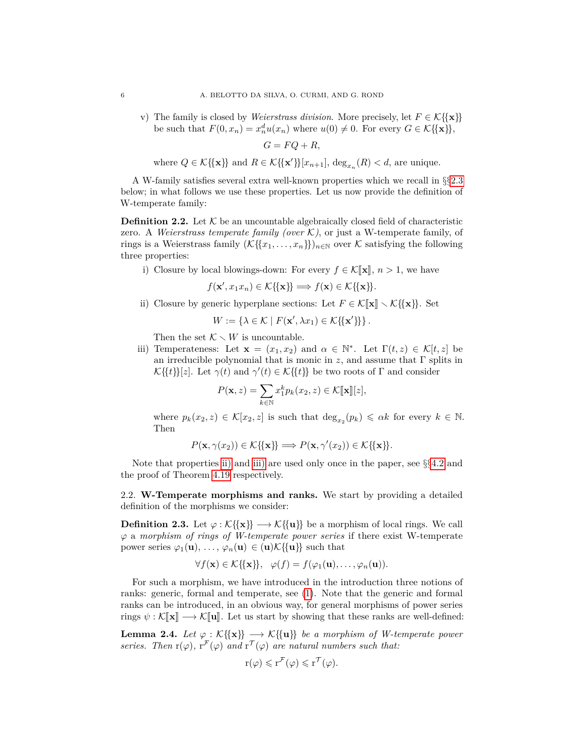<span id="page-5-6"></span>v) The family is closed by *Weierstrass division*. More precisely, let  $F \in \mathcal{K} \{\{x\}\}\$ be such that  $F(0, x_n) = x_n^d u(x_n)$  where  $u(0) \neq 0$ . For every  $G \in \mathcal{K} \{\{\mathbf{x}\}\}\,$ ,

$$
G = FQ + R,
$$

where  $Q \in \mathcal{K}\{\{\mathbf{x}\}\}\$ and  $R \in \mathcal{K}\{\{\mathbf{x}'\}\}[x_{n+1}]$ ,  $\deg_{x_n}(R) < d$ , are unique.

A W-family satisfies several extra well-known properties which we recall in §§[2.3](#page-7-2) below; in what follows we use these properties. Let us now provide the definition of W-temperate family:

<span id="page-5-0"></span>**Definition 2.2.** Let  $K$  be an uncountable algebraically closed field of characteristic zero. A *Weierstrass temperate family (over*  $K$ ), or just a W-temperate family, of rings is a Weierstrass family  $(\mathcal{K}\{\{x_1,\ldots,x_n\}\})_{n\in\mathbb{N}}$  over  $\mathcal K$  satisfying the following three properties:

<span id="page-5-5"></span>i) Closure by local blowings-down: For every  $f \in \mathcal{K}[\![\mathbf{x}]\!], n > 1$ , we have

$$
f(\mathbf{x}', x_1 x_n) \in \mathcal{K}\{\{\mathbf{x}\}\} \Longrightarrow f(\mathbf{x}) \in \mathcal{K}\{\{\mathbf{x}\}\}.
$$

<span id="page-5-2"></span>ii) Closure by generic hyperplane sections: Let  $F \in \mathcal{K}[\![\mathbf{x}]\!] \setminus \mathcal{K}[\{\mathbf{x}\}]\}.$  Set

$$
W := \{ \lambda \in \mathcal{K} \mid F(\mathbf{x}', \lambda x_1) \in \mathcal{K} \{ \{ \mathbf{x}' \} \} \}.
$$

Then the set  $K \setminus W$  is uncountable.

<span id="page-5-3"></span>iii) Temperateness: Let  $\mathbf{x} = (x_1, x_2)$  and  $\alpha \in \mathbb{N}^*$ . Let  $\Gamma(t, z) \in \mathcal{K}[t, z]$  be an irreducible polynomial that is monic in  $z$ , and assume that  $\Gamma$  splits in  $\mathcal{K}\{\{t\}\}[z]$ . Let  $\gamma(t)$  and  $\gamma'(t) \in \mathcal{K}\{\{t\}\}\$ be two roots of  $\Gamma$  and consider

$$
P(\mathbf{x}, z) = \sum_{k \in \mathbb{N}} x_1^k p_k(x_2, z) \in \mathcal{K}[\![\mathbf{x}]\!][z],
$$

where  $p_k(x_2, z) \in \mathcal{K}[x_2, z]$  is such that  $\deg_{x_2}(p_k) \leqslant \alpha k$  for every  $k \in \mathbb{N}$ . Then

$$
P(\mathbf{x}, \gamma(x_2)) \in \mathcal{K}\{\{\mathbf{x}\}\} \Longrightarrow P(\mathbf{x}, \gamma'(x_2)) \in \mathcal{K}\{\{\mathbf{x}\}\}.
$$

Note that properties [ii\)](#page-5-2) and [iii\)](#page-5-3) are used only once in the paper, see §§[4.2](#page-19-0) and the proof of Theorem [4.19](#page-27-0) respectively.

2.2. **W-Temperate morphisms and ranks.** We start by providing a detailed definition of the morphisms we consider:

<span id="page-5-1"></span>**Definition 2.3.** Let  $\varphi : \mathcal{K} \{\{x\} \} \longrightarrow \mathcal{K} \{\{u\}\}\$ be a morphism of local rings. We call *ϕ* a *morphism of rings of W-temperate power series* if there exist W-temperate power series  $\varphi_1(\mathbf{u}), \ldots, \varphi_n(\mathbf{u}) \in (\mathbf{u})\mathcal{K}\{\{\mathbf{u}\}\}\$  such that

$$
\forall f(\mathbf{x}) \in \mathcal{K}\{\{\mathbf{x}\}\}, \quad \varphi(f) = f(\varphi_1(\mathbf{u}), \dots, \varphi_n(\mathbf{u})).
$$

For such a morphism, we have introduced in the introduction three notions of ranks: generic, formal and temperate, see [\(1\)](#page-1-1). Note that the generic and formal ranks can be introduced, in an obvious way, for general morphisms of power series rings  $\psi : \mathcal{K}[\![\mathbf{x}]\!] \longrightarrow \mathcal{K}[\![\mathbf{u}]\!]$ . Let us start by showing that these ranks are well-defined:

<span id="page-5-4"></span>**Lemma 2.4.** *Let*  $\varphi : \mathcal{K}\{\{x\}\} \longrightarrow \mathcal{K}\{\{u\}\}\$ be a morphism of W-temperate power *series.* Then  $r(\varphi)$ ,  $r^{\mathcal{F}}(\varphi)$  and  $r^{\mathcal{T}}(\varphi)$  are natural numbers such that:

$$
r(\varphi) \leqslant r^{\mathcal{F}}(\varphi) \leqslant r^{\mathcal{T}}(\varphi).
$$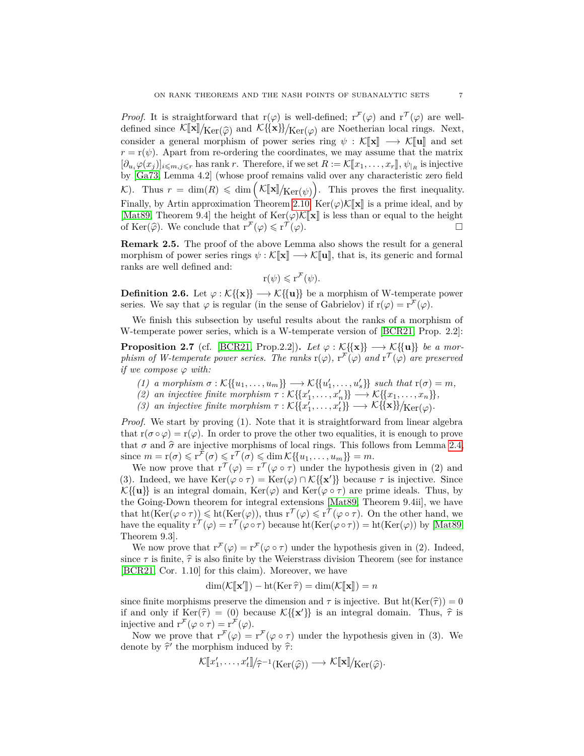*Proof.* It is straightforward that  $r(\varphi)$  is well-defined;  $r^{\mathcal{F}}(\varphi)$  and  $r^{\mathcal{T}}(\varphi)$  are welldefined since  $\mathcal{K}[\![\mathbf{x}]\!] / \text{Ker}(\hat{\varphi})$  and  $\mathcal{K}[\{\mathbf{x}\}] / \text{Ker}(\varphi)$  are Noetherian local rings. Next,<br>consider a general morphism of power series ring  $\psi : \mathcal{K}[\![\mathbf{x}]\!] \longrightarrow \mathcal{K}[\![\mathbf{u}]\!]$  and set consider a general morphism of power series ring  $\psi : \mathcal{K}[\![\mathbf{x}]\!] \longrightarrow \mathcal{K}[\![\mathbf{u}]\!]$  and set  $r = r(\psi)$ . Apart from re-ordering the coordinates, we may assume that the matrix  $[\partial_u \varphi(x_j)]_{i \leq m, j \leq r}$  has rank *r*. Therefore, if we set  $R := \mathcal{K}[\![x_1, \ldots, x_r]\!]$ ,  $\psi_{|R}$  is injective by  $\mathbb{R}^n$ . Sinjective  $\mathbb{R}^n$ by [\[Ga73,](#page-48-1) Lemma 4.2] (whose proof remains valid over any characteristic zero field K). Thus  $r = \dim(R) \leq \dim\left(\frac{\mathcal{K}[\![\mathbf{x}]\!]}{\mathcal{K}\text{er}(\psi)}\right)$ . This proves the first inequality. Finally, by Artin approximation Theorem [2.10,](#page-8-1)  $\text{Ker}(\varphi)\mathcal{K}[\![\mathbf{x}]\!]$  is a prime ideal, and by [\[Mat89,](#page-49-8) Theorem 9.4] the height of Ker $(\varphi)$ K[**x**] is less than or equal to the height of Ker $(\varphi)$ . We conclude that  $r^{\mathcal{F}}(\varphi) \leq r^{\mathcal{T}}(\varphi)$ . of Ker( $\widehat{\varphi}$ ). We conclude that  $r^{\mathcal{F}}(\varphi) \leq r^{\mathcal{T}}$ (*ϕ*).

**Remark 2.5.** The proof of the above Lemma also shows the result for a general morphism of power series rings  $\psi : \mathcal{K}[\![\mathbf{x}]\!] \longrightarrow \mathcal{K}[\![\mathbf{u}]\!]$ , that is, its generic and formal ranks are well defined and:

$$
r(\psi) \leqslant r^{\mathcal{F}}(\psi).
$$

**Definition 2.6.** Let  $\varphi : \mathcal{K} \{\{x\} \} \longrightarrow \mathcal{K} \{\{u\}\}\$ be a morphism of W-temperate power series. We say that  $\varphi$  is regular (in the sense of Gabrielov) if  $r(\varphi) = r^{\mathcal{F}}(\varphi)$ .

We finish this subsection by useful results about the ranks of a morphism of W-temperate power series, which is a W-temperate version of [\[BCR21,](#page-48-2) Prop. 2.2]:

<span id="page-6-0"></span>**Proposition 2.7** (cf. [\[BCR21,](#page-48-2) Prop.2.2]). *Let*  $\varphi : \mathcal{K} \{\{x\}\} \longrightarrow \mathcal{K} \{\{u\}\}\$ be a mor*phism of W-temperate power series. The ranks*  $r(\varphi)$ ,  $r^{\mathcal{F}}(\varphi)$  *and*  $r^{\mathcal{T}}(\varphi)$  *are preserved if we compose*  $\varphi$  *with:* 

- $(1)$  *a* morphism  $\sigma : \mathcal{K} \{ \{u_1, \ldots, u_m\} \} \longrightarrow \mathcal{K} \{ \{u'_1, \ldots, u'_s\} \}$  such that  $r(\sigma) = m$ ,
- $(2)$  *an injective finite morphism*  $\tau : \mathcal{K}\{\{x'_1, \ldots, x'_n\}\}\longrightarrow \mathcal{K}\{\{x_1, \ldots, x_n\}\},$
- *(3) an injective finite morphism*  $\tau : \mathcal{K} \{ \{x'_1, \ldots, x'_t \} \} \longrightarrow \mathcal{K} \{ \{ \mathbf{x} \} \} / \mathcal{K} e_{\Gamma(\varphi)}$ .

*Proof.* We start by proving (1). Note that it is straightforward from linear algebra that  $r(\sigma \circ \varphi) = r(\varphi)$ . In order to prove the other two equalities, it is enough to prove that  $\sigma$  and  $\hat{\sigma}$  are injective morphisms of local rings. This follows from Lemma [2.4,](#page-5-4)  $\text{since } m = \mathbf{r}(\sigma) \leqslant \mathbf{r}^{\mathcal{F}}(\sigma) \leqslant \mathbf{r}^{\mathcal{T}}(\sigma) \leqslant \dim \mathcal{K}\{\{u_1, \ldots, u_m\}\} = m.$ 

We now prove that  $r^{\mathcal{T}}(\varphi) = r^{\mathcal{T}}(\varphi \circ \tau)$  under the hypothesis given in (2) and (3). Indeed, we have  $\text{Ker}(\varphi \circ \tau) = \text{Ker}(\varphi) \cap \mathcal{K} \{\{\mathbf{x}'\}\}\)$  because  $\tau$  is injective. Since  $\mathcal{K}\{\{\mathbf{u}\}\}\$ is an integral domain, Ker( $\varphi$ ) and Ker( $\varphi \circ \tau$ ) are prime ideals. Thus, by the Going-Down theorem for integral extensions [\[Mat89,](#page-49-8) Theorem 9.4ii], we have that  $\text{ht}(\text{Ker}(\varphi \circ \tau)) \leq \text{ht}(\text{Ker}(\varphi))$ , thus  $r^{\mathcal{T}}(\varphi) \leq r^{\mathcal{T}}(\varphi \circ \tau)$ . On the other hand, we have the equality  $r^{\mathcal{T}}(\varphi) = r^{\mathcal{T}}(\varphi \circ \tau)$  because  $ht(Ker(\varphi \circ \tau)) = ht(Ker(\varphi))$  by [\[Mat89,](#page-49-8) Theorem 9.3].

We now prove that  $r^{\mathcal{F}}(\varphi) = r^{\mathcal{F}}(\varphi \circ \tau)$  under the hypothesis given in (2). Indeed, since  $\tau$  is finite,  $\hat{\tau}$  is also finite by the Weierstrass division Theorem (see for instance [\[BCR21,](#page-48-2) Cor. 1.10] for this claim). Moreover, we have

$$
\dim(\mathcal{K}[\mathbf{x}']) - \mathrm{ht}(\mathrm{Ker}\,\widehat{\tau}) = \dim(\mathcal{K}[\![\mathbf{x}]\!]) = n
$$

since finite morphisms preserve the dimension and  $\tau$  is injective. But ht(Ker( $\hat{\tau}$ )) = 0 if and only if  $\text{Ker}(\hat{\tau}) = (0)$  because  $\mathcal{K}\{\{\mathbf{x}'\}\}\$ is an integral domain. Thus,  $\hat{\tau}$  is injective and  $r^{\mathcal{F}}(\cos \tau) = r^{\mathcal{F}}(\cos \tau)$ injective and  $r^{\mathcal{F}}(\varphi \circ \tau) = r^{\mathcal{F}}(\varphi)$ .

Now we prove that  $r^{\mathcal{F}}(\varphi) = r^{\mathcal{F}}(\varphi \circ \tau)$  under the hypothesis given in (3). We denote by  $\hat{\tau}'$  the morphism induced by  $\hat{\tau}$ :

$$
\mathcal{K}[\![x_1',\ldots,x_t']\!]/\widehat{\tau}^{-1}(\mathrm{Ker}(\widehat{\varphi})) \longrightarrow \mathcal{K}[\![\mathbf{x}]\!]/\mathrm{Ker}(\widehat{\varphi})\!.
$$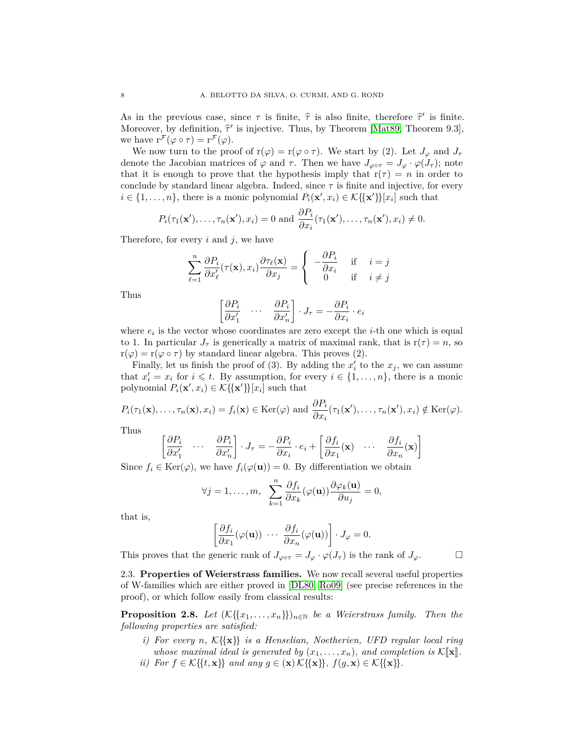As in the previous case, since  $\tau$  is finite,  $\hat{\tau}$  is also finite, therefore  $\hat{\tau}'$  is finite.<br>Moreover, by definition  $\hat{\tau}'$  is injective. Thus, by Theorem [Mat<sup>80</sup>, Theorem 0.3] Moreover, by definition,  $\hat{\tau}'$  is injective. Thus, by Theorem [\[Mat89,](#page-49-8) Theorem 9.3], we have  $r^{\mathcal{F}}(\varphi \circ \tau) = r^{\mathcal{F}}(\varphi)$ .

We now turn to the proof of  $r(\varphi) = r(\varphi \circ \tau)$ . We start by (2). Let  $J_{\varphi}$  and  $J_{\tau}$ denote the Jacobian matrices of  $\varphi$  and  $\tau$ . Then we have  $J_{\varphi \circ \tau} = J_{\varphi} \cdot \varphi(J_{\tau})$ ; note that it is enough to prove that the hypothesis imply that  $r(\tau) = n$  in order to conclude by standard linear algebra. Indeed, since  $\tau$  is finite and injective, for every  $i \in \{1, \ldots, n\}$ , there is a monic polynomial  $P_i(\mathbf{x}', x_i) \in \mathcal{K}\{\{\mathbf{x}'\}\}[x_i]$  such that

$$
P_i(\tau_1(\mathbf{x}'), \ldots, \tau_n(\mathbf{x}'), x_i) = 0
$$
 and  $\frac{\partial P_i}{\partial x_i}(\tau_1(\mathbf{x}'), \ldots, \tau_n(\mathbf{x}'), x_i) \neq 0$ .

Therefore, for every *i* and *j*, we have

$$
\sum_{\ell=1}^n \frac{\partial P_i}{\partial x'_\ell}(\tau(\mathbf{x}), x_i) \frac{\partial \tau_\ell(\mathbf{x})}{\partial x_j} = \begin{cases} -\frac{\partial P_i}{\partial x_i} & \text{if } i = j \\ 0 & \text{if } i \neq j \end{cases}
$$

Thus

$$
\begin{bmatrix} \frac{\partial P_i}{\partial x'_1} & \cdots & \frac{\partial P_i}{\partial x'_n} \end{bmatrix} \cdot J_{\tau} = -\frac{\partial P_i}{\partial x_i} \cdot e_i
$$

where  $e_i$  is the vector whose coordinates are zero except the *i*-th one which is equal to 1. In particular  $J_{\tau}$  is generically a matrix of maximal rank, that is  $r(\tau) = n$ , so  $r(\varphi) = r(\varphi \circ \tau)$  by standard linear algebra. This proves (2).

Finally, let us finish the proof of (3). By adding the  $x'_{i}$  to the  $x_{j}$ , we can assume that  $x'_i = x_i$  for  $i \leq t$ . By assumption, for every  $i \in \{1, ..., n\}$ , there is a monic polynomial  $P_i(\mathbf{x}', x_i) \in \mathcal{K}\{\{\mathbf{x}'\}\}[x_i]$  such that

$$
P_i(\tau_1(\mathbf{x}), \dots, \tau_n(\mathbf{x}), x_i) = f_i(\mathbf{x}) \in \text{Ker}(\varphi) \text{ and } \frac{\partial P_i}{\partial x_i}(\tau_1(\mathbf{x}'), \dots, \tau_n(\mathbf{x}'), x_i) \notin \text{Ker}(\varphi).
$$

Thus

$$
\begin{bmatrix} \frac{\partial P_i}{\partial x'_1} & \cdots & \frac{\partial P_i}{\partial x'_n} \end{bmatrix} \cdot J_{\tau} = -\frac{\partial P_i}{\partial x_i} \cdot e_i + \begin{bmatrix} \frac{\partial f_i}{\partial x_1}(\mathbf{x}) & \cdots & \frac{\partial f_i}{\partial x_n}(\mathbf{x}) \end{bmatrix}
$$

Since  $f_i \in \text{Ker}(\varphi)$ , we have  $f_i(\varphi(\mathbf{u})) = 0$ . By differentiation we obtain

$$
\forall j=1,\ldots,m,\ \sum_{k=1}^n\frac{\partial f_i}{\partial x_k}(\varphi(\mathbf{u}))\frac{\partial\varphi_k(\mathbf{u})}{\partial u_j}=0,
$$

that is,

$$
\left[\frac{\partial f_i}{\partial x_1}(\varphi(\mathbf{u}))\ \cdots\ \frac{\partial f_i}{\partial x_n}(\varphi(\mathbf{u}))\right]\cdot J_\varphi=0.
$$

This proves that the generic rank of  $J_{\varphi \circ \tau} = J_{\varphi} \cdot \varphi(J_{\tau})$  is the rank of  $J_{\varphi}$ .

<span id="page-7-2"></span>2.3. **Properties of Weierstrass families.** We now recall several useful properties of W-families which are either proved in [\[DL80,](#page-48-0) [Ro09\]](#page-49-9) (see precise references in the proof), or which follow easily from classical results:

<span id="page-7-0"></span>**Proposition 2.8.** *Let*  $(K{x_1, \ldots, x_n})_{n \in \mathbb{N}}$  *be a Weierstrass family. Then the following properties are satisfied:*

- <span id="page-7-1"></span>*i) For every n,* K{{**x**}} *is a Henselian, Noetherien, UFD regular local ring whose maximal ideal is generated by*  $(x_1, \ldots, x_n)$ *, and completion is*  $\mathcal{K}[\![\mathbf{x}]\!]$ *.*
- <span id="page-7-3"></span>*ii*) *For*  $f \in \mathcal{K}\{\{t, \mathbf{x}\}\}\$  *and any*  $g \in (\mathbf{x})\mathcal{K}\{\{\mathbf{x}\}\}\$ ,  $f(g, \mathbf{x}) \in \mathcal{K}\{\{\mathbf{x}\}\}\$ .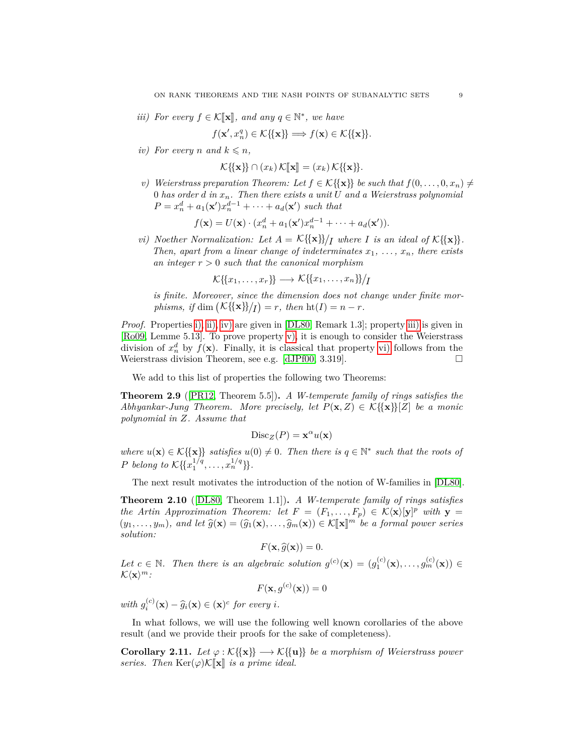<span id="page-8-3"></span>*iii)* For every  $f \in \mathcal{K}[\mathbf{x}]$ , and any  $q \in \mathbb{N}^*$ , we have

$$
f(\mathbf{x}', x_n^q) \in \mathcal{K}\{\{\mathbf{x}\}\} \Longrightarrow f(\mathbf{x}) \in \mathcal{K}\{\{\mathbf{x}\}\}.
$$

<span id="page-8-2"></span>*iv*) For every *n* and  $k \leq n$ ,

$$
\mathcal{K}\{\{\mathbf{x}\}\}\cap(x_k)\mathcal{K}[\![\mathbf{x}]\!]=(x_k)\mathcal{K}\{\{\mathbf{x}\}\}.
$$

<span id="page-8-4"></span>*v*) *Weierstrass preparation Theorem: Let*  $f \in K\{\{\mathbf{x}\}\}\$  *be such that*  $f(0, \ldots, 0, x_n) \neq$ 0 *has order d in xn. Then there exists a unit U and a Weierstrass polynomial*  $P = x_n^d + a_1(\mathbf{x}')x_n^{d-1} + \cdots + a_d(\mathbf{x}')$  such that

$$
f(\mathbf{x}) = U(\mathbf{x}) \cdot (x_n^d + a_1(\mathbf{x}')x_n^{d-1} + \dots + a_d(\mathbf{x}')).
$$

<span id="page-8-5"></span>*vi) Noether Normalization: Let*  $A = \mathcal{K}\{\{\mathbf{x}\}\}\)$  *I* where *I is an ideal of*  $\mathcal{K}\{\{\mathbf{x}\}\}.$ *Then, apart from a linear change of indeterminates*  $x_1, \ldots, x_n$ , there exists *an integer r >* 0 *such that the canonical morphism*

$$
\mathcal{K}\{\!\{x_1,\ldots,x_r\}\!\} \longrightarrow \mathcal{K}\{\!\{x_1,\ldots,x_n\}\!\}/I
$$

*is finite. Moreover, since the dimension does not change under finite mor* $phisms, if \dim (\mathcal{K} \{\{\mathbf{x}\}\})/I) = r, then \mathrm{ht}(I) = n - r.$ 

*Proof.* Properties [i\),](#page-7-1) [ii\),](#page-7-3) [iv\)](#page-8-2) are given in [\[DL80,](#page-48-0) Remark 1.3]; property [iii\)](#page-8-3) is given in [\[Ro09,](#page-49-9) Lemme 5.13]. To prove property [v\),](#page-8-4) it is enough to consider the Weierstrass division of  $x_n^d$  by  $f(\mathbf{x})$ . Finally, it is classical that property [vi\)](#page-8-5) follows from the Weierstrass division Theorem, see e.g. [\[dJPf00,](#page-48-12) 3.319].  $\Box$ 

We add to this list of properties the following two Theorems:

<span id="page-8-6"></span>**Theorem 2.9** ([\[PR12,](#page-49-10) Theorem 5.5])**.** *A W-temperate family of rings satisfies the Abhyankar-Jung Theorem. More precisely, let*  $P(\mathbf{x}, Z) \in \mathcal{K} \{\{\mathbf{x}\}\}[Z]$  *be a monic polynomial in Z. Assume that*

$$
\text{Disc}_Z(P) = \mathbf{x}^{\alpha} u(\mathbf{x})
$$

*where*  $u(\mathbf{x}) \in \mathcal{K}\{\{\mathbf{x}\}\}\$  *satisfies*  $u(0) \neq 0$ . Then there is  $q \in \mathbb{N}^*$  such that the roots of *P belong* to  $\mathcal{K}\{\{x_1^{1/q}, \ldots, x_n^{1/q}\}\}.$ 

The next result motivates the introduction of the notion of W-families in [\[DL80\]](#page-48-0).

<span id="page-8-1"></span>**Theorem 2.10** ([\[DL80,](#page-48-0) Theorem 1.1])**.** *A W-temperate family of rings satisfies the Artin Approximation Theorem: let*  $F = (F_1, \ldots, F_p) \in K\langle \mathbf{x} \rangle [\mathbf{y}]^p$  *with*  $\mathbf{y} =$  $(y_1, \ldots, y_m)$ *, and let*  $\widehat{g}(\mathbf{x}) = (\widehat{g}_1(\mathbf{x}), \ldots, \widehat{g}_m(\mathbf{x})) \in \mathcal{K}[\![\mathbf{x}]\!]^m$  *be a formal power series eclution: solution:*

$$
F(\mathbf{x},\widehat{g}(\mathbf{x}))=0.
$$

Let  $c \in \mathbb{N}$ . Then there is an algebraic solution  $g^{(c)}(\mathbf{x}) = (g_1^{(c)}(\mathbf{x}), \ldots, g_m^{(c)}(\mathbf{x})) \in$  $\mathcal{K}\langle \mathbf{x}\rangle^m$ :

$$
F(\mathbf{x}, g^{(c)}(\mathbf{x})) = 0
$$

*with*  $g_i^{(c)}(\mathbf{x}) - \hat{g}_i(\mathbf{x}) \in (\mathbf{x})^c$  for every *i*.

In what follows, we will use the following well known corollaries of the above result (and we provide their proofs for the sake of completeness).

<span id="page-8-0"></span>**Corollary 2.11.** *Let*  $\varphi : \mathcal{K}\{\mathbf{x}\} \longrightarrow \mathcal{K}\{\{\mathbf{u}\}\}\$ be a morphism of Weierstrass power *series.* Then  $\text{Ker}(\varphi) \mathcal{K}[\![\mathbf{x}]\!]$  *is a prime ideal.*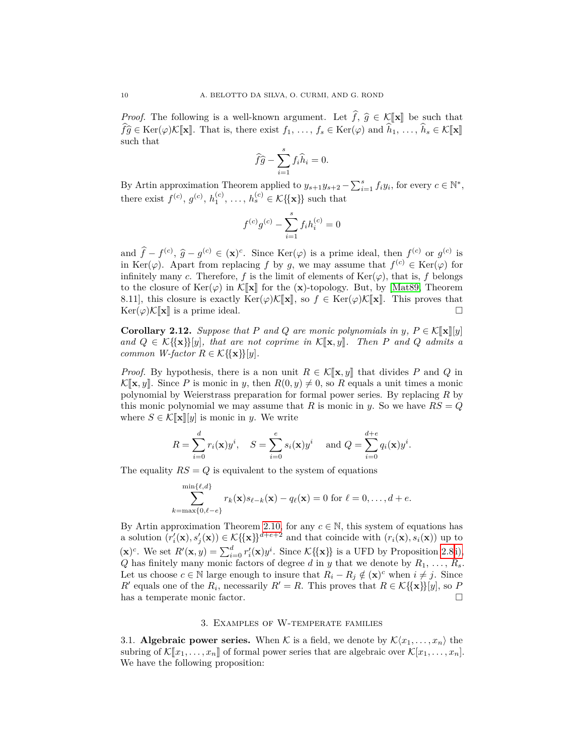*Proof.* The following is a well-known argument. Let  $\hat{f}, \hat{g} \in \mathcal{K}[\mathbf{x}]$  be such that  $\widehat{fg} \in \text{Ker}(\varphi)\mathcal{K}[\![\mathbf{x}]\!]$ . That is, there exist  $f_1, \ldots, f_s \in \text{Ker}(\varphi)$  and  $\widehat{h}_1, \ldots, \widehat{h}_s \in \mathcal{K}[\![\mathbf{x}]\!]$ such that

$$
\widehat{f}\widehat{g} - \sum_{i=1}^{s} f_i \widehat{h}_i = 0.
$$

By Artin approximation Theorem applied to  $y_{s+1}y_{s+2} - \sum_{i=1}^{s} f_i y_i$ , for every  $c \in \mathbb{N}^*$ , there exist  $f^{(c)}, g^{(c)}, h_1^{(c)}, \ldots, h_s^{(c)} \in \mathcal{K} \{\{\mathbf{x}\}\}\$  such that

$$
f^{(c)}g^{(c)} - \sum_{i=1}^{s} f_i h_i^{(c)} = 0
$$

and  $\hat{f} - f^{(c)}, \hat{g} - g^{(c)} \in (\mathbf{x})^c$ . Since Ker( $\varphi$ ) is a prime ideal, then  $f^{(c)}$  or  $g^{(c)}$  is <br>in Ker( $\varphi$ ) Apart from replacing f by a we may assume that  $f^{(c)} \in \text{Ker}(\varphi)$  for in Ker( $\varphi$ ). Apart from replacing *f* by *g*, we may assume that  $f^{(c)} \in \text{Ker}(\varphi)$  for infinitely many *c*. Therefore, *f* is the limit of elements of  $\text{Ker}(\varphi)$ , that is, *f* belongs to the closure of  $\text{Ker}(\varphi)$  in  $\mathcal{K}[\![\mathbf{x}]\!]$  for the  $(\mathbf{x})$ -topology. But, by [\[Mat89,](#page-49-8) Theorem 8.11], this closure is exactly  $\text{Ker}(\varphi)\mathcal{K}[\![\mathbf{x}]\!]$ , so  $f \in \text{Ker}(\varphi)\mathcal{K}[\![\mathbf{x}]\!]$ . This proves that  $\text{Ker}(\varphi)\mathcal{K}[\![\mathbf{x}]\!]$  is a prime ideal.  $\text{Ker}(\varphi)\mathcal{K}[\![\mathbf{x}]\!]$  is a prime ideal.

<span id="page-9-0"></span>**Corollary 2.12.** *Suppose that P and Q are monic polynomials in y*,  $P \in K[\![\mathbf{x}]\!][y]$  $and$   $Q \in K\{\{\mathbf{x}\}\}[y]$ *, that are not coprime in*  $K[\mathbf{x}, y]$ *. Then P and Q admits a common W-factor*  $R \in \mathcal{K} \{\{\mathbf{x}\}\}[y]$ *.* 

*Proof.* By hypothesis, there is a non unit  $R \in \mathcal{K}[\mathbf{x}, y]$  that divides P and Q in  $\mathcal{K}[\mathbf{x}, y]$ . Since *P* is monic in *y*, then  $R(0, y) \neq 0$ , so *R* equals a unit times a monic polynomial by Weierstrass preparation for formal power series. By replacing *R* by this monic polynomial we may assume that *R* is monic in *y*. So we have  $RS = Q$ where  $S \in \mathcal{K}[\mathbf{x}][y]$  is monic in *y*. We write

$$
R = \sum_{i=0}^{d} r_i(\mathbf{x}) y^i, \quad S = \sum_{i=0}^{e} s_i(\mathbf{x}) y^i \quad \text{ and } Q = \sum_{i=0}^{d+e} q_i(\mathbf{x}) y^i.
$$

The equality  $RS = Q$  is equivalent to the system of equations

$$
\sum_{k=\max\{0,\ell-e\}}^{\min\{\ell,d\}} r_k(\mathbf{x})s_{\ell-k}(\mathbf{x}) - q_\ell(\mathbf{x}) = 0 \text{ for } \ell = 0,\ldots,d+e.
$$

By Artin approximation Theorem [2.10,](#page-8-1) for any  $c \in \mathbb{N}$ , this system of equations has a solution  $(r'_i(\mathbf{x}), s'_j(\mathbf{x})) \in \mathcal{K}\{\{\mathbf{x}\}\}^{d+e+2}$  and that coincide with  $(r_i(\mathbf{x}), s_i(\mathbf{x}))$  up to  $(\mathbf{x})^c$ . We set  $R'(\mathbf{x}, y) = \sum_{i=0}^d r'_i(\mathbf{x}) y^i$ . Since  $\mathcal{K}\{\{\mathbf{x}\}\}\)$  is a UFD by Proposition [2.8](#page-7-0) [i\),](#page-7-1) *Q* has finitely many monic factors of degree *d* in *y* that we denote by  $R_1, \ldots, R_s$ . Let us choose  $c \in \mathbb{N}$  large enough to insure that  $R_i - R_j \notin (\mathbf{x})^c$  when  $i \neq j$ . Since *R*<sup> $\prime$ </sup> equals one of the *R*<sub>*i*</sub>, necessarily *R*<sup> $\prime$ </sup> = *R*. This proves that *R*  $\in$  *K*{{**x**}}[*y*], so *P* has a temperate monic factor.  $\hfill \square$ 

### 3. Examples of W-temperate families

3.1. **Algebraic power series.** When K is a field, we denote by  $\mathcal{K}\langle x_1,\ldots,x_n\rangle$  the subring of  $\mathcal{K}[x_1,\ldots,x_n]$  of formal power series that are algebraic over  $\mathcal{K}[x_1,\ldots,x_n]$ . We have the following proposition: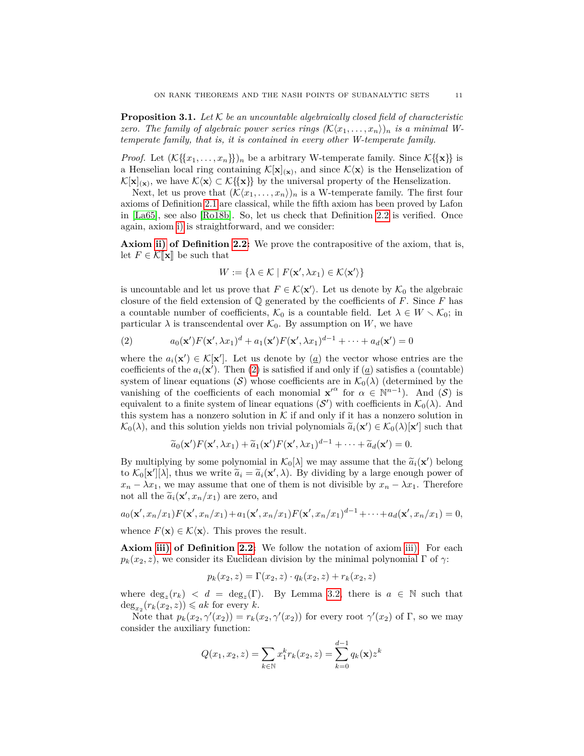**Proposition 3.1.** *Let* K *be an uncountable algebraically closed field of characteristic zero. The family of algebraic power series rings*  $(K\langle x_1, \ldots, x_n \rangle)_n$  *is a minimal Wtemperate family, that is, it is contained in every other W-temperate family.*

*Proof.* Let  $(K{x_1, \ldots, x_n})$ *n* be a arbitrary W-temperate family. Since  $K{x}$  is a Henselian local ring containing  $\mathcal{K}[\mathbf{x}]_{(\mathbf{x})}$ , and since  $\mathcal{K}\langle \mathbf{x}\rangle$  is the Henselization of  $\mathcal{K}[\mathbf{x}]_{(\mathbf{x})}$ , we have  $\mathcal{K}\langle \mathbf{x} \rangle \subset \mathcal{K}\lbrace {\lbrace \mathbf{x} \rbrace} \rbrace$  by the universal property of the Henselization.

Next, let us prove that  $(\mathcal{K}\langle x_1,\ldots,x_n\rangle)_n$  is a W-temperate family. The first four axioms of Definition [2.1](#page-4-0) are classical, while the fifth axiom has been proved by Lafon in [\[La65\]](#page-48-13), see also [\[Ro18b\]](#page-49-11). So, let us check that Definition [2.2](#page-5-0) is verified. Once again, axiom [i\)](#page-5-5) is straightforward, and we consider:

**Axiom [ii\)](#page-5-2) of Definition [2.2:](#page-5-0)** We prove the contrapositive of the axiom, that is, let  $F \in \mathcal{K}[\![\mathbf{x}]\!]$  be such that

$$
W := \{ \lambda \in \mathcal{K} \mid F(\mathbf{x}', \lambda x_1) \in \mathcal{K}\langle \mathbf{x}' \rangle \}
$$

is uncountable and let us prove that  $F \in \mathcal{K}\langle \mathbf{x}'\rangle$ . Let us denote by  $\mathcal{K}_0$  the algebraic closure of the field extension of  $\mathbb Q$  generated by the coefficients of *F*. Since *F* has a countable number of coefficients,  $\mathcal{K}_0$  is a countable field. Let  $\lambda \in W \setminus \mathcal{K}_0$ ; in particular  $\lambda$  is transcendental over  $\mathcal{K}_0$ . By assumption on *W*, we have

<span id="page-10-0"></span>(2) 
$$
a_0(\mathbf{x}')F(\mathbf{x}', \lambda x_1)^d + a_1(\mathbf{x}')F(\mathbf{x}', \lambda x_1)^{d-1} + \cdots + a_d(\mathbf{x}') = 0
$$

where the  $a_i(\mathbf{x}') \in \mathcal{K}[\mathbf{x}']$ . Let us denote by  $(\underline{a})$  the vector whose entries are the coefficients of the  $a_i(\mathbf{x}')$ . Then [\(2\)](#page-10-0) is satisfied if and only if ( $\underline{a}$ ) satisfies a (countable) system of linear equations (S) whose coefficients are in  $\mathcal{K}_0(\lambda)$  (determined by the vanishing of the coefficients of each monomial  $\mathbf{x}'^{\alpha}$  for  $\alpha \in \mathbb{N}^{n-1}$ ). And  $(\mathcal{S})$  is equivalent to a finite system of linear equations  $(S')$  with coefficients in  $\mathcal{K}_0(\lambda)$ . And this system has a nonzero solution in  $K$  if and only if it has a nonzero solution in  $\mathcal{K}_0(\lambda)$ , and this solution yields non trivial polynomials  $\tilde{a}_i(\mathbf{x}') \in \mathcal{K}_0(\lambda)[\mathbf{x}']$  such that

$$
\widetilde{a}_0(\mathbf{x}')F(\mathbf{x}', \lambda x_1) + \widetilde{a}_1(\mathbf{x}')F(\mathbf{x}', \lambda x_1)^{d-1} + \cdots + \widetilde{a}_d(\mathbf{x}') = 0.
$$

By multiplying by some polynomial in  $\mathcal{K}_0[\lambda]$  we may assume that the  $\tilde{a}_i(\mathbf{x}')$  belong<br>to  $\mathcal{K}_0[\mathbf{x}'][\lambda]$  thus we write  $\tilde{a}_i = \tilde{a}_i(\mathbf{x}')$ . By dividing by a large enough power of to  $\mathcal{K}_0[\mathbf{x}'][\lambda]$ , thus we write  $\tilde{a}_i = \tilde{a}_i(\mathbf{x}', \lambda)$ . By dividing by a large enough power of  $x - \lambda x$ . Therefore  $x_n - \lambda x_1$ , we may assume that one of them is not divisible by  $x_n - \lambda x_1$ . Therefore not all the  $\tilde{a}_i(\mathbf{x}', x_n/x_1)$  are zero, and

$$
a_0(\mathbf{x}',x_n/x_1)F(\mathbf{x}',x_n/x_1)+a_1(\mathbf{x}',x_n/x_1)F(\mathbf{x}',x_n/x_1)^{d-1}+\cdots+a_d(\mathbf{x}',x_n/x_1)=0,
$$

whence  $F(\mathbf{x}) \in \mathcal{K}\langle \mathbf{x} \rangle$ . This proves the result.

**Axiom [iii\)](#page-5-3) of Definition [2.2:](#page-5-0)** We follow the notation of axiom [iii\).](#page-5-3) For each  $p_k(x_2, z)$ , we consider its Euclidean division by the minimal polynomial  $\Gamma$  of  $\gamma$ :

$$
p_k(x_2, z) = \Gamma(x_2, z) \cdot q_k(x_2, z) + r_k(x_2, z)
$$

where  $deg_z(r_k)$  <  $d = deg_z(\Gamma)$ . By Lemma [3.2,](#page-11-1) there is  $a \in \mathbb{N}$  such that  $\deg_{x_2}(r_k(x_2, z)) \leqslant ak$  for every *k*.

Note that  $p_k(x_2, \gamma'(x_2)) = r_k(x_2, \gamma'(x_2))$  for every root  $\gamma'(x_2)$  of  $\Gamma$ , so we may consider the auxiliary function:

$$
Q(x_1, x_2, z) = \sum_{k \in \mathbb{N}} x_1^k r_k(x_2, z) = \sum_{k=0}^{d-1} q_k(\mathbf{x}) z^k
$$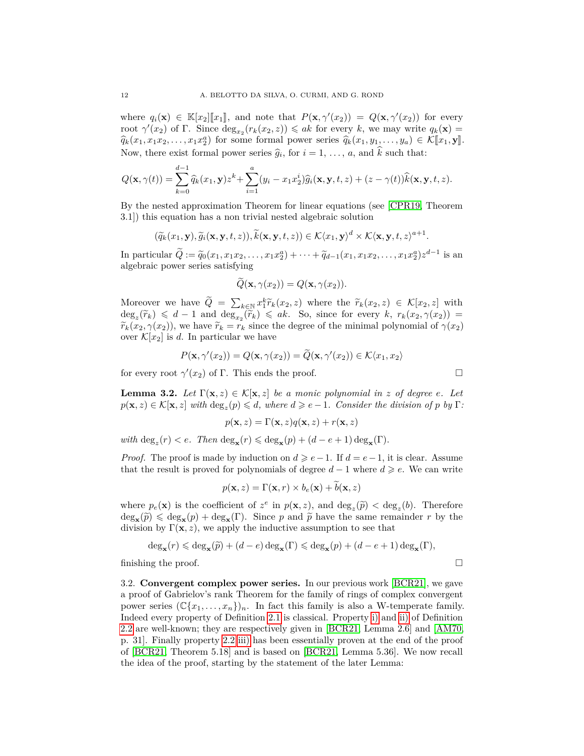where  $q_i(\mathbf{x}) \in \mathbb{K}[x_2][x_1]$ , and note that  $P(\mathbf{x}, \gamma'(x_2)) = Q(\mathbf{x}, \gamma'(x_2))$  for every<br>root  $\gamma'(x_1)$  of  $\Gamma$ . Since dex  $(x_1(x_2, x)) \leq a k$  for every k we may write  $a_i(\mathbf{x}) =$ root  $\gamma'(x_2)$  of Γ. Since  $\deg_{x_2}(r_k(x_2, z)) \leqslant ak$  for every *k*, we may write  $q_k(\mathbf{x}) =$  $\widehat{q}_k(x_1, x_1x_2, \ldots, x_1x_2^a)$  for some formal power series  $\widehat{q}_k(x_1, y_1, \ldots, y_a) \in \mathcal{K}[\![x_1, y]\!]$ . Now, there exist formal power series  $\hat{g}_i$ , for  $i = 1, \ldots, a$ , and k such that:

$$
Q(\mathbf{x},\gamma(t)) = \sum_{k=0}^{d-1} \widehat{q}_k(x_1,\mathbf{y})z^k + \sum_{i=1}^a (y_i - x_1x_2^i)\widehat{g}_i(\mathbf{x},\mathbf{y},t,z) + (z - \gamma(t))\widehat{k}(\mathbf{x},\mathbf{y},t,z).
$$

By the nested approximation Theorem for linear equations (see [\[CPR19,](#page-48-14) Theorem 3.1]) this equation has a non trivial nested algebraic solution

$$
(\widetilde{q}_k(x_1,\mathbf{y}),\widetilde{g}_i(\mathbf{x},\mathbf{y},t,z)),\widetilde{k}(\mathbf{x},\mathbf{y},t,z))\in\mathcal{K}\langle x_1,\mathbf{y}\rangle^d\times\mathcal{K}\langle\mathbf{x},\mathbf{y},t,z\rangle^{a+1}.
$$

In particular  $\tilde{Q} := \tilde{q}_0(x_1, x_1x_2, \dots, x_1x_2^a) + \dots + \tilde{q}_{d-1}(x_1, x_1x_2, \dots, x_1x_2^a) z^{d-1}$  is an algebraic power sories estisfying algebraic power series satisfying

$$
\widetilde{Q}(\mathbf{x}, \gamma(x_2)) = Q(\mathbf{x}, \gamma(x_2)).
$$

Moreover we have  $\widetilde{Q} = \sum_{k \in \mathbb{N}} x_1^k \widetilde{r}_k(x_2, z)$  where the  $\widetilde{r}_k(x_2, z) \in \mathcal{K}[x_2, z]$  with  $\deg(\widetilde{x}_k) \leq d-1$  and  $\deg(\widetilde{x}_k) \leq g_k$ . So, since for every  $k, r_k(x_2, \alpha(x_2)) =$  $\deg_z(\widetilde{r}_k) \leq d-1$  and  $\deg_z(\widetilde{r}_k) \leq ak$ . So, since for every *k*,  $r_k(x_2, \gamma(x_2)) =$ <br>  $\widetilde{x}_k(x_2, \gamma(x_2))$ , we have  $\widetilde{x}_k = x_k$  since the degree of the minimal polynomial of  $\gamma(x_2)$  $\widetilde{r}_k(x_2, \gamma(x_2))$ , we have  $\widetilde{r}_k = r_k$  since the degree of the minimal polynomial of  $\gamma(x_2)$ over  $\mathcal{K}[x_2]$  is d. In particular we have

$$
P(\mathbf{x}, \gamma'(x_2)) = Q(\mathbf{x}, \gamma(x_2)) = \widetilde{Q}(\mathbf{x}, \gamma'(x_2)) \in \mathcal{K}\langle x_1, x_2 \rangle
$$

for every root  $\gamma'(x_2)$  of Γ. This ends the proof.

<span id="page-11-1"></span>**Lemma 3.2.** *Let*  $\Gamma(\mathbf{x},z) \in \mathcal{K}[\mathbf{x},z]$  *be a monic polynomial in z of degree e. Let*  $p(\mathbf{x}, z) \in \mathcal{K}[\mathbf{x}, z]$  *with*  $\deg_z(p) \leq d$ *, where*  $d \geq e-1$ *. Consider the division of p by* Γ*:* 

$$
p(\mathbf{x}, z) = \Gamma(\mathbf{x}, z)q(\mathbf{x}, z) + r(\mathbf{x}, z)
$$

 $with \deg_z(r) < e$ *. Then*  $\deg_{\mathbf{x}}(r) \leq \deg_{\mathbf{x}}(p) + (d - e + 1) \deg_{\mathbf{x}}(\Gamma)$ *.* 

*Proof.* The proof is made by induction on  $d \geq e-1$ . If  $d = e-1$ , it is clear. Assume that the result is proved for polynomials of degree  $d-1$  where  $d \geq e$ . We can write

$$
p(\mathbf{x}, z) = \Gamma(\mathbf{x}, r) \times b_e(\mathbf{x}) + b(\mathbf{x}, z)
$$

where  $p_e(\mathbf{x})$  is the coefficient of  $z^e$  in  $p(\mathbf{x}, z)$ , and  $\deg_z(\tilde{p}) < \deg_z(b)$ . Therefore  $deg_{\mathbf{x}}(\tilde{p}) \leq deg_{\mathbf{x}}(p) + deg_{\mathbf{x}}(\Gamma)$ . Since *p* and  $\tilde{p}$  have the same remainder *r* by the division by  $\Gamma(\mathbf{x} > \mathbf{x})$  we apply the inductive assumption to see that division by  $\Gamma(\mathbf{x}, z)$ , we apply the inductive assumption to see that

$$
\deg_{\mathbf{x}}(r) \leqslant \deg_{\mathbf{x}}(\widetilde{p}) + (d-e)\deg_{\mathbf{x}}(\Gamma) \leqslant \deg_{\mathbf{x}}(p) + (d-e+1)\deg_{\mathbf{x}}(\Gamma),
$$

finishing the proof.  $\Box$ 

<span id="page-11-0"></span>3.2. **Convergent complex power series.** In our previous work [\[BCR21\]](#page-48-2), we gave a proof of Gabrielov's rank Theorem for the family of rings of complex convergent power series  $(\mathbb{C}\{x_1,\ldots,x_n\})_n$ . In fact this family is also a W-temperate family. Indeed every property of Definition [2.1](#page-4-0) is classical. Property [i\)](#page-5-5) and [ii\)](#page-5-2) of Definition [2.2](#page-5-0) are well-known; they are respectively given in [\[BCR21,](#page-48-2) Lemma 2.6] and [\[AM70,](#page-47-3) p. 31]. Finally property [2.2](#page-5-0) [iii\)](#page-5-3) has been essentially proven at the end of the proof of [\[BCR21,](#page-48-2) Theorem 5.18] and is based on [\[BCR21,](#page-48-2) Lemma 5.36]. We now recall the idea of the proof, starting by the statement of the later Lemma:

$$
\Box
$$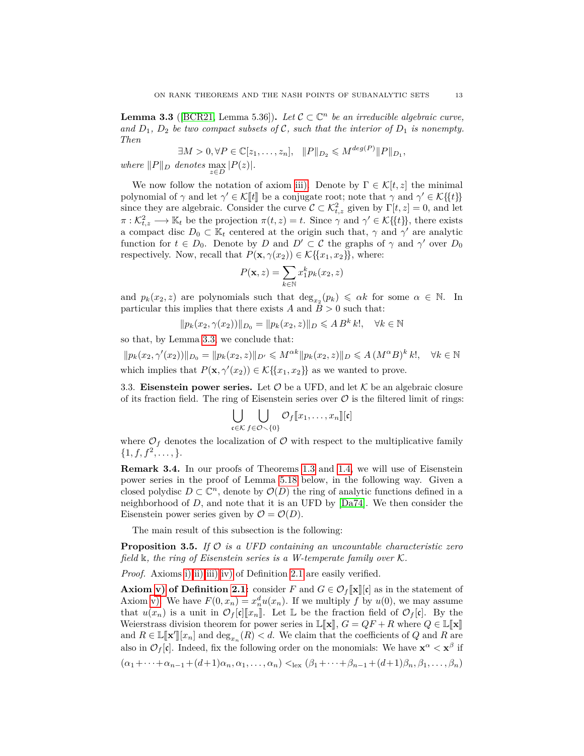<span id="page-12-1"></span>**Lemma 3.3** ([\[BCR21,](#page-48-2) Lemma 5.36]). Let  $C \subset \mathbb{C}^n$  be an irreducible algebraic curve, and  $D_1$ ,  $D_2$  be two compact subsets of C, such that the interior of  $D_1$  is nonempty. *Then*

 $\exists M > 0, \forall P \in \mathbb{C}[z_1, \ldots, z_n], \quad ||P||_{D_2} \leqslant M^{\deg(P)} ||P||_{D_1},$ 

 $where$   $||P||_D$  denotes  $\max_{z \in D} |P(z)|$ .

We now follow the notation of axiom [iii\).](#page-5-3) Denote by  $\Gamma \in \mathcal{K}[t, z]$  the minimal polynomial of *γ* and let  $\gamma' \in \mathcal{K}[[t]]$  be a conjugate root; note that *γ* and  $\gamma' \in \mathcal{K}\{\{t\}\}\$ since they are algebraic. Consider the curve  $\mathcal{C} \subset \mathcal{K}_{t,z}^2$  given by  $\Gamma[t, z] = 0$ , and let  $\pi: \mathcal{K}_{t,z}^2 \longrightarrow \mathbb{K}_t$  be the projection  $\pi(t,z) = t$ . Since  $\gamma$  and  $\gamma' \in \mathcal{K} \{ \{t \} \}$ , there exists a compact disc  $D_0 \subset \mathbb{K}_t$  centered at the origin such that,  $\gamma$  and  $\gamma'$  are analytic function for  $t \in D_0$ . Denote by *D* and  $D' \subset C$  the graphs of  $\gamma$  and  $\gamma'$  over  $D_0$ respectively. Now, recall that  $P(\mathbf{x}, \gamma(x_2)) \in \mathcal{K}\{\{x_1, x_2\}\}\,$ , where:

$$
P(\mathbf{x},z) = \sum_{k \in \mathbb{N}} x_1^k p_k(x_2,z)
$$

and  $p_k(x_2, z)$  are polynomials such that  $\deg_{x_2}(p_k) \leq \alpha k$  for some  $\alpha \in \mathbb{N}$ . In particular this implies that there exists  $A$  and  $B > 0$  such that:

$$
||p_k(x_2, \gamma(x_2))||_{D_0} = ||p_k(x_2, z)||_D \leq A B^k k!, \quad \forall k \in \mathbb{N}
$$

so that, by Lemma [3.3,](#page-12-1) we conclude that:

 $||p_k(x_2, \gamma'(x_2))||_{D_0} = ||p_k(x_2, z)||_{D'} \leq M^{\alpha k} ||p_k(x_2, z)||_D \leq A (M^{\alpha} B)^k$  $\forall k \in \mathbb{N}$ which implies that  $P(\mathbf{x}, \gamma'(x_2)) \in \mathcal{K}\{\{x_1, x_2\}\}\)$  as we wanted to prove.

<span id="page-12-0"></span>3.3. **Eisenstein power series.** Let  $\mathcal{O}$  be a UFD, and let  $\mathcal{K}$  be an algebraic closure of its fraction field. The ring of Eisenstein series over  $\mathcal O$  is the filtered limit of rings:

$$
\bigcup_{\mathfrak{c}\in\mathcal{K}}\bigcup_{f\in\mathcal{O}\setminus\{0\}}\mathcal{O}_f[\![x_1,\ldots,x_n]\!][\![\mathfrak{c}]\!]
$$

where  $\mathcal{O}_f$  denotes the localization of  $\mathcal O$  with respect to the multiplicative family  $\{1, f, f^2, \ldots, \}.$ 

**Remark 3.4.** In our proofs of Theorems [1.3](#page-2-1) and [1.4,](#page-3-0) we will use of Eisenstein power series in the proof of Lemma [5.18](#page-36-0) below, in the following way. Given a closed polydisc  $D \subset \mathbb{C}^n$ , denote by  $\mathcal{O}(D)$  the ring of analytic functions defined in a neighborhood of *D*, and note that it is an UFD by [\[Da74\]](#page-48-15). We then consider the Eisenstein power series given by  $\mathcal{O} = \mathcal{O}(D)$ .

The main result of this subsection is the following:

<span id="page-12-2"></span>**Proposition 3.5.** *If* O *is a UFD containing an uncountable characteristic zero field* k*, the ring of Eisenstein series is a W-temperate family over* K*.*

*Proof.* Axioms [i\)](#page-4-1) [ii\)](#page-4-2) [iii\)](#page-4-3) [iv\)](#page-4-4) of Definition [2.1](#page-4-0) are easily verified.

**Axiom v**) of Definition [2.1:](#page-4-0) consider *F* and  $G \in \mathcal{O}_f[\![\mathbf{x}]\!][\mathbf{c}]$  as in the statement of Axiom [v\).](#page-5-6) We have  $F(0, x_n) = x_n^d u(x_n)$ . If we multiply f by  $u(0)$ , we may assume that  $u(x_n)$  is a unit in  $\mathcal{O}_f[\mathfrak{c}][x_n]$ . Let L be the fraction field of  $\mathcal{O}_f[\mathfrak{c}]$ . By the Weierstrass division theorem for power series in  $\mathbb{L}[\![\mathbf{x}]\!], G = QF + R$  where  $Q \in \mathbb{L}[\![\mathbf{x}]\!]$ and  $R \in \mathbb{L}[\![\mathbf{x'}]\!][x_n]$  and  $\deg_{x_n}(R) < d$ . We claim that the coefficients of *Q* and *R* are<br>class in  $\mathcal{O}$  [d] Indeed, for the following order on the monomials. We have  $\mathbf{x}^{\alpha} \leq \mathbf{x}^{\beta}$  if also in  $\mathcal{O}_f[\mathfrak{c}]$ . Indeed, fix the following order on the monomials: We have  $\mathbf{x}^{\alpha} < \mathbf{x}^{\beta}$  if  $(\alpha_1 + \cdots + \alpha_{n-1} + (d+1)\alpha_n, \alpha_1, \ldots, \alpha_n) <_{\text{lex}} (\beta_1 + \cdots + \beta_{n-1} + (d+1)\beta_n, \beta_1, \ldots, \beta_n)$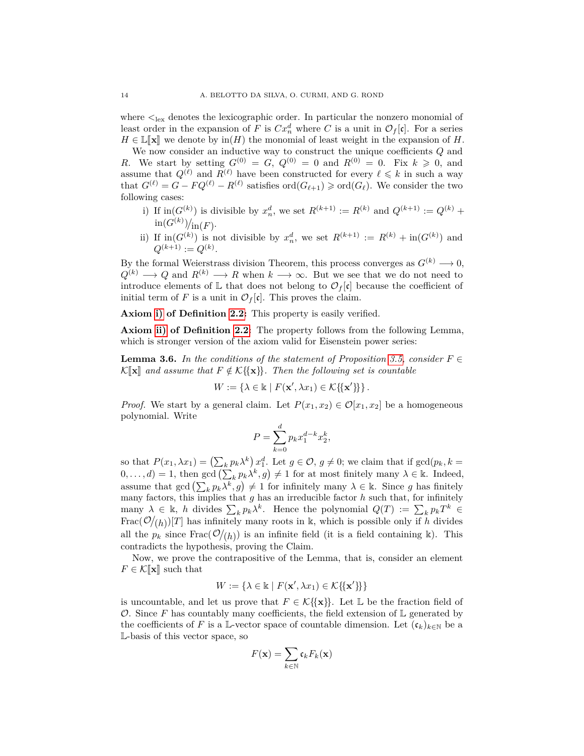where  $\langle \cdot \rangle_{\text{ex}}$  denotes the lexicographic order. In particular the nonzero monomial of least order in the expansion of *F* is  $Cx_n^d$  where *C* is a unit in  $\mathcal{O}_f[\mathfrak{c}]$ . For a series  $H \in \mathbb{L}[\![\mathbf{x}]\!]$  we denote by in(*H*) the monomial of least weight in the expansion of *H*.

We now consider an inductive way to construct the unique coefficients *Q* and *R*. We start by setting  $G^{(0)} = G$ ,  $Q^{(0)} = 0$  and  $R^{(0)} = 0$ . Fix  $k \ge 0$ , and assume that  $Q^{(\ell)}$  and  $R^{(\ell)}$  have been constructed for every  $\ell \leq k$  in such a way that  $G^{(\ell)} = G - FQ^{(\ell)} - R^{(\ell)}$  satisfies  $\text{ord}(G_{\ell+1}) \geq \text{ord}(G_{\ell})$ . We consider the two following cases:

- i) If  $\text{in}(G^{(k)})$  is divisible by  $x_n^d$ , we set  $R^{(k+1)} := R^{(k)}$  and  $Q^{(k+1)} := Q^{(k)} +$  $\text{in}(G^{(k)})/_{\text{in}(F)}.$
- ii) If  $\text{in}(G^{(k)})$  is not divisible by  $x_n^d$ , we set  $R^{(k+1)} := R^{(k)} + \text{in}(G^{(k)})$  and  $Q^{(k+1)} := Q^{(k)}$ .

By the formal Weierstrass division Theorem, this process converges as  $G^{(k)} \longrightarrow 0$ ,  $Q^{(k)} \longrightarrow Q$  and  $R^{(k)} \longrightarrow R$  when  $k \longrightarrow \infty$ . But we see that we do not need to introduce elements of  $\mathbb L$  that does not belong to  $\mathcal O_f[\mathfrak c]$  because the coefficient of initial term of *F* is a unit in  $\mathcal{O}_f[\mathfrak{c}]$ . This proves the claim.

**Axiom [i\)](#page-5-5) of Definition [2.2:](#page-5-0)** This property is easily verified.

**Axiom [ii\)](#page-5-2) of Definition [2.2:](#page-5-0)** The property follows from the following Lemma, which is stronger version of the axiom valid for Eisenstein power series:

**Lemma 3.6.** In the conditions of the statement of Proposition [3.5,](#page-12-2) consider  $F \in$  $\mathcal{K}[\![\mathbf{x}]\!]$  and assume that  $F \notin \mathcal{K}[\{\mathbf{x}\}]\!$ . Then the following set is countable

$$
W := \{ \lambda \in \mathbb{k} \mid F(\mathbf{x}', \lambda x_1) \in \mathcal{K} \{ \{ \mathbf{x}' \} \} \}.
$$

*Proof.* We start by a general claim. Let  $P(x_1, x_2) \in \mathcal{O}[x_1, x_2]$  be a homogeneous polynomial. Write

$$
P = \sum_{k=0}^{d} p_k x_1^{d-k} x_2^k,
$$

so that  $P(x_1, \lambda x_1) = (\sum_k p_k \lambda^k) x_1^d$ . Let  $g \in \mathcal{O}, g \neq 0$ ; we claim that if  $gcd(p_k, k = 1)$  $(0, \ldots, d) = 1$ , then gcd  $\left(\sum_k p_k \lambda^k, g\right) \neq 1$  for at most finitely many  $\lambda \in \mathbb{k}$ . Indeed, assume that  $gcd\left(\sum_k p_k \lambda^k, g\right) \neq 1$  for infinitely many  $\lambda \in \mathbb{k}$ . Since *g* has finitely many factors, this implies that *g* has an irreducible factor *h* such that, for infinitely many  $\lambda \in \mathbb{k}$ , *h* divides  $\sum_k p_k \lambda^k$ . Hence the polynomial  $Q(T) := \sum_k p_k T^k$ Frac $(\mathcal{O}/(h))$ [*T*] has infinitely many roots in k, which is possible only if *h* divides all the  $p_k$  since  $\text{Frac}(\mathcal{O}/(h))$  is an infinite field (it is a field containing k). This contradicts the hypothesis, proving the Claim.

Now, we prove the contrapositive of the Lemma, that is, consider an element  $F \in \mathcal{K}[\mathbf{x}]$  such that

$$
W := \{ \lambda \in \mathbb{k} \mid F(\mathbf{x}', \lambda x_1) \in \mathcal{K} \{ \{ \mathbf{x}' \} \} \}
$$

is uncountable, and let us prove that  $F \in \mathcal{K}\{\{\mathbf{x}\}\}\$ . Let  $\mathbb{L}$  be the fraction field of O. Since F has countably many coefficients, the field extension of  $\mathbb L$  generated by the coefficients of *F* is a L-vector space of countable dimension. Let  $(c_k)_{k\in\mathbb{N}}$  be a L-basis of this vector space, so

$$
F(\mathbf{x}) = \sum_{k \in \mathbb{N}} \mathfrak{c}_k F_k(\mathbf{x})
$$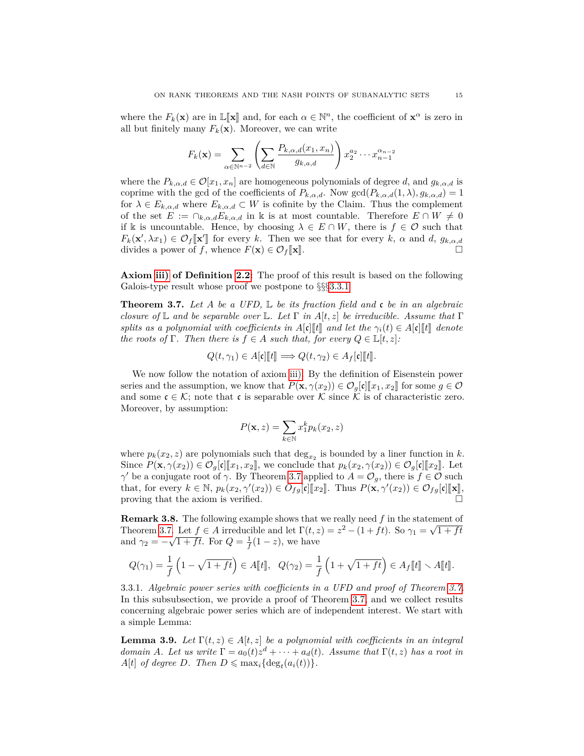where the  $F_k(\mathbf{x})$  are in  $\mathbb{L}[\mathbf{x}]$  and, for each  $\alpha \in \mathbb{N}^n$ , the coefficient of  $\mathbf{x}^\alpha$  is zero in all but finitely many  $F_k(\mathbf{x})$ . Moreover, we can write all but finitely many  $F_k(\mathbf{x})$ . Moreover, we can write

$$
F_k(\mathbf{x}) = \sum_{\alpha \in \mathbb{N}^{n-2}} \left( \sum_{d \in \mathbb{N}} \frac{P_{k,\alpha,d}(x_1, x_n)}{g_{k,a,d}} \right) x_2^{a_2} \cdots x_{n-1}^{a_{n-2}}
$$

where the  $P_{k,\alpha,d} \in \mathcal{O}[x_1,x_n]$  are homogeneous polynomials of degree *d*, and  $g_{k,\alpha,d}$  is coprime with the gcd of the coefficients of  $P_{k,\alpha,d}$ . Now gcd $(P_{k,\alpha,d}(1,\lambda), g_{k,\alpha,d}) = 1$ for  $\lambda \in E_{k,\alpha,d}$  where  $E_{k,\alpha,d} \subset W$  is cofinite by the Claim. Thus the complement of the set  $E := \bigcap_{k,\alpha,d} E_{k,\alpha,d}$  in k is at most countable. Therefore  $E \cap W \neq 0$ if k is uncountable. Hence, by choosing  $\lambda \in E \cap W$ , there is  $f \in \mathcal{O}$  such that  $F_k(\mathbf{x}', \lambda x_1) \in \mathcal{O}_f[\mathbf{x}']$  for every *k*. Then we see that for every *k*, *α* and *d*,  $g_{k,\alpha,d}$ <br>divides a power of for whome  $F(\mathbf{x}) \in \mathcal{O}$  for  $\mathbb{R}$ divides a power of *f*, whence  $F(\mathbf{x}) \in \mathcal{O}_f[\mathbf{x}]$ .

**Axiom [iii\)](#page-5-3) of Definition [2.2:](#page-5-0)** The proof of this result is based on the following Galois-type result whose proof we postpone to  $\S$ §§[3.3.1](#page-14-1)

<span id="page-14-0"></span>**Theorem 3.7.** *Let A be a UFD,* L *be its fraction field and* c *be in an algebraic closure of* L *and be separable over* L*. Let* Γ *in A*[*t, z*] *be irreducible. Assume that* Γ *splits as a polynomial with coefficients in*  $A[c][t]$  *and let the*  $\gamma_i(t) \in A[c][t]$  *denote the roots of*  $\Gamma$ *. Then there is*  $f \in A$  *such that, for every*  $Q \in \mathbb{L}[t, z]$ *:* 

$$
Q(t,\gamma_1)\in A[\mathfrak{c}][\![t]\!] \Longrightarrow Q(t,\gamma_2)\in A_f[\mathfrak{c}][\![t]\!].
$$

We now follow the notation of axiom [iii\).](#page-5-3) By the definition of Eisenstein power series and the assumption, we know that  $P(\mathbf{x}, \gamma(x_2)) \in \mathcal{O}_q[\mathfrak{c}][x_1, x_2]$  for some  $g \in \mathcal{O}$ and some  $\mathfrak{c} \in \mathcal{K}$ ; note that c is separable over K since K is of characteristic zero. Moreover, by assumption:

$$
P(\mathbf{x}, z) = \sum_{k \in \mathbb{N}} x_1^k p_k(x_2, z)
$$

where  $p_k(x_2, z)$  are polynomials such that  $\deg_{x_2}$  is bounded by a liner function in *k*. Since  $P(\mathbf{x}, \gamma(x_2)) \in \mathcal{O}_g[\mathfrak{c}][x_1, x_2],$  we conclude that  $p_k(x_2, \gamma(x_2)) \in \mathcal{O}_g[\mathfrak{c}][x_2].$  Let *γ*be a conjugate root of *γ*. By Theorem [3.7](#page-14-0) applied to  $A = \mathcal{O}_g$ , there is  $f \in \mathcal{O}$  such that, for every  $k \in \mathbb{N}$ ,  $p_k(x_2, \gamma'(x_2)) \in O_{fg}[\mathfrak{c}]\llbracket x_2 \rrbracket$ . Thus  $P(\mathbf{x}, \gamma'(x_2)) \in O_{fg}[\mathfrak{c}]\llbracket \mathbf{x} \rrbracket$ proving that the axiom is verified.

**Remark 3.8.** The following example shows that we really need  $f$  in the statement of Theorem [3.7.](#page-14-0) Let  $f \in A$  irreducible and let  $\Gamma(t, z) = z^2 - (1 + ft)$ . So  $\gamma_1 = \sqrt{1 + ft}$ and  $\gamma_2 = -\sqrt{1 + ft}$ . For  $Q = \frac{1}{f}(1 - z)$ , we have

$$
Q(\gamma_1) = \frac{1}{f} \left( 1 - \sqrt{1 + ft} \right) \in A[\![t]\!], \quad Q(\gamma_2) = \frac{1}{f} \left( 1 + \sqrt{1 + ft} \right) \in A_f[\![t]\!], \quad A[\![t]\!].
$$

<span id="page-14-1"></span>3.3.1. *Algebraic power series with coefficients in a UFD and proof of Theorem [3.7.](#page-14-0)* In this subsubsection, we provide a proof of Theorem [3.7,](#page-14-0) and we collect results concerning algebraic power series which are of independent interest. We start with a simple Lemma:

<span id="page-14-2"></span>**Lemma 3.9.** *Let*  $\Gamma(t, z) \in A[t, z]$  *be a polynomial with coefficients in an integral domain A. Let us write*  $\Gamma = a_0(t)z^d + \cdots + a_d(t)$ *. Assume that*  $\Gamma(t, z)$  *has a root in*  $A[t]$  *of degree D.* Then  $D \leq \max_i {\text{deg}_t(a_i(t))}.$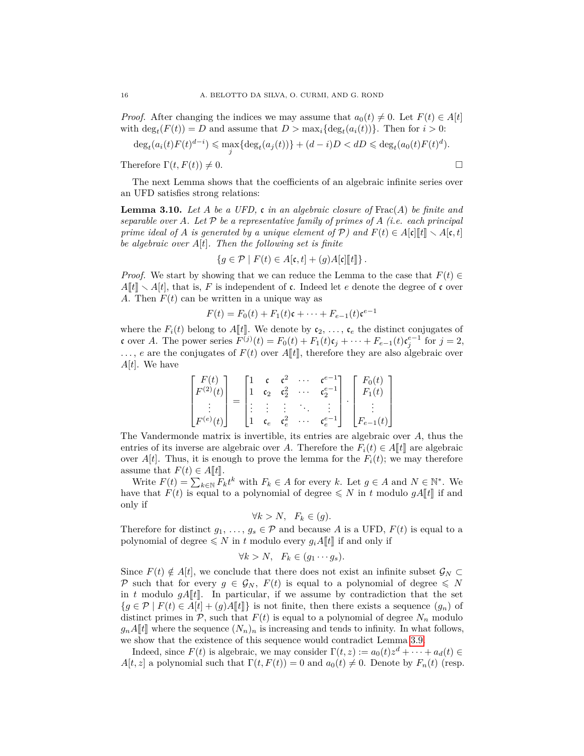*Proof.* After changing the indices we may assume that  $a_0(t) \neq 0$ . Let  $F(t) \in A[t]$ with  $\deg_t(F(t)) = D$  and assume that  $D > \max_i {\deg_t(a_i(t))}$ . Then for  $i > 0$ :

$$
\deg_t(a_i(t)F(t)^{d-i}) \leq \max_j \{ \deg_t(a_j(t)) \} + (d-i)D < dD \leq \deg_t(a_0(t)F(t)^d).
$$

Therefore  $\Gamma(t, F(t)) \neq 0$ .

The next Lemma shows that the coefficients of an algebraic infinite series over an UFD satisfies strong relations:

<span id="page-15-0"></span>**Lemma 3.10.** *Let A be a UFD,* c *in an algebraic closure of* Frac(*A*) *be finite and separable over*  $A$ *. Let*  $P$  *be a representative family of primes of*  $A$  (*i.e. each principal prime ideal of A is generated by a unique element of*  $\mathcal{P}$ *) and*  $F(t) \in A[\mathfrak{c}][\mathfrak{l}^*] \setminus A[\mathfrak{c},t]$ *be algebraic over A*[*t*]*. Then the following set is finite*

$$
\{g \in \mathcal{P} \mid F(t) \in A[\mathfrak{c},t] + (g)A[\mathfrak{c}][\![t]\!]\}.
$$

*Proof.* We start by showing that we can reduce the Lemma to the case that  $F(t) \in$  $A[t] \setminus A[t]$ , that is, F is independent of c. Indeed let *e* denote the degree of c over *A*. Then  $F(t)$  can be written in a unique way as

$$
F(t) = F_0(t) + F_1(t)\mathfrak{c} + \dots + F_{e-1}(t)\mathfrak{c}^{e-1}
$$

where the  $F_i(t)$  belong to  $A[t]$ . We denote by  $c_2, \ldots, c_e$  the distinct conjugates of c over *A*. The power series  $F^{(j)}(t) = F_0(t) + F_1(t)c_j + \cdots + F_{e-1}(t)c_j^{e-1}$  for  $j = 2$ ,  $\ldots$ , *e* are the conjugates of  $F(t)$  over  $A[[t]]$ , therefore they are also algebraic over *A*[*t*]. We have

$$
\begin{bmatrix} F(t) \\ F^{(2)}(t) \\ \vdots \\ F^{(e)}(t) \end{bmatrix} = \begin{bmatrix} 1 & c & c^2 & \cdots & c^{e-1} \\ 1 & c_2 & c_2^2 & \cdots & c_2^{e-1} \\ \vdots & \vdots & \vdots & \ddots & \vdots \\ 1 & c_e & c_e^2 & \cdots & c_e^{e-1} \end{bmatrix} \cdot \begin{bmatrix} F_0(t) \\ F_1(t) \\ \vdots \\ F_{e-1}(t) \end{bmatrix}
$$

The Vandermonde matrix is invertible, its entries are algebraic over *A*, thus the entries of its inverse are algebraic over *A*. Therefore the  $F_i(t) \in A[t]$  are algebraic over  $A[t]$ . Thus, it is enough to prove the lemma for the  $F_i(t)$ ; we may therefore assume that  $F(t) \in A[t]$ .

Write  $F(t) = \sum_{k \in \mathbb{N}} F_k t^k$  with  $F_k \in A$  for every *k*. Let  $g \in A$  and  $N \in \mathbb{N}^*$ . We have that  $F(t)$  is equal to a polynomial of degree  $\leq N$  in *t* modulo  $gA[[t]]$  if and only if

$$
\forall k > N, \quad F_k \in (g).
$$

Therefore for distinct  $g_1, \ldots, g_s \in \mathcal{P}$  and because *A* is a UFD,  $F(t)$  is equal to a polynomial of degree  $\leq N$  in *t* modulo every  $g_iA[t]$  if and only if

$$
\forall k > N, \quad F_k \in (g_1 \cdots g_s).
$$

Since  $F(t) \notin A[t]$ , we conclude that there does not exist an infinite subset  $\mathcal{G}_N \subset$ P such that for every  $g \in \mathcal{G}_N$ ,  $F(t)$  is equal to a polynomial of degree  $\leqslant N$ in  $t$  modulo  $gA[[t]]$ . In particular, if we assume by contradiction that the set  ${g \in \mathcal{P} \mid F(t) \in A[t] + (g)A[t]}$  is not finite, then there exists a sequence  $(g_n)$  of distinct primes in  $P$ , such that  $F(t)$  is equal to a polynomial of degree  $N_n$  modulo  $g_n A[[t]]$  where the sequence  $(N_n)_n$  is increasing and tends to infinity. In what follows, we show that the existence of this sequence would contradict Lemma [3.9.](#page-14-2)

Indeed, since  $F(t)$  is algebraic, we may consider  $\Gamma(t, z) := a_0(t)z^d + \cdots + a_d(t) \in$ *A*[*t*, *z*] a polynomial such that  $\Gamma(t, F(t)) = 0$  and  $a_0(t) \neq 0$ . Denote by  $F_n(t)$  (resp.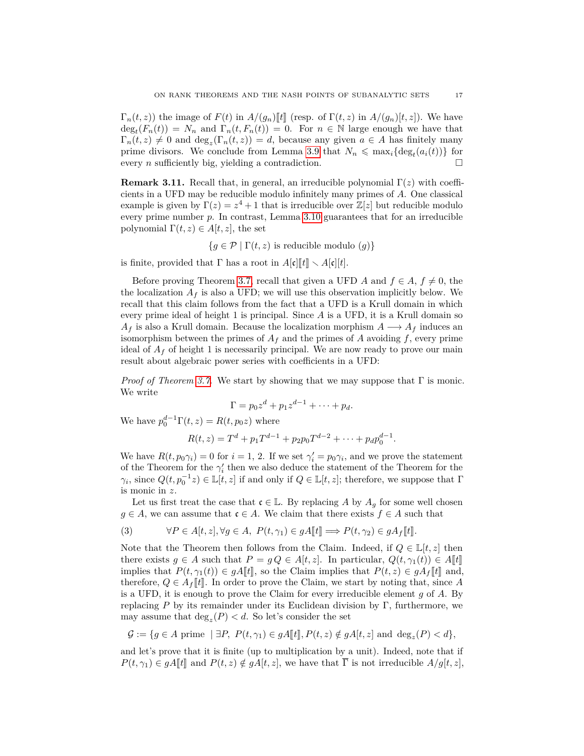$\Gamma_n(t, z)$ ) the image of  $F(t)$  in  $A/(g_n)\llbracket t \rrbracket$  (resp. of  $\Gamma(t, z)$  in  $A/(g_n)\llbracket t, z \rrbracket$ ). We have  $deg_t(F_n(t)) = N_n$  and  $\Gamma_n(t, F_n(t)) = 0$ . For  $n \in \mathbb{N}$  large enough we have that  $\Gamma_n(t, z) \neq 0$  and  $\deg_z(\Gamma_n(t, z)) = d$ , because any given  $a \in A$  has finitely many prime divisors. We conclude from Lemma [3.9](#page-14-2) that  $N_n \leq \max_i {\text{deg}_t(a_i(t))}$  for every *n* sufficiently big, yielding a contradiction.

**Remark 3.11.** Recall that, in general, an irreducible polynomial  $\Gamma(z)$  with coefficients in a UFD may be reducible modulo infinitely many primes of *A*. One classical example is given by  $\Gamma(z) = z^4 + 1$  that is irreducible over  $\mathbb{Z}[z]$  but reducible modulo every prime number *p*. In contrast, Lemma [3.10](#page-15-0) guarantees that for an irreducible polynomial  $\Gamma(t, z) \in A[t, z]$ , the set

 ${q \in \mathcal{P} \mid \Gamma(t,z) \text{ is reducible modulo } (q)}$ 

is finite, provided that  $\Gamma$  has a root in  $A[\mathfrak{c}][\mathfrak{k}]\setminus A[\mathfrak{c}][t]$ .

Before proving Theorem [3.7,](#page-14-0) recall that given a UFD *A* and  $f \in A$ ,  $f \neq 0$ , the the localization  $A_f$  is also a UFD; we will use this observation implicitly below. We recall that this claim follows from the fact that a UFD is a Krull domain in which every prime ideal of height 1 is principal. Since *A* is a UFD, it is a Krull domain so  $A_f$  is also a Krull domain. Because the localization morphism  $A \longrightarrow A_f$  induces an isomorphism between the primes of  $A_f$  and the primes of  $A$  avoiding  $f$ , every prime ideal of  $A_f$  of height 1 is necessarily principal. We are now ready to prove our main result about algebraic power series with coefficients in a UFD:

*Proof of Theorem [3.7.](#page-14-0)* We start by showing that we may suppose that Γ is monic. We write

$$
\Gamma = p_0 z^d + p_1 z^{d-1} + \dots + p_d.
$$

We have  $p_0^{d-1}\Gamma(t, z) = R(t, p_0 z)$  where

$$
R(t, z) = Td + p1 Td-1 + p2 p0 Td-2 + \dots + pd p0d-1.
$$

We have  $R(t, p_0 \gamma_i) = 0$  for  $i = 1, 2$ . If we set  $\gamma'_i = p_0 \gamma_i$ , and we prove the statement of the Theorem for the  $\gamma'_i$  then we also deduce the statement of the Theorem for the *γ*<sup>*i*</sup>, since  $Q(t, p_0^{-1}z) \in \mathbb{L}[t, z]$  if and only if  $Q \in \mathbb{L}[t, z]$ ; therefore, we suppose that  $\Gamma$ is monic in *z*.

Let us first treat the case that  $c \in \mathbb{L}$ . By replacing *A* by  $A_g$  for some well chosen *g* ∈ *A*, we can assume that  $c ∈ A$ . We claim that there exists  $f ∈ A$  such that

(3) 
$$
\forall P \in A[t, z], \forall g \in A, P(t, \gamma_1) \in gA[\![t]\!] \Longrightarrow P(t, \gamma_2) \in gA_f[\![t]\!].
$$

Note that the Theorem then follows from the Claim. Indeed, if  $Q \in \mathbb{L}[t, z]$  then there exists  $g \in A$  such that  $P = g Q \in A[t, z]$ . In particular,  $Q(t, \gamma_1(t)) \in A[t]$ implies that  $P(t, \gamma_1(t)) \in gA[t]$ , so the Claim implies that  $P(t, z) \in gA_f[t]$  and, therefore,  $Q \in A_f[[t]]$ . In order to prove the Claim, we start by noting that, since A is a UFD, it is enough to prove the Claim for every irreducible element *g* of *A*. By replacing *P* by its remainder under its Euclidean division by Γ, furthermore, we may assume that  $\deg_z(P) < d$ . So let's consider the set

$$
\mathcal{G} := \{ g \in A \text{ prime } \mid \exists P, \ P(t, \gamma_1) \in gA[\![t]\!], P(t, z) \notin gA[\![t, z]\!]
$$
and  $\deg_z(P) < d \},$ 

and let's prove that it is finite (up to multiplication by a unit). Indeed, note that if  $P(t, \gamma_1) \in gA$ [*t*] and  $P(t, z) \notin gA[t, z]$ , we have that  $\overline{\Gamma}$  is not irreducible  $A/g[t, z]$ ,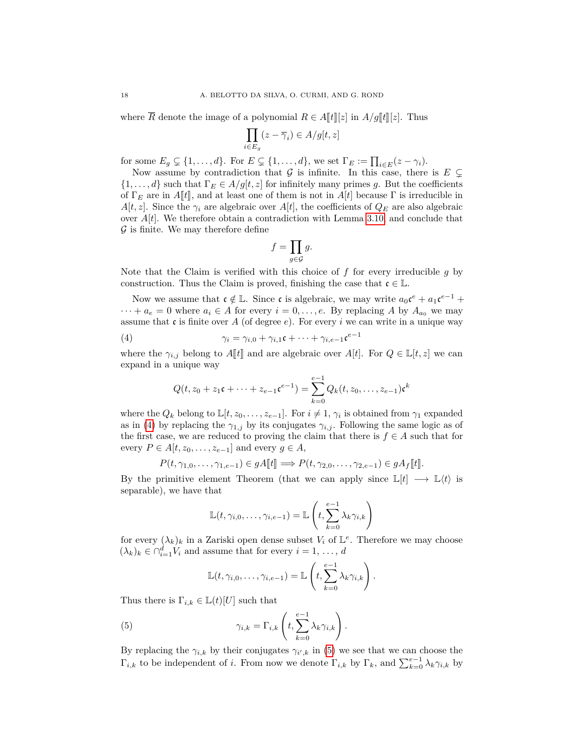where  $\overline{R}$  denote the image of a polynomial  $R \in A[[t]][z]$  in  $A/g[[t]][z]$ . Thus

$$
\prod_{i \in E_g} (z - \overline{\gamma}_i) \in A/g[t, z]
$$

for some  $E_g \subsetneq \{1, \ldots, d\}$ . For  $E \subsetneq \{1, \ldots, d\}$ , we set  $\Gamma_E := \prod_{i \in E} (z - \gamma_i)$ .

Now assume by contradiction that  $G$  is infinite. In this case, there is  $E \subsetneq$  $\{1, \ldots, d\}$  such that  $\Gamma_E \in A/g[t, z]$  for infinitely many primes g. But the coefficients of  $\Gamma_F$  are in *A*<sup>[[t]</sup>, and at least one of them is not in *A*[t] because  $\Gamma$  is irreducible in *A*[*t, z*]. Since the  $\gamma_i$  are algebraic over *A*[*t*], the coefficients of  $Q_E$  are also algebraic over  $A[t]$ . We therefore obtain a contradiction with Lemma [3.10,](#page-15-0) and conclude that  $\mathcal G$  is finite. We may therefore define

$$
f = \prod_{g \in \mathcal{G}} g.
$$

Note that the Claim is verified with this choice of *f* for every irreducible *g* by construction. Thus the Claim is proved, finishing the case that  $\mathfrak{c} \in \mathbb{L}$ .

Now we assume that  $c \notin \mathbb{L}$ . Since c is algebraic, we may write  $a_0 c^e + a_1 c^{e-1} +$  $\cdots + a_e = 0$  where  $a_i \in A$  for every  $i = 0, \ldots, e$ . By replacing A by  $A_{a_0}$  we may assume that  $\mathfrak c$  is finite over *A* (of degree *e*). For every *i* we can write in a unique way

(4) 
$$
\gamma_i = \gamma_{i,0} + \gamma_{i,1}\mathfrak{c} + \cdots + \gamma_{i,e-1}\mathfrak{c}^{e-1}
$$

where the  $\gamma_{i,j}$  belong to  $A[\![t]\!]$  and are algebraic over  $A[t]$ . For  $Q \in \mathbb{L}[t, z]$  we can expand in a unique way

<span id="page-17-0"></span>
$$
Q(t, z_0 + z_1 \mathfrak{c} + \dots + z_{e-1} \mathfrak{c}^{e-1}) = \sum_{k=0}^{e-1} Q_k(t, z_0, \dots, z_{e-1}) \mathfrak{c}^k
$$

where the  $Q_k$  belong to  $\mathbb{L}[t, z_0, \ldots, z_{e-1}]$ . For  $i \neq 1, \gamma_i$  is obtained from  $\gamma_1$  expanded as in [\(4\)](#page-17-0) by replacing the  $\gamma_{1,j}$  by its conjugates  $\gamma_{i,j}$ . Following the same logic as of the first case, we are reduced to proving the claim that there is  $f \in A$  such that for every  $P \in A[t, z_0, \ldots, z_{e-1}]$  and every  $g \in A$ ,

$$
P(t, \gamma_{1,0}, \dots, \gamma_{1,e-1}) \in gA[\![t]\!] \Longrightarrow P(t, \gamma_{2,0}, \dots, \gamma_{2,e-1}) \in gA_f[\![t]\!].
$$

By the primitive element Theorem (that we can apply since  $\mathbb{L}[t] \longrightarrow \mathbb{L}\langle t \rangle$  is separable), we have that

$$
\mathbb{L}(t, \gamma_{i,0}, \dots, \gamma_{i,e-1}) = \mathbb{L}\left(t, \sum_{k=0}^{e-1} \lambda_k \gamma_{i,k}\right)
$$

for every  $(\lambda_k)_k$  in a Zariski open dense subset  $V_i$  of  $\mathbb{L}^e$ . Therefore we may choose  $(\lambda_k)_k \in \bigcap_{i=1}^d V_i$  and assume that for every  $i = 1, \ldots, d$ 

<span id="page-17-1"></span>
$$
\mathbb{L}(t, \gamma_{i,0}, \ldots, \gamma_{i,e-1}) = \mathbb{L}\left(t, \sum_{k=0}^{e-1} \lambda_k \gamma_{i,k}\right).
$$

Thus there is  $\Gamma_{i,k} \in L(t)[U]$  such that

(5) 
$$
\gamma_{i,k} = \Gamma_{i,k} \left( t, \sum_{k=0}^{e-1} \lambda_k \gamma_{i,k} \right).
$$

By replacing the  $\gamma_{i,k}$  by their conjugates  $\gamma_{i',k}$  in [\(5\)](#page-17-1) we see that we can choose the  $\Gamma_{i,k}$  to be independent of *i*. From now we denote  $\Gamma_{i,k}$  by  $\Gamma_k$ , and  $\sum_{k=0}^{e-1} \lambda_k \gamma_{i,k}$  by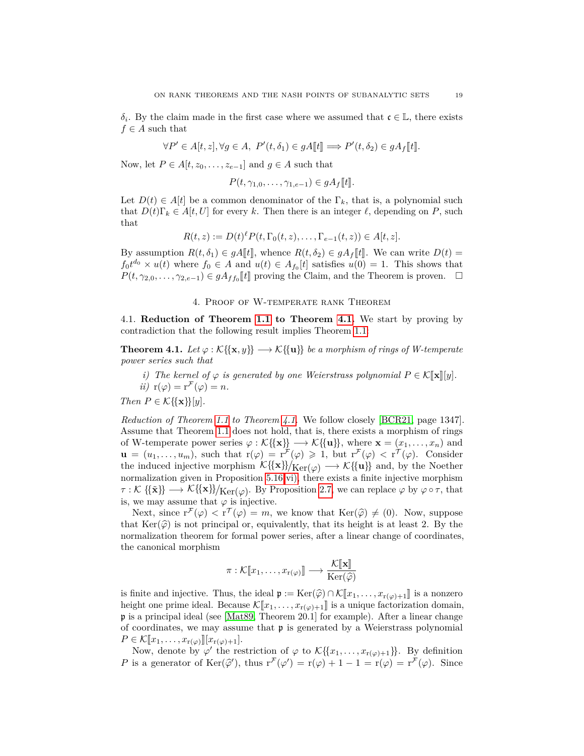$\delta_i$ . By the claim made in the first case where we assumed that  $\mathfrak{c} \in \mathbb{L}$ , there exists  $f \in A$  such that

$$
\forall P' \in A[t, z], \forall g \in A, \ P'(t, \delta_1) \in gA[\![t]\!] \Longrightarrow P'(t, \delta_2) \in gA_f[\![t]\!].
$$

Now, let  $P \in A[t, z_0, \ldots, z_{e-1}]$  and  $g \in A$  such that

$$
P(t, \gamma_{1,0}, \ldots, \gamma_{1,e-1}) \in gA_f[[t]].
$$

Let  $D(t) \in A[t]$  be a common denominator of the  $\Gamma_k$ , that is, a polynomial such that  $D(t)\Gamma_k \in A[t,U]$  for every k. Then there is an integer  $\ell$ , depending on P, such that

$$
R(t, z) := D(t)^{\ell} P(t, \Gamma_0(t, z), \dots, \Gamma_{e-1}(t, z)) \in A[t, z].
$$

By assumption  $R(t, \delta_1) \in gA$  |t|, whence  $R(t, \delta_2) \in gA_f$ |t|. We can write  $D(t)$  =  $f_0 t^{d_0} \times u(t)$  where  $f_0 \in A$  and  $u(t) \in A_{f_0}[t]$  satisfies  $u(0) = 1$ . This shows that  $P(t, \gamma_{2,0}, \ldots, \gamma_{2,e-1}) \in gA_{ff_0}[[t]]$  proving the Claim, and the Theorem is proven.  $\square$ 

## 4. Proof of W-temperate rank Theorem

4.1. **Reduction of Theorem [1.1](#page-1-0) to Theorem [4.1.](#page-18-0)** We start by proving by contradiction that the following result implies Theorem [1.1:](#page-1-0)

<span id="page-18-0"></span>**Theorem 4.1.** *Let*  $\varphi : \mathcal{K}\{\{x, y\}\} \longrightarrow \mathcal{K}\{\{u\}\}\$ be a morphism of rings of W-temperate *power series such that*

*i*) *The kernel of*  $\varphi$  *is generated by one Weierstrass polynomial*  $P \in \mathcal{K}[\![\mathbf{x}]\!][y]$ *. ii*)  $r(\varphi) = r^{\mathcal{F}}(\varphi) = n$ .

*Then*  $P \in \mathcal{K} \{ \{ \mathbf{x} \} \} [y].$ 

*Reduction of Theorem [1.1](#page-1-0) to Theorem [4.1.](#page-18-0)* We follow closely [\[BCR21,](#page-48-2) page 1347]. Assume that Theorem [1.1](#page-1-0) does not hold, that is, there exists a morphism of rings of W-temperate power series  $\varphi : \mathcal{K}\{\{x\}\}\longrightarrow \mathcal{K}\{\{u\}\}\,$ , where  $\mathbf{x} = (x_1, \ldots, x_n)$  and  $\mathbf{u} = (u_1, \ldots, u_m)$ , such that  $\mathbf{r}(\varphi) = \mathbf{r}^{\mathcal{F}}(\varphi) \geq 1$ , but  $\mathbf{r}^{\mathcal{F}}(\varphi) < \mathbf{r}^{\mathcal{T}}(\varphi)$ . Consider the induced injective morphism  $\mathcal{K}(\{x\})/Ker(\varphi) \longrightarrow \mathcal{K}(\{u\})$  and, by the Noether normalization given in Proposition [5.16](#page-35-0) [vi\),](#page-8-5) there exists a finite injective morphism  $\tau:\mathcal{K}\{\{\mathbf{x}\}\}\longrightarrow \mathcal{K}\{\{\mathbf{x}\}\}\mid_{\mathbf{Ker}(\varphi)}$ . By Proposition [2.7,](#page-6-0) we can replace  $\varphi$  by  $\varphi \circ \tau$ , that is, we may assume that  $\varphi$  is injective.

Next, since  $r^{\mathcal{F}}(\varphi) < r^{\mathcal{T}}(\varphi) = m$ , we know that  $\text{Ker}(\widehat{\varphi}) \neq (0)$ . Now, suppose<br>of  $\text{Ker}(\widehat{\varphi})$  is not principal or equivalently that its hoight is at least 2. By the that  $\text{Ker}(\hat{\varphi})$  is not principal or, equivalently, that its height is at least 2. By the normalization theorem for formal power series, after a linear change of coordinates, the canonical morphism

$$
\pi: \mathcal{K}[\![x_1,\ldots,x_{r(\varphi)}]\!] \longrightarrow \frac{\mathcal{K}[\![\mathbf{x}]\!]}{\mathrm{Ker}(\widehat{\varphi})}
$$

is finite and injective. Thus, the ideal  $\mathfrak{p} := \text{Ker}(\widehat{\varphi}) \cap \mathcal{K}[\![x_1, \ldots, x_{r(\varphi)+1}]\!]$  is a nonzero height one prime ideal. Because  $\mathcal{K}[\![x_1,\ldots,x_{r(\varphi)+1}]\!]$  is a unique factorization domain, p is a principal ideal (see [\[Mat89,](#page-49-8) Theorem 20.1] for example). After a linear change of coordinates, we may assume that  $\mathfrak p$  is generated by a Weierstrass polynomial  $P \in \mathcal{K}[\![x_1, \ldots, x_{r(\varphi)}]\!][x_{r(\varphi)+1}].$ 

Now, denote by  $\varphi'$  the restriction of  $\varphi$  to  $\mathcal{K}\{\{x_1,\ldots,x_{r(\varphi)+1}\}\}\.$  By definition *P* is a generator of  $\text{Ker}(\hat{\varphi}')$ , thus  $r^{\mathcal{F}}(\varphi') = r(\varphi) + 1 - 1 = r(\varphi) = r^{\mathcal{F}}(\varphi)$ . Since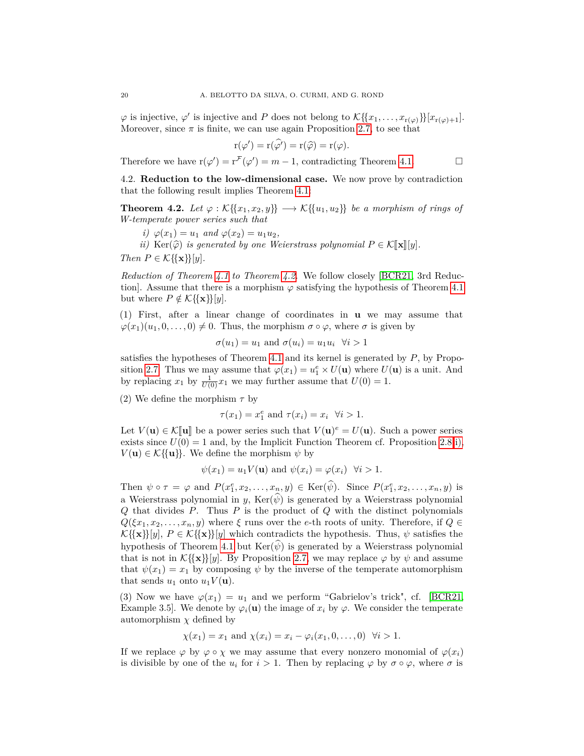$\varphi$  is injective,  $\varphi'$  is injective and *P* does not belong to  $\mathcal{K}\{\{x_1,\ldots,x_{r(\varphi)}\}\}[x_{r(\varphi)+1}].$ Moreover, since  $\pi$  is finite, we can use again Proposition [2.7,](#page-6-0) to see that

$$
r(\varphi') = r(\widehat{\varphi'}) = r(\widehat{\varphi}) = r(\varphi).
$$

Therefore we have  $r(\varphi') = r^{\mathcal{F}}(\varphi') = m - 1$ , contradicting Theorem [4.1.](#page-18-0)

<span id="page-19-0"></span>4.2. **Reduction to the low-dimensional case.** We now prove by contradiction that the following result implies Theorem [4.1:](#page-18-0)

<span id="page-19-1"></span>**Theorem 4.2.** *Let*  $\varphi : \mathcal{K}\{\{x_1, x_2, y\}\} \longrightarrow \mathcal{K}\{\{u_1, u_2\}\}\$  *be a morphism of rings of W-temperate power series such that*

- *i*)  $\varphi(x_1) = u_1$  *and*  $\varphi(x_2) = u_1u_2$ ,
- *ii*) Ker( $\widehat{\varphi}$ ) *is generated by one Weierstrass polynomial*  $P \in \mathcal{K}[\![\mathbf{x}]\!][y]$ *.*

*Then*  $P \in \mathcal{K} \{\{\mathbf{x}\}\}[y]$ *.* 

*Reduction of Theorem [4.1](#page-18-0) to Theorem [4.2.](#page-19-1)* We follow closely [\[BCR21,](#page-48-2) 3rd Reduction]. Assume that there is a morphism  $\varphi$  satisfying the hypothesis of Theorem [4.1](#page-18-0) but where  $P \notin \mathcal{K} \{\{\mathbf{x}\}\}[y]$ .

(1) First, after a linear change of coordinates in **u** we may assume that  $\varphi(x_1)(u_1, 0, \ldots, 0) \neq 0$ . Thus, the morphism  $\sigma \circ \varphi$ , where  $\sigma$  is given by

$$
\sigma(u_1) = u_1
$$
 and  $\sigma(u_i) = u_1 u_i$   $\forall i > 1$ 

satisfies the hypotheses of Theorem [4.1](#page-18-0) and its kernel is generated by *P*, by Propo-sition [2.7.](#page-6-0) Thus we may assume that  $\varphi(x_1) = u_1^e \times U(\mathbf{u})$  where  $U(\mathbf{u})$  is a unit. And by replacing  $x_1$  by  $\frac{1}{U(0)}x_1$  we may further assume that  $U(0) = 1$ .

(2) We define the morphism  $\tau$  by

$$
\tau(x_1) = x_1^e \text{ and } \tau(x_i) = x_i \quad \forall i > 1.
$$

Let  $V(\mathbf{u}) \in \mathcal{K}[\![\mathbf{u}]\!]$  be a power series such that  $V(\mathbf{u})^e = U(\mathbf{u})$ . Such a power series oriets since  $U(0) = 1$  and by the Implicit Eunction Theorem of Proposition 2.8.j) exists since  $U(0) = 1$  and, by the Implicit Function Theorem cf. Proposition [2.8](#page-7-0) [i\),](#page-7-1)  $V(\mathbf{u}) \in \mathcal{K}\{\{\mathbf{u}\}\}\$ . We define the morphism  $\psi$  by

$$
\psi(x_1) = u_1 V(\mathbf{u})
$$
 and  $\psi(x_i) = \varphi(x_i)$   $\forall i > 1$ .

Then  $\psi \circ \tau = \varphi$  and  $P(x_1^e, x_2, \ldots, x_n, y) \in \text{Ker}(\widehat{\psi})$ . Since  $P(x_1^e, x_2, \ldots, x_n, y)$  is a Weierstrass polynomial in *y*,  $\text{Ker}(\widehat{\psi})$  is generated by a Weierstrass polynomial *Q* that divides *P*. Thus *P* is the product of *Q* with the distinct polynomials  $Q(\xi x_1, x_2, \ldots, x_n, y)$  where  $\xi$  runs over the *e*-th roots of unity. Therefore, if  $Q \in$  $\mathcal{K}\{\{\mathbf{x}\}\}[y], P \in \mathcal{K}\{\{\mathbf{x}\}\}[y]$  which contradicts the hypothesis. Thus,  $\psi$  satisfies the hypothesis of Theorem [4.1](#page-18-0) but  $\text{Ker}(\psi)$  is generated by a Weierstrass polynomial that is not in  $\mathcal{K}\{\{\mathbf{x}\}\}[y]$ . By Proposition [2.7,](#page-6-0) we may replace  $\varphi$  by  $\psi$  and assume that  $\psi(x_1) = x_1$  by composing  $\psi$  by the inverse of the temperate automorphism that sends  $u_1$  onto  $u_1V(\mathbf{u})$ .

(3) Now we have  $\varphi(x_1) = u_1$  and we perform "Gabrielov's trick", cf. [\[BCR21,](#page-48-2) Example 3.5]. We denote by  $\varphi_i(\mathbf{u})$  the image of  $x_i$  by  $\varphi$ . We consider the temperate automorphism  $\chi$  defined by

$$
\chi(x_1) = x_1
$$
 and  $\chi(x_i) = x_i - \varphi_i(x_1, 0, \dots, 0) \quad \forall i > 1.$ 

If we replace  $\varphi$  by  $\varphi \circ \chi$  we may assume that every nonzero monomial of  $\varphi(x_i)$ is divisible by one of the  $u_i$  for  $i > 1$ . Then by replacing  $\varphi$  by  $\sigma \circ \varphi$ , where  $\sigma$  is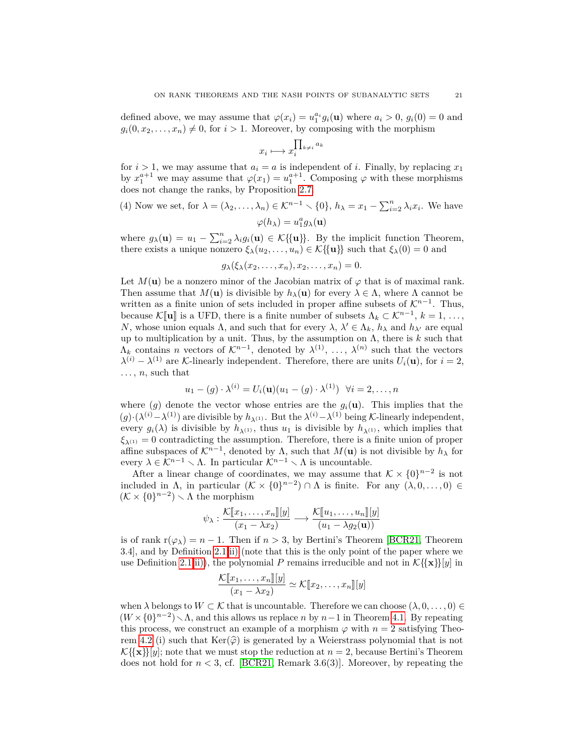defined above, we may assume that  $\varphi(x_i) = u_1^{a_i} g_i(\mathbf{u})$  where  $a_i > 0$ ,  $g_i(0) = 0$  and  $g_i(0, x_2, \ldots, x_n) \neq 0$ , for  $i > 1$ . Moreover, by composing with the morphism

$$
x_i \longmapsto x_i^{\prod_{k \neq i} a_k}
$$

for  $i > 1$ , we may assume that  $a_i = a$  is independent of *i*. Finally, by replacing  $x_1$ by  $x_1^{a+1}$  we may assume that  $\varphi(x_1) = u_1^{a+1}$ . Composing  $\varphi$  with these morphisms does not change the ranks, by Proposition [2.7.](#page-6-0)

(4) Now we set, for 
$$
\lambda = (\lambda_2, ..., \lambda_n) \in \mathcal{K}^{n-1} \setminus \{0\}
$$
,  $h_{\lambda} = x_1 - \sum_{i=2}^n \lambda_i x_i$ . We have 
$$
\varphi(h_{\lambda}) = u_1^a g_{\lambda}(\mathbf{u})
$$

where  $g_{\lambda}(\mathbf{u}) = u_1 - \sum_{i=2}^n \lambda_i g_i(\mathbf{u}) \in \mathcal{K}\{\{\mathbf{u}\}\}\$ . By the implicit function Theorem, there exists a unique nonzero  $\xi_{\lambda}(u_2, \ldots, u_n) \in \mathcal{K}\{\{\mathbf{u}\}\}\$  such that  $\xi_{\lambda}(0) = 0$  and

 $g_{\lambda}(\xi_{\lambda}(x_2, \ldots, x_n), x_2, \ldots, x_n) = 0.$ 

Let  $M(\mathbf{u})$  be a nonzero minor of the Jacobian matrix of  $\varphi$  that is of maximal rank. Then assume that  $M(\mathbf{u})$  is divisible by  $h_{\lambda}(\mathbf{u})$  for every  $\lambda \in \Lambda$ , where  $\Lambda$  cannot be written as a finite union of sets included in proper affine subsets of  $\mathcal{K}^{n-1}$ . Thus, because  $\mathcal{K}[\![\mathbf{u}]\!]$  is a UFD, there is a finite number of subsets  $\Lambda_k \subset \mathcal{K}^{n-1}, k = 1, \ldots, N$  whose union couple  $\Lambda$  and such that for every  $\Lambda_k \setminus \Lambda$  and he and he are coupled *N*, whose union equals  $\Lambda$ , and such that for every  $\lambda$ ,  $\lambda' \in \Lambda_k$ ,  $h_\lambda$  and  $h_{\lambda'}$  are equal up to multiplication by a unit. Thus, by the assumption on  $\Lambda$ , there is  $k$  such that  $\Lambda_k$  contains *n* vectors of  $\mathcal{K}^{n-1}$ , denoted by  $\lambda^{(1)}$ , ...,  $\lambda^{(n)}$  such that the vectors  $\lambda^{(i)} - \lambda^{(1)}$  are K-linearly independent. Therefore, there are units  $U_i(\mathbf{u})$ , for  $i = 2$ ,  $\ldots$ , *n*, such that

$$
u_1 - (g) \cdot \lambda^{(i)} = U_i(\mathbf{u})(u_1 - (g) \cdot \lambda^{(1)}) \quad \forall i = 2, \dots, n
$$

where  $(g)$  denote the vector whose entries are the  $g_i(\mathbf{u})$ . This implies that the  $(g) \cdot (\lambda^{(i)} - \lambda^{(1)})$  are divisible by  $h_{\lambda^{(1)}}$ . But the  $\lambda^{(i)} - \lambda^{(1)}$  being K-linearly independent, every  $g_i(\lambda)$  is divisible by  $h_{\lambda^{(1)}}$ , thus  $u_1$  is divisible by  $h_{\lambda^{(1)}}$ , which implies that  $\xi_{\lambda^{(1)}} = 0$  contradicting the assumption. Therefore, there is a finite union of proper affine subspaces of  $\mathcal{K}^{n-1}$ , denoted by  $\Lambda$ , such that  $M(\mathbf{u})$  is not divisible by  $h_{\lambda}$  for every  $\lambda \in \mathcal{K}^{n-1} \setminus \Lambda$ . In particular  $\mathcal{K}^{n-1} \setminus \Lambda$  is uncountable.

After a linear change of coordinates, we may assume that  $\mathcal{K} \times \{0\}^{n-2}$  is not included in  $\Lambda$ , in particular  $(K \times \{0\}^{n-2}) \cap \Lambda$  is finite. For any  $(\lambda, 0, \ldots, 0) \in$  $(K \times \{0\}^{n-2}) \setminus \Lambda$  the morphism

$$
\psi_{\lambda}: \frac{\mathcal{K}[\![x_1,\ldots,x_n]\!][y]}{(x_1-\lambda x_2)}\longrightarrow \frac{\mathcal{K}[\![u_1,\ldots,u_n]\!][y]}{(u_1-\lambda g_2(\mathbf{u}))}
$$

is of rank  $r(\varphi_{\lambda}) = n - 1$ . Then if  $n > 3$ , by Bertini's Theorem [\[BCR21,](#page-48-2) Theorem 3.4], and by Definition [2.1](#page-4-0) [ii\)](#page-5-2) (note that this is the only point of the paper where we use Definition [2.1](#page-4-0) [ii\)\)](#page-5-2), the polynomial P remains irreducible and not in  $\mathcal{K}\{\mathbf{x}\}[y]$  in

$$
\frac{\mathcal{K}[\![x_1,\ldots,x_n]\!][y]}{(x_1-\lambda x_2)} \simeq \mathcal{K}[\![x_2,\ldots,x_n]\!][y]
$$

when  $\lambda$  belongs to  $W \subset \mathcal{K}$  that is uncountable. Therefore we can choose  $(\lambda, 0, \ldots, 0) \in$  $(W \times \{0\}^{n-2})$  A, and this allows us replace *n* by *n*−1 in Theorem [4.1.](#page-18-0) By repeating this process, we construct an example of a morphism  $\varphi$  with  $n=2$  satisfying Theo-rem [4.2](#page-19-1) (i) such that  $\text{Ker}(\hat{\varphi})$  is generated by a Weierstrass polynomial that is not  $\mathcal{K} \{\mathbf{x}\}\}[y]$ ; note that we must stop the reduction at  $n = 2$ , because Bertini's Theorem does not hold for *n <* 3, cf. [\[BCR21,](#page-48-2) Remark 3.6(3)]. Moreover, by repeating the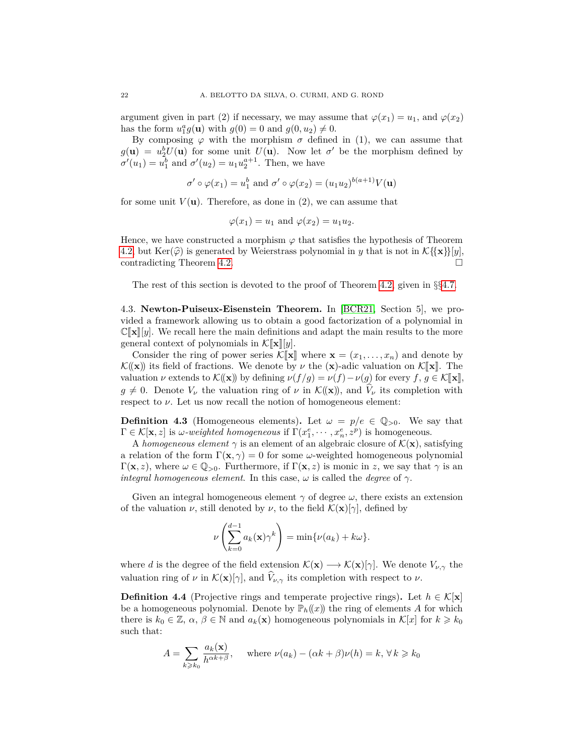argument given in part (2) if necessary, we may assume that  $\varphi(x_1) = u_1$ , and  $\varphi(x_2)$ has the form  $u_1^a g(\mathbf{u})$  with  $g(0) = 0$  and  $g(0, u_2) \neq 0$ .

By composing  $\varphi$  with the morphism  $\sigma$  defined in (1), we can assume that  $g(\mathbf{u}) = u_2^b U(\mathbf{u})$  for some unit  $U(\mathbf{u})$ . Now let  $\sigma'$  be the morphism defined by  $\sigma'(u_1) = u_1^b$  and  $\sigma'(u_2) = u_1 u_2^{a+1}$ . Then, we have

$$
\sigma' \circ \varphi(x_1) = u_1^b
$$
 and  $\sigma' \circ \varphi(x_2) = (u_1 u_2)^{b(a+1)} V(\mathbf{u})$ 

for some unit  $V(\mathbf{u})$ . Therefore, as done in (2), we can assume that

$$
\varphi(x_1) = u_1 \text{ and } \varphi(x_2) = u_1 u_2.
$$

Hence, we have constructed a morphism  $\varphi$  that satisfies the hypothesis of Theorem [4.2,](#page-19-1) but Ker( $\hat{\varphi}$ ) is generated by Weierstrass polynomial in *y* that is not in  $\mathcal{K}\{\{\mathbf{x}\}\}[y]$ , contradicting Theorem 4.2 contradicting Theorem [4.2.](#page-19-1)

The rest of this section is devoted to the proof of Theorem [4.2,](#page-19-1) given in §§[4.7.](#page-30-0)

4.3. **Newton-Puiseux-Eisenstein Theorem.** In [\[BCR21,](#page-48-2) Section 5], we provided a framework allowing us to obtain a good factorization of a polynomial in  $\mathbb{C}[\![\mathbf{x}]\!]$  we recall here the main definitions and adapt the main results to the more general context of polynomials in  $\mathcal{K}[\![\mathbf{x}]\!][y]$ .

Consider the ring of power series  $\mathcal{K}[\mathbf{x}]$  where  $\mathbf{x} = (x_1, \ldots, x_n)$  and denote by  $\mathcal{K}(\mathbf{x})$  its field of fractions. We denote by  $\nu$  the  $(\mathbf{x})$ -adic valuation on  $\mathcal{K}[\mathbf{x}]$ . The valuation  $\nu$  extends to  $\mathcal{K}(\mathbf{x})$  by defining  $\nu(f/g) = \nu(f) - \nu(g)$  for every  $f, g \in \mathcal{K}[\![\mathbf{x}]\!]$ ,  $g \neq 0$ . Denote  $V_\nu$  the valuation ring of  $\nu$  in  $\mathcal{K}(\mathbf{x})$ , and  $V_\nu$  its completion with respect to  $\nu$ . Let us now recall the notion of homogeneous element:

<span id="page-21-1"></span>**Definition 4.3** (Homogeneous elements). Let  $\omega = p/e \in \mathbb{Q}_{>0}$ . We say that  $\Gamma \in \mathcal{K}[\mathbf{x}, z]$  is *ω-weighted homogeneous* if  $\Gamma(x_1^e, \dots, x_n^e, z^p)$  is homogeneous.

A *homogeneous element*  $\gamma$  is an element of an algebraic closure of  $\mathcal{K}(\mathbf{x})$ , satisfying a relation of the form  $\Gamma(\mathbf{x}, \gamma) = 0$  for some *ω*-weighted homogeneous polynomial  $Γ(**x**, z)$ , where  $ω ∈ Q_{≥0}$ . Furthermore, if  $Γ(**x**, z)$  is monic in *z*, we say that *γ* is an *integral homogeneous element*. In this case,  $\omega$  is called the *degree* of  $\gamma$ .

Given an integral homogeneous element  $\gamma$  of degree  $\omega$ , there exists an extension of the valuation *ν*, still denoted by *ν*, to the field  $\mathcal{K}(\mathbf{x})[\gamma]$ , defined by

$$
\nu\left(\sum_{k=0}^{d-1} a_k(\mathbf{x})\gamma^k\right) = \min\{\nu(a_k) + k\omega\}.
$$

where *d* is the degree of the field extension  $\mathcal{K}(\mathbf{x}) \longrightarrow \mathcal{K}(\mathbf{x})[\gamma]$ . We denote  $V_{\nu,\gamma}$  the valuation ring of  $\nu$  in  $\mathcal{K}(\mathbf{x})[\gamma]$ , and  $\hat{V}_{\nu,\gamma}$  its completion with respect to  $\nu$ .

<span id="page-21-0"></span>**Definition 4.4** (Projective rings and temperate projective rings). Let  $h \in \mathcal{K}[\mathbf{x}]$ be a homogeneous polynomial. Denote by  $\mathbb{P}_h(x)$  the ring of elements *A* for which there is  $k_0 \in \mathbb{Z}$ ,  $\alpha, \beta \in \mathbb{N}$  and  $a_k(\mathbf{x})$  homogeneous polynomials in  $\mathcal{K}[x]$  for  $k \geq k_0$ such that:

$$
A = \sum_{k \ge k_0} \frac{a_k(\mathbf{x})}{h^{\alpha k + \beta}}, \quad \text{where } \nu(a_k) - (\alpha k + \beta)\nu(h) = k, \forall k \ge k_0
$$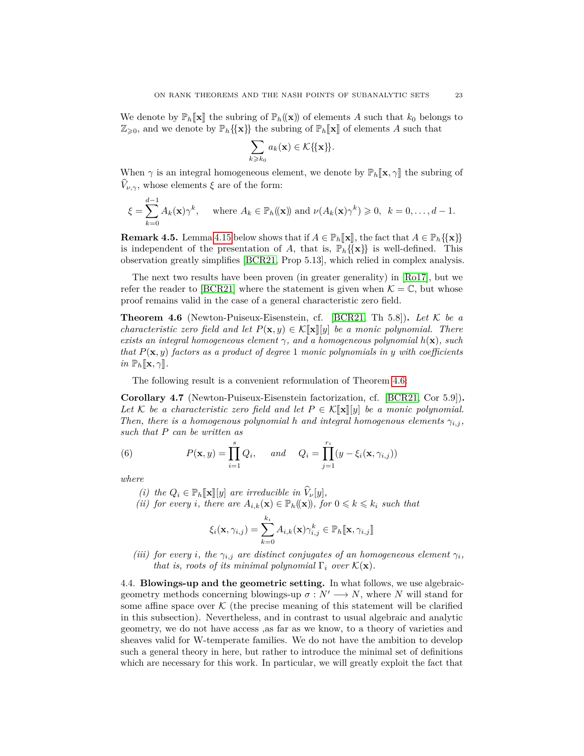We denote by  $\mathbb{P}_h[\mathbf{x}]$  the subring of  $\mathbb{P}_h((\mathbf{x}))$  of elements A such that  $k_0$  belongs to  $\mathbb{Z}_{\geqslant 0}$ , and we denote by  $\mathbb{P}_h\{\{\mathbf{x}\}\}\)$  the subring of  $\mathbb{P}_h[\![\mathbf{x}]\!]$  of elements A such that

$$
\sum_{k\geqslant k_0} a_k(\mathbf{x}) \in \mathcal{K}\{\{\mathbf{x}\}\}.
$$

When  $\gamma$  is an integral homogeneous element, we denote by  $\mathbb{P}_h[\![\mathbf{x}, \gamma]\!]$  the subring of  $V_{\nu,\gamma}$ , whose elements  $\xi$  are of the form:

$$
\xi = \sum_{k=0}^{d-1} A_k(\mathbf{x}) \gamma^k, \quad \text{where } A_k \in \mathbb{P}_h((\mathbf{x})) \text{ and } \nu(A_k(\mathbf{x}) \gamma^k) \geqslant 0, \ \ k = 0, \dots, d-1.
$$

**Remark 4.5.** Lemma [4.15](#page-25-0) below shows that if  $A \in \mathbb{P}_h[\![\mathbf{x}]\!]$ , the fact that  $A \in \mathbb{P}_h\{\{\mathbf{x}\}\}\$ is independent of the presentation of *A*, that is,  $\mathbb{P}_h\{\{\mathbf{x}\}\}\$ is well-defined. This observation greatly simplifies [\[BCR21,](#page-48-2) Prop 5.13], which relied in complex analysis.

The next two results have been proven (in greater generality) in [\[Ro17\]](#page-49-12), but we refer the reader to [\[BCR21\]](#page-48-2) where the statement is given when  $\mathcal{K} = \mathbb{C}$ , but whose proof remains valid in the case of a general characteristic zero field.

<span id="page-22-0"></span>**Theorem 4.6** (Newton-Puiseux-Eisenstein, cf. [\[BCR21,](#page-48-2) Th 5.8]). Let  $K$  be a *characteristic zero field and let*  $P(\mathbf{x}, y) \in \mathcal{K}[\![\mathbf{x}]\!]$  *y*) *be a monic polynomial. There exists an integral homogeneous element*  $\gamma$ *, and a homogeneous polynomial*  $h(\mathbf{x})$ *, such that P*(**x***, y*) *factors as a product of degree* 1 *monic polynomials in y with coefficients in*  $\mathbb{P}_h[\![\mathbf{x}, \gamma]\!]$ *.* 

The following result is a convenient reformulation of Theorem [4.6:](#page-22-0)

<span id="page-22-1"></span>**Corollary 4.7** (Newton-Puiseux-Eisenstein factorization, cf. [\[BCR21,](#page-48-2) Cor 5.9])**.** *Let*  $K$  *be a characteristic zero field and let*  $P \in K[\![\mathbf{x}]\!] [y]$  *be a monic polynomial. Then, there is a homogenous polynomial h and integral homogenous elements*  $\gamma_{i,j}$ , *such that P can be written as*

(6) 
$$
P(\mathbf{x}, y) = \prod_{i=1}^{s} Q_i, \quad \text{and} \quad Q_i = \prod_{j=1}^{r_i} (y - \xi_i(\mathbf{x}, \gamma_{i,j}))
$$

*where*

*(i) the*  $Q_i \in \mathbb{P}_h[\![\mathbf{x}]\!][y]$  *are irreducible in*  $\widehat{V}_\nu[y]$ *, (ii) for every i*, *there are*  $A_{i,k}(\mathbf{x}) \in \mathbb{P}_h((\mathbf{x}))$ *, for*  $0 \leq k \leq k_i$  *such that* 

$$
\xi_i(\mathbf{x}, \gamma_{i,j}) = \sum_{k=0}^{k_i} A_{i,k}(\mathbf{x}) \gamma_{i,j}^k \in \mathbb{P}_h[\![\mathbf{x}, \gamma_{i,j}]\!]
$$

*(iii) for every i*, *the*  $\gamma_{i,j}$  *are distinct conjugates of an homogeneous element*  $\gamma_i$ *, that is, roots of its minimal polynomial*  $\Gamma_i$  *over*  $\mathcal{K}(\mathbf{x})$ *.* 

4.4. **Blowings-up and the geometric setting.** In what follows, we use algebraicgeometry methods concerning blowings-up  $\sigma : N' \longrightarrow N$ , where *N* will stand for some affine space over  $\mathcal K$  (the precise meaning of this statement will be clarified in this subsection). Nevertheless, and in contrast to usual algebraic and analytic geometry, we do not have access ,as far as we know, to a theory of varieties and sheaves valid for W-temperate families. We do not have the ambition to develop such a general theory in here, but rather to introduce the minimal set of definitions which are necessary for this work. In particular, we will greatly exploit the fact that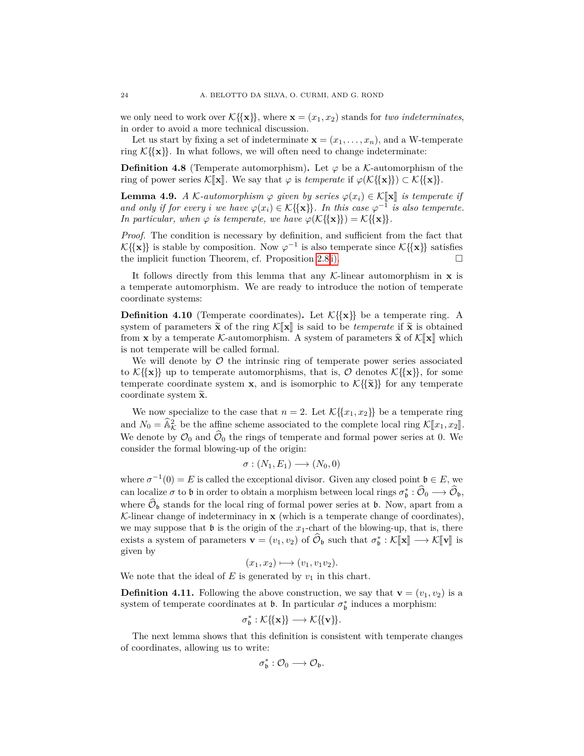we only need to work over  $\mathcal{K}\{\{\mathbf{x}\}\}\$ , where  $\mathbf{x} = (x_1, x_2)$  stands for *two indeterminates*, in order to avoid a more technical discussion.

Let us start by fixing a set of indeterminate  $\mathbf{x} = (x_1, \ldots, x_n)$ , and a W-temperate ring  $K({\mathbf{x}})$ . In what follows, we will often need to change indeterminate:

**Definition 4.8** (Temperate automorphism). Let  $\varphi$  be a K-automorphism of the ring of power series  $\mathcal{K}[\mathbf{x}]$ . We say that  $\varphi$  is *temperate* if  $\varphi(\mathcal{K}\{\mathbf{x}\}) \subset \mathcal{K}\{\mathbf{x}\}.$ 

**Lemma 4.9.** *A* K-automorphism  $\varphi$  given by series  $\varphi(x_i) \in K[\![\mathbf{x}]\!]$  is temperate if *and only if for every <i>i we have*  $\varphi(x_i) \in \mathcal{K} \{ \{ \mathbf{x} \} \}$ *. In this case*  $\varphi^{-1}$  *is also temperate. In particular, when*  $\varphi$  *is temperate, we have*  $\varphi(\mathcal{K}\{\{\mathbf{x}\}\}) = \mathcal{K}\{\{\mathbf{x}\}\}.$ 

*Proof.* The condition is necessary by definition, and sufficient from the fact that  $\mathcal{K}\{\{\mathbf{x}\}\}\$ is stable by composition. Now  $\varphi^{-1}$  is also temperate since  $\mathcal{K}\{\{\mathbf{x}\}\}\$  satisfies the implicit function Theorem, cf. Proposition [2.8](#page-7-0) [i\).](#page-7-1)  $\Box$ 

It follows directly from this lemma that any  $K$ -linear automorphism in  $x$  is a temperate automorphism. We are ready to introduce the notion of temperate coordinate systems:

**Definition 4.10** (Temperate coordinates). Let  $\mathcal{K}\{\mathbf{x}\}\}$  be a temperate ring. A system of parameters  $\tilde{\mathbf{x}}$  of the ring  $\mathcal{K}[\mathbf{x}]$  is said to be *temperate* if  $\tilde{\mathbf{x}}$  is obtained from **x** by a temperate K-automorphism. A system of parameters  $\hat{\mathbf{x}}$  of  $K[\mathbf{x}]$  which is not temperate will be called formal.

We will denote by  $\mathcal O$  the intrinsic ring of temperate power series associated to  $\mathcal{K} \{\{\mathbf{x}\}\}\$ up to temperate automorphisms, that is,  $\mathcal{O}$  denotes  $\mathcal{K} \{\{\mathbf{x}\}\}\$ , for some temperate coordinate system **x**, and is isomorphic to  $\mathcal{K}\{\tilde{\mathbf{x}}\}\$  for any temperate coordinate system  $\tilde{\mathbf{x}}$ .

We now specialize to the case that  $n = 2$ . Let  $\mathcal{K}\lbrace \lbrace x_1, x_2 \rbrace$  be a temperate ring and  $N_0 = \hat{\mathbb{A}}_K^2$  be the affine scheme associated to the complete local ring  $\mathcal{K}[\![x_1, x_2]\!]$ . We denote by  $\mathcal{O}_0$  and  $\mathcal{O}_0$  the rings of temperate and formal power series at 0. We consider the formal blowing-up of the origin:

$$
\sigma : (N_1, E_1) \longrightarrow (N_0, 0)
$$

where  $\sigma^{-1}(0) = E$  is called the exceptional divisor. Given any closed point  $\mathfrak{b} \in E$ , we can localize  $\sigma$  to **b** in order to obtain a morphism between local rings  $\sigma_{\mathfrak{b}}^* : \widehat{\mathcal{O}}_0 \longrightarrow \widehat{\mathcal{O}}_{\mathfrak{b}},$ where  $\widehat{\mathcal{O}}_{\mathfrak{b}}$  stands for the local ring of formal power series at  $\mathfrak{b}$ . Now, apart from a K-linear change of indeterminacy in **x** (which is a temperate change of coordinates), we may suppose that  $\mathfrak b$  is the origin of the  $x_1$ -chart of the blowing-up, that is, there exists a system of parameters  $\mathbf{v} = (v_1, v_2)$  of  $\widehat{\mathcal{O}}_{\mathfrak{b}}$  such that  $\sigma_{\mathfrak{b}}^* : \mathcal{K}[\![\mathbf{x}]\!] \longrightarrow \mathcal{K}[\![\mathbf{v}]\!]$  is given by given by

$$
(x_1, x_2) \longmapsto (v_1, v_1v_2).
$$

We note that the ideal of  $E$  is generated by  $v_1$  in this chart.

**Definition 4.11.** Following the above construction, we say that  $\mathbf{v} = (v_1, v_2)$  is a system of temperate coordinates at  $\mathfrak b$ . In particular  $\sigma_{\mathfrak b}^*$  induces a morphism:

$$
\sigma_{\mathfrak{b}}^*:\mathcal{K}\{\!\{\mathbf{x}\}\!\}\longrightarrow\mathcal{K}\{\!\{\mathbf{v}\}\!\}.
$$

The next lemma shows that this definition is consistent with temperate changes of coordinates, allowing us to write:

$$
\sigma_{\mathfrak{b}}^*:\mathcal{O}_0\longrightarrow \mathcal{O}_{\mathfrak{b}}.
$$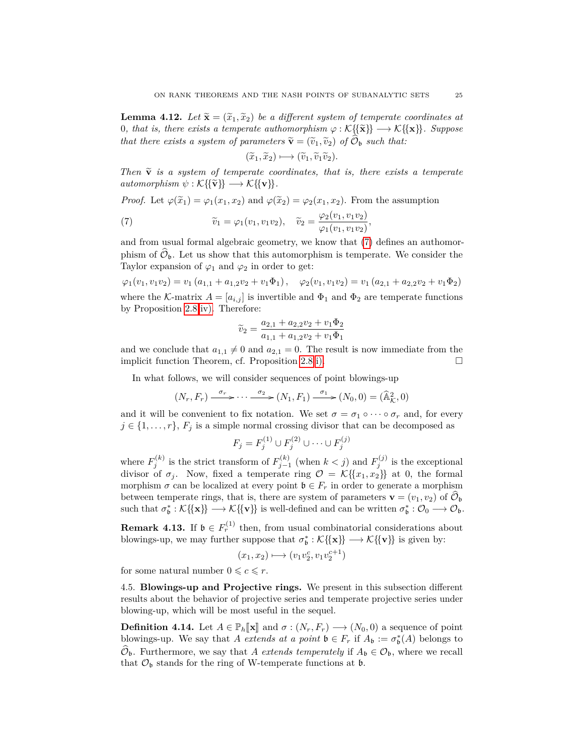**Lemma 4.12.** Let  $\tilde{\mathbf{x}} = (\tilde{x}_1, \tilde{x}_2)$  be a different system of temperate coordinates at 0*, that is, there exists a temperate authomorphism*  $\varphi : \mathcal{K}\{\{\tilde{\mathbf{x}}\}\}\longrightarrow \mathcal{K}\{\{\mathbf{x}\}\}\$ . Suppose *that there exists a system of parameters*  $\tilde{\mathbf{v}} = (\tilde{v}_1, \tilde{v}_2)$  *of*  $\mathcal{O}_b$  *such that:* 

<span id="page-24-0"></span>
$$
(\widetilde{x}_1, \widetilde{x}_2) \longmapsto (\widetilde{v}_1, \widetilde{v}_1 \widetilde{v}_2).
$$

*Then*  $\tilde{\mathbf{v}}$  *is a system of temperate coordinates, that is, there exists a temperate*  $automorphism \psi : \mathcal{K} \{ \{ \tilde{\mathbf{v}} \} \} \longrightarrow \mathcal{K} \{ \{ \mathbf{v} \} \}.$ 

*Proof.* Let  $\varphi(\tilde{x}_1) = \varphi_1(x_1, x_2)$  and  $\varphi(\tilde{x}_2) = \varphi_2(x_1, x_2)$ . From the assumption

(7) 
$$
\widetilde{v}_1 = \varphi_1(v_1, v_1 v_2), \quad \widetilde{v}_2 = \frac{\varphi_2(v_1, v_1 v_2)}{\varphi_1(v_1, v_1 v_2)},
$$

and from usual formal algebraic geometry, we know that [\(7\)](#page-24-0) defines an authomorphism of  $\mathcal{O}_b$ . Let us show that this automorphism is temperate. We consider the Taylor expansion of  $\varphi_1$  and  $\varphi_2$  in order to get:

$$
\varphi_1(v_1, v_1v_2) = v_1(a_{1,1} + a_{1,2}v_2 + v_1\Phi_1), \varphi_2(v_1, v_1v_2) = v_1(a_{2,1} + a_{2,2}v_2 + v_1\Phi_2)
$$
 where the *K*-matrix  $A = [a_{i,j}]$  is invertible and  $\Phi_1$  and  $\Phi_2$  are temperate functions by Proposition 2.8 iv). Therefore:

$$
\widetilde{v}_2 = \frac{a_{2,1} + a_{2,2}v_2 + v_1\Phi_2}{a_{1,1} + a_{1,2}v_2 + v_1\Phi_1}
$$

and we conclude that  $a_{1,1} \neq 0$  and  $a_{2,1} = 0$ . The result is now immediate from the implicit function Theorem, cf. Proposition [2.8](#page-7-0) [i\).](#page-7-1)

In what follows, we will consider sequences of point blowings-up

$$
(N_r, F_r) \xrightarrow{\sigma_r} \cdots \xrightarrow{\sigma_2} (N_1, F_1) \xrightarrow{\sigma_1} (N_0, 0) = (\widehat{\mathbb{A}}_{\mathcal{K}}^2, 0)
$$

and it will be convenient to fix notation. We set  $\sigma = \sigma_1 \circ \cdots \circ \sigma_r$  and, for every  $j \in \{1, \ldots, r\}, F_j$  is a simple normal crossing divisor that can be decomposed as

$$
F_j = F_j^{(1)} \cup F_j^{(2)} \cup \dots \cup F_j^{(j)}
$$

where  $F_j^{(k)}$  is the strict transform of  $F_{j-1}^{(k)}$  (when  $k < j$ ) and  $F_j^{(j)}$  is the exceptional divisor of  $\sigma_j$ . Now, fixed a temperate ring  $\mathcal{O} = \mathcal{K}\{\{x_1, x_2\}\}\$ at 0, the formal morphism  $\sigma$  can be localized at every point  $\mathfrak{b} \in F_r$  in order to generate a morphism between temperate rings, that is, there are system of parameters  $\mathbf{v} = (v_1, v_2)$  of  $\mathcal{O}_{\mathfrak{b}}$  such that  $\sigma_{\mathfrak{b}}^* : \mathcal{K} \{ \{ \mathbf{x} \} \} \longrightarrow \mathcal{K} \{ \{ \mathbf{v} \} \}$  is well-defined and can be written  $\sigma_{\mathfrak{b}}^* : \math$ 

<span id="page-24-1"></span>**Remark 4.13.** If  $\mathfrak{b} \in F_r^{(1)}$  then, from usual combinatorial considerations about blowings-up, we may further suppose that  $\sigma_{\mathfrak{b}}^* : \mathcal{K} \{\{\mathbf{x}\}\} \longrightarrow \mathcal{K} \{\{\mathbf{v}\}\}\$ is given by:

$$
(x_1, x_2) \longmapsto (v_1v_2^c, v_1v_2^{c+1})
$$

for some natural number  $0 \leqslant c \leqslant r$ .

4.5. **Blowings-up and Projective rings.** We present in this subsection different results about the behavior of projective series and temperate projective series under blowing-up, which will be most useful in the sequel.

**Definition 4.14.** Let  $A \in \mathbb{P}_h[\![\mathbf{x}]\!]$  and  $\sigma : (N_r, F_r) \longrightarrow (N_0, 0)$  a sequence of point blowings-up. We say that *A extends at a point*  $\mathfrak{b} \in F_r$  if  $A_{\mathfrak{b}} := \sigma_{\mathfrak{b}}^*(A)$  belongs to  $\mathcal{O}_{\mathfrak{b}}$ . Furthermore, we say that *A extends temperately* if  $A_{\mathfrak{b}} \in \mathcal{O}_{\mathfrak{b}}$ , where we recall that  $\mathcal{O}_{\mathfrak{b}}$  stands for the ring of W-temperate functions at  $\mathfrak{b}$ .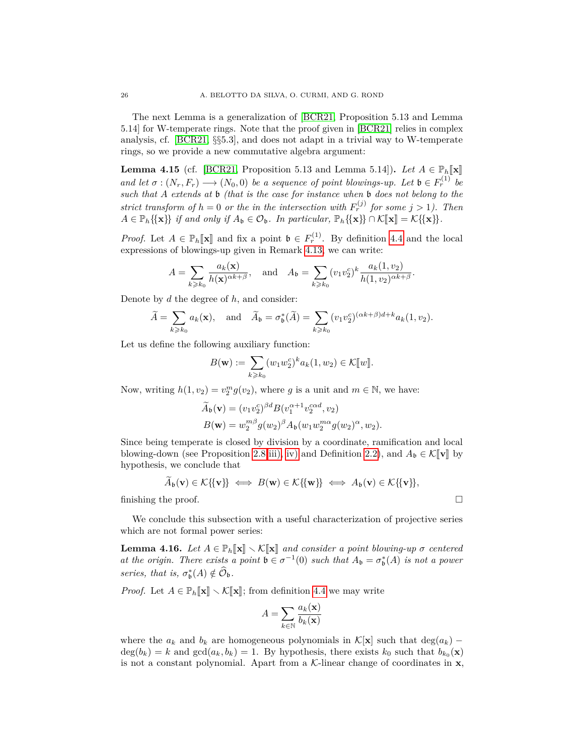The next Lemma is a generalization of [\[BCR21,](#page-48-2) Proposition 5.13 and Lemma 5.14] for W-temperate rings. Note that the proof given in [\[BCR21\]](#page-48-2) relies in complex analysis, cf. [\[BCR21,](#page-48-2) §§5.3], and does not adapt in a trivial way to W-temperate rings, so we provide a new commutative algebra argument:

<span id="page-25-0"></span>**Lemma 4.15** (cf. [\[BCR21,](#page-48-2) Proposition 5.13 and Lemma 5.14]). Let  $A \in \mathbb{P}_h[\![\mathbf{x}]\!]$ *and let*  $\sigma : (N_r, F_r) \longrightarrow (N_0, 0)$  *be a sequence of point blowings-up. Let*  $\mathfrak{b} \in F_r^{(1)}$  *be such that A extends at* b *(that is the case for instance when* b *does not belong to the strict transform of*  $h = 0$  *or the in the intersection with*  $F_r^{(j)}$  *for some*  $j > 1$ *). Then*  $A \in \mathbb{P}_h\{\{\mathbf{x}\}\}\$ if and only if  $A_\mathbf{b} \in \mathcal{O}_\mathbf{b}$ . In particular,  $\mathbb{P}_h\{\{\mathbf{x}\}\}\cap \mathcal{K}[\![\mathbf{x}]\!] = \mathcal{K}\{\{\mathbf{x}\}\}.$ 

*Proof.* Let  $A \in \mathbb{P}_h[\![\mathbf{x}\!]$  and fix a point  $\mathfrak{b} \in F_r^{(1)}$ . By definition [4.4](#page-21-0) and the local expressions of blowings up given in Benark 4.13, we can write: expressions of blowings-up given in Remark [4.13,](#page-24-1) we can write:

$$
A = \sum_{k \geq k_0} \frac{a_k(\mathbf{x})}{h(\mathbf{x})^{\alpha k + \beta}}, \quad \text{and} \quad A_{\mathfrak{b}} = \sum_{k \geq k_0} (v_1 v_2^c)^k \frac{a_k(1, v_2)}{h(1, v_2)^{\alpha k + \beta}}.
$$

Denote by *d* the degree of *h*, and consider:

$$
\widetilde{A} = \sum_{k \geq k_0} a_k(\mathbf{x}), \text{ and } \widetilde{A}_\mathfrak{b} = \sigma^*_\mathfrak{b}(\widetilde{A}) = \sum_{k \geq k_0} (v_1 v_2^c)^{(\alpha k + \beta)d + k} a_k(1, v_2).
$$

Let us define the following auxiliary function:

$$
B(\mathbf{w}) := \sum_{k \geq k_0} (w_1 w_2^c)^k a_k(1, w_2) \in \mathcal{K}[[w]].
$$

Now, writing  $h(1, v_2) = v_2^m g(v_2)$ , where *g* is a unit and  $m \in \mathbb{N}$ , we have:

$$
\widetilde{A}_{\mathfrak{b}}(\mathbf{v}) = (v_1 v_2^c)^{\beta d} B(v_1^{\alpha+1} v_2^{\alpha d}, v_2)
$$
  

$$
B(\mathbf{w}) = w_2^{m\beta} g(w_2)^{\beta} A_{\mathfrak{b}}(w_1 w_2^{m\alpha} g(w_2)^{\alpha}, w_2).
$$

Since being temperate is closed by division by a coordinate, ramification and local blowing-down (see Proposition [2.8](#page-7-0) [iii\),](#page-8-3) [iv\)](#page-8-2) and Definition [2.2\)](#page-5-0), and  $A_{\mathfrak{b}} \in \mathcal{K}[\![\mathbf{v}]\!]$  by hypothesis, we conclude that

$$
\widetilde{A}_{\mathfrak{b}}(\mathbf{v}) \in \mathcal{K}\{\{\mathbf{v}\}\} \iff B(\mathbf{w}) \in \mathcal{K}\{\{\mathbf{w}\}\} \iff A_{\mathfrak{b}}(\mathbf{v}) \in \mathcal{K}\{\{\mathbf{v}\}\},
$$
\nfinishing the proof.

We conclude this subsection with a useful characterization of projective series which are not formal power series:

<span id="page-25-1"></span>**Lemma 4.16.** *Let*  $A \in \mathbb{P}_h[\![\mathbf{x}]\!] \setminus \mathcal{K}[\![\mathbf{x}]\!]$  *and consider a point blowing-up*  $\sigma$  *centered at the origin. There exists a point*  $\mathfrak{b} \in \sigma^{-1}(0)$  *such that*  $A_{\mathfrak{b}} = \sigma_{\mathfrak{b}}^{*}(A)$  *is not a power series, that is,*  $\sigma_{\mathfrak{b}}^*(A) \notin \widehat{\mathcal{O}}_{\mathfrak{b}}$ .

*Proof.* Let  $A \in \mathbb{P}_h[\![\mathbf{x}]\!] \setminus \mathcal{K}[\![\mathbf{x}]\!]$ ; from definition [4.4](#page-21-0) we may write

$$
A = \sum_{k \in \mathbb{N}} \frac{a_k(\mathbf{x})}{b_k(\mathbf{x})}
$$

where the  $a_k$  and  $b_k$  are homogeneous polynomials in  $\mathcal{K}[\mathbf{x}]$  such that  $\deg(a_k)$  –  $deg(b_k) = k$  and  $gcd(a_k, b_k) = 1$ . By hypothesis, there exists  $k_0$  such that  $b_{k_0}(\mathbf{x})$ is not a constant polynomial. Apart from a  $K$ -linear change of coordinates in  $x$ ,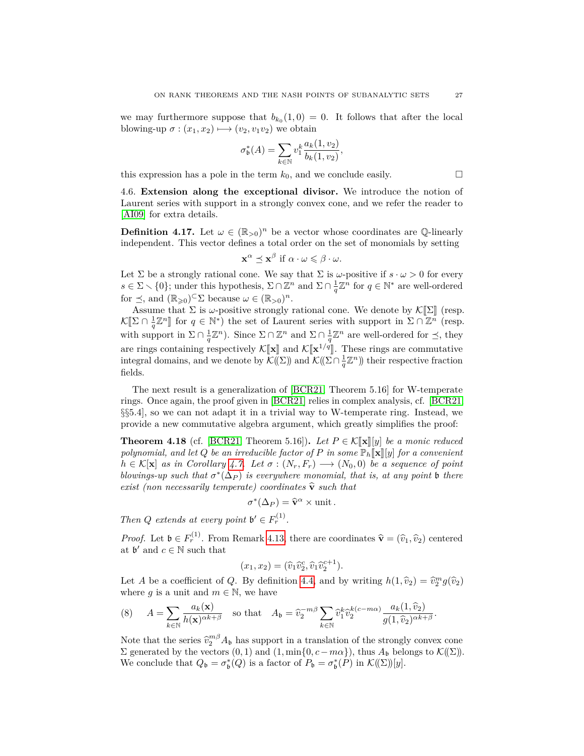we may furthermore suppose that  $b_{k_0}(1,0) = 0$ . It follows that after the local blowing-up  $\sigma$  :  $(x_1, x_2) \mapsto (v_2, v_1v_2)$  we obtain

$$
\sigma_{\mathfrak{b}}^*(A) = \sum_{k \in \mathbb{N}} v_1^k \frac{a_k(1, v_2)}{b_k(1, v_2)},
$$

this expression has a pole in the term  $k_0$ , and we conclude easily.

4.6. **Extension along the exceptional divisor.** We introduce the notion of Laurent series with support in a strongly convex cone, and we refer the reader to [\[AI09\]](#page-47-4) for extra details.

**Definition 4.17.** Let  $\omega \in (\mathbb{R}_{>0})^n$  be a vector whose coordinates are Q-linearly independent. This vector defines a total order on the set of monomials by setting

$$
\mathbf{x}^{\alpha} \preceq \mathbf{x}^{\beta} \text{ if } \alpha \cdot \omega \leq \beta \cdot \omega.
$$

Let  $\Sigma$  be a strongly rational cone. We say that  $\Sigma$  is  $\omega$ -positive if  $s \cdot \omega > 0$  for every  $s \in \Sigma \setminus \{0\}$ ; under this hypothesis,  $\Sigma \cap \mathbb{Z}^n$  and  $\Sigma \cap \frac{1}{q} \mathbb{Z}^n$  for  $q \in \mathbb{N}^*$  are well-ordered for  $\leq$ , and  $(\mathbb{R}_{\geqslant 0})^{\subset} \Sigma$  because  $\omega \in (\mathbb{R}_{>0})^n$ .

Assume that  $\Sigma$  is  $\omega$ -positive strongly rational cone. We denote by  $\mathcal{K}[\![\Sigma]\!]$  (resp.  $\mathcal{K}[\Sigma \cap \frac{1}{q}\mathbb{Z}^n]$  for  $q \in \mathbb{N}^*$  the set of Laurent series with support in  $\Sigma \cap \mathbb{Z}^n$  (resp. with support in  $\Sigma \cap \frac{1}{q}\mathbb{Z}^n$ . Since  $\Sigma \cap \mathbb{Z}^n$  and  $\Sigma \cap \frac{1}{q}\mathbb{Z}^n$  are well-ordered for  $\preceq$ , they are rings containing respectively  $\mathcal{K}[\![\mathbf{x}]\!]$  and  $\mathcal{K}[\![\mathbf{x}^{1/q}]\!]$ . These rings are commutative<br>integral domains, and we denote by  $\mathcal{K}(\Gamma)$  and  $\mathcal{K}(\Gamma \cap 1 \mathbb{Z}^n)$  their respective fraction integral domains, and we denote by  $\mathcal{K}(\tilde{(\Sigma)})$  and  $\mathcal{K}(\tilde{(\Sigma)} \cap \frac{1}{q} \mathbb{Z}^n)$  their respective fraction fields.

The next result is a generalization of [\[BCR21,](#page-48-2) Theorem 5.16] for W-temperate rings. Once again, the proof given in [\[BCR21\]](#page-48-2) relies in complex analysis, cf. [\[BCR21,](#page-48-2) §§5.4], so we can not adapt it in a trivial way to W-temperate ring. Instead, we provide a new commutative algebra argument, which greatly simplifies the proof:

<span id="page-26-1"></span>**Theorem 4.18** (cf. [\[BCR21,](#page-48-2) Theorem 5.16]). Let  $P \in \mathcal{K}[\![\mathbf{x}]\!][y]$  be a monic reduced *polynomial, and let*  $Q$  *be an irreducible factor of*  $P$  *in some*  $\mathbb{P}_h[\mathbf{x}][y]$  *for a convenient*  $h \in \mathcal{K}[\mathbf{x}]$  *as in Corollary [4.7.](#page-22-1) Let*  $\sigma : (N_r, F_r) \longrightarrow (N_0, 0)$  *be a sequence of point blowings-up such that*  $\sigma^*(\Delta_P)$  *is everywhere monomial, that is, at any point* **b** *there exist (non necessarily temperate) coordinates*  $\hat{\mathbf{v}}$  *such that* 

$$
\sigma^*(\Delta_P) = \hat{\mathbf{v}}^{\alpha} \times \text{unit}.
$$

*Then Q extends* at *every point*  $\mathfrak{b}' \in F_r^{(1)}$ *.* 

*Proof.* Let  $\mathfrak{b} \in F_r^{(1)}$ . From Remark [4.13,](#page-24-1) there are coordinates  $\hat{\mathbf{v}} = (\hat{v}_1, \hat{v}_2)$  centered at  $\mathfrak{b}'$  and  $\mathfrak{a} \in \mathbb{N}$  such that at  $\mathfrak{b}'$  and  $c \in \mathbb{N}$  such that

$$
(x_1, x_2) = (\widehat{v}_1 \widehat{v}_2^c, \widehat{v}_1 \widehat{v}_2^{c+1}).
$$

Let *A* be a coefficient of *Q*. By definition [4.4,](#page-21-0) and by writing  $h(1, \hat{v}_2) = \hat{v}_2^m g(\hat{v}_2)$ <br>where *g* is a unit and  $m \in \mathbb{N}$  we have where *g* is a unit and  $m \in \mathbb{N}$ , we have

<span id="page-26-0"></span>(8) 
$$
A = \sum_{k \in \mathbb{N}} \frac{a_k(\mathbf{x})}{h(\mathbf{x})^{\alpha k + \beta}} \text{ so that } A_{\mathfrak{b}} = \widehat{v}_2^{-m\beta} \sum_{k \in \mathbb{N}} \widehat{v}_1^k \widehat{v}_2^{k(c - m\alpha)} \frac{a_k(1, \widehat{v}_2)}{g(1, \widehat{v}_2)^{\alpha k + \beta}}.
$$

Note that the series  $\hat{v}_2^{m\beta} A_b$  has support in a translation of the strongly convex cone<br>  $\sum$  generated by the vectors (0, 1) and (1 min f(0, c mos)) thus A<sub>s</sub> belongs to  $\mathcal{K}(\nabla)$  $\Sigma$  generated by the vectors  $(0, 1)$  and  $(1, \min\{0, c - m\alpha\})$ , thus  $A_b$  belongs to  $\mathcal{K}(\Sigma)$ . We conclude that  $Q_{\mathfrak{b}} = \sigma_{\mathfrak{b}}^*(Q)$  is a factor of  $P_{\mathfrak{b}} = \sigma_{\mathfrak{b}}^*(P)$  in  $\mathcal{K}(\Sigma)[y]$ .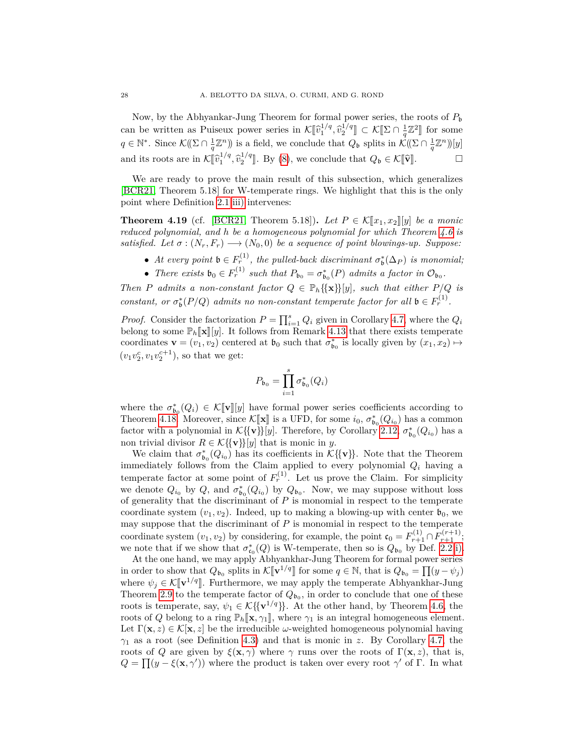Now, by the Abhyankar-Jung Theorem for formal power series, the roots of  $P<sub>b</sub>$ can be written as Puiseux power series in  $\mathcal{K}[\![\hat{v}_1^{1/q}, \hat{v}_2^{1/q}]\!] \subset \mathcal{K}[\![\Sigma \cap \frac{1}{q}\mathbb{Z}^2]\!]$  for some  $q \in \mathbb{N}^*$ . Since  $\mathcal{K}(\Omega \cap \frac{1}{q}\mathbb{Z}^n)$  is a field, we conclude that  $Q_{\mathfrak{b}}$  splits in  $\mathcal{K}(\Omega \cap \frac{1}{q}\mathbb{Z}^n)$ [y] and its roots are in  $\mathcal{K}[\![\widehat{v}_1^{1/q}, \widehat{v}_2^{1/q}]\!]$ . By [\(8\)](#page-26-0), we conclude that  $Q_{\mathfrak{b}} \in \mathcal{K}[\![\widehat{\mathbf{v}}]\!]$ .

We are ready to prove the main result of this subsection, which generalizes [\[BCR21,](#page-48-2) Theorem 5.18] for W-temperate rings. We highlight that this is the only point where Definition [2.1](#page-4-0) [iii\)](#page-5-3) intervenes:

<span id="page-27-0"></span>**Theorem 4.19** (cf. [\[BCR21,](#page-48-2) Theorem 5.18]). Let  $P \in \mathcal{K}[x_1, x_2][y]$  be a monic *reduced polynomial, and h be a homogeneous polynomial for which Theorem [4.6](#page-22-0) is satisfied. Let*  $\sigma : (N_r, F_r) \longrightarrow (N_0, 0)$  *be a sequence of point blowings-up. Suppose:* 

- At every point  $\mathfrak{b} \in F_r^{(1)}$ , the pulled-back discriminant  $\sigma_{\mathfrak{b}}^*(\Delta_P)$  is monomial;
- *There exists*  $\mathfrak{b}_0 \in F_r^{(1)}$  *such that*  $P_{\mathfrak{b}_0} = \sigma_{\mathfrak{b}_0}^*(P)$  *admits a factor in*  $\mathcal{O}_{\mathfrak{b}_0}$ .

*Then P admits a non-constant factor*  $Q \in \mathbb{P}_h\{\{\mathbf{x}\}\}[y]$ *, such that either*  $P/Q$  *is constant, or*  $\sigma_{\mathfrak{b}}^*(P/Q)$  *admits no non-constant temperate factor for all*  $\mathfrak{b} \in F_r^{(1)}$ *.* 

*Proof.* Consider the factorization  $P = \prod_{i=1}^{s} Q_i$  given in Corollary [4.7,](#page-22-1) where the  $Q_i$ belong to some  $\mathbb{P}_h[\![\mathbf{x}]\!][y]$ . It follows from Remark [4.13](#page-24-1) that there exists temperate coordinates  $\mathbf{v} = (v_1, v_2)$  centered at  $\mathfrak{b}_0$  such that  $\sigma_{\mathfrak{b}_0}^*$  is locally given by  $(x_1, x_2) \mapsto$  $(v_1v_2^c, v_1v_2^{c+1}),$  so that we get:

$$
P_{\mathfrak{b}_0}=\prod_{i=1}^s\sigma_{\mathfrak{b}_0}^*(Q_i)
$$

where the  $\sigma_{b_0}^*(Q_i) \in \mathcal{K}[\![\mathbf{v}]\!][y]$  have formal power series coefficients according to<br>Theorem 4.18 Moreover since  $\mathcal{K}[\![\mathbf{v}]\!]$  is a UED for some is  $\sigma^*(Q_i)$  has a common Theorem [4.18.](#page-26-1) Moreover, since  $\mathcal{K}[\mathbf{x}]$  is a UFD, for some  $i_0$ ,  $\sigma_{b_0}^*(Q_{i_0})$  has a common feator with a polynomial in  $\mathcal{K}(\{\mathbf{x}\})$  by Theorems by Capellany 2.12,  $\tau^*(Q_{\alpha})$  has a factor with a polynomial in  $\mathcal{K}\{\{\mathbf{v}\}\}[y]$ . Therefore, by Corollary [2.12,](#page-9-0)  $\sigma_{\mathfrak{b}_0}^*(Q_{i_0})$  has a non trivial divisor  $R \in \mathcal{K} \{\{\mathbf{v}\}\}[y]$  that is monic in *y*.

We claim that  $\sigma_{\mathfrak{b}_0}^*(Q_{i_0})$  has its coefficients in  $\mathcal{K}\{\{\mathbf{v}\}\}\$ . Note that the Theorem immediately follows from the Claim applied to every polynomial *Q<sup>i</sup>* having a temperate factor at some point of  $F_r^{(1)}$ . Let us prove the Claim. For simplicity we denote  $Q_{i_0}$  by  $Q$ , and  $\sigma_{\mathfrak{b}_0}^*(Q_{i_0})$  by  $Q_{\mathfrak{b}_0}$ . Now, we may suppose without loss of generality that the discriminant of *P* is monomial in respect to the temperate coordinate system  $(v_1, v_2)$ . Indeed, up to making a blowing-up with center  $\mathfrak{b}_0$ , we may suppose that the discriminant of *P* is monomial in respect to the temperate coordinate system  $(v_1, v_2)$  by considering, for example, the point  $\mathfrak{c}_0 = F_{r+1}^{(1)} \cap F_{r+1}^{(r+1)}$ ; we note that if we show that  $\sigma_{\epsilon_0}^*(Q)$  is W-temperate, then so is  $Q_{\mathfrak{b}_0}$  by Def. [2.2](#page-5-0) [i\).](#page-5-5)

At the one hand, we may apply Abhyankhar-Jung Theorem for formal power series in order to show that  $Q_{b_0}$  splits in  $\mathcal{K}[\![\mathbf{v}^{1/q}]\!]$  for some  $q \in \mathbb{N}$ , that is  $Q_{b_0} = \prod (y - \psi_j)$ where  $\psi_j \in \mathcal{K}[\![\mathbf{v}^{1/q}]\!]$ . Furthermore, we may apply the temperate Abhyankhar-Jung<br>Theorem 2.0 to the temperate factor of  $O_{\text{min}}$  and at the conclude that one of theorem Theorem [2.9](#page-8-6) to the temperate factor of  $Q_{b_0}$ , in order to conclude that one of these roots is temperate, say,  $\psi_1 \in \mathcal{K} \{ \mathbf{v}^{1/q} \}$ . At the other hand, by Theorem [4.6,](#page-22-0) the roots of *Q* belong to a ring  $\mathbb{P}_h[\mathbf{x}, \gamma_1],$  where  $\gamma_1$  is an integral homogeneous element. Let  $\Gamma(\mathbf{x}, z) \in \mathcal{K}[\mathbf{x}, z]$  be the irreducible *ω*-weighted homogeneous polynomial having *γ*<sup>1</sup> as a root (see Definition [4.3\)](#page-21-1) and that is monic in *z*. By Corollary [4.7,](#page-22-1) the roots of *Q* are given by  $\xi(\mathbf{x}, \gamma)$  where  $\gamma$  runs over the roots of  $\Gamma(\mathbf{x}, z)$ , that is,  $Q = \prod (y - \xi(\mathbf{x}, \gamma'))$  where the product is taken over every root  $\gamma'$  of Γ. In what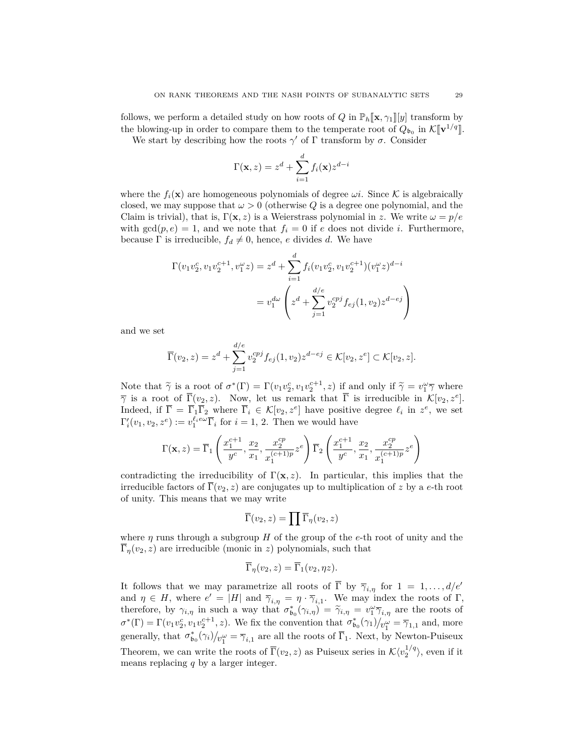follows, we perform a detailed study on how roots of *Q* in  $\mathbb{P}_h[\mathbf{x}, \gamma_1][y]$  transform by the blowing-up in order to compare them to the temperate root of  $Q_{b_0}$  in  $\mathcal{K}[\![\mathbf{v}^{1/q}]\!]$ .<br>We start by describing how the roots  $\alpha'$  of  $\Gamma$  transform by  $\sigma$ . Consider

We start by describing how the roots  $\gamma'$  of  $\Gamma$  transform by  $\sigma$ . Consider

$$
\Gamma(\mathbf{x}, z) = z^d + \sum_{i=1}^d f_i(\mathbf{x}) z^{d-i}
$$

where the  $f_i(\mathbf{x})$  are homogeneous polynomials of degree  $\omega_i$ . Since K is algebraically closed, we may suppose that  $\omega > 0$  (otherwise *Q* is a degree one polynomial, and the Claim is trivial), that is,  $\Gamma(\mathbf{x}, z)$  is a Weierstrass polynomial in z. We write  $\omega = p/e$ with  $gcd(p, e) = 1$ , and we note that  $f_i = 0$  if *e* does not divide *i*. Furthermore, because  $\Gamma$  is irreducible,  $f_d \neq 0$ , hence, *e* divides *d*. We have

$$
\Gamma(v_1v_2^c, v_1v_2^{c+1}, v_1^{\omega}z) = z^d + \sum_{i=1}^d f_i(v_1v_2^c, v_1v_2^{c+1})(v_1^{\omega}z)^{d-i}
$$

$$
= v_1^{d\omega} \left(z^d + \sum_{j=1}^{d/e} v_2^{cpj} f_{ej}(1, v_2) z^{d-ej}\right)
$$

and we set

$$
\overline{\Gamma}(v_2, z) = z^d + \sum_{j=1}^{d/e} v_2^{cpj} f_{ej}(1, v_2) z^{d - ej} \in \mathcal{K}[v_2, z^e] \subset \mathcal{K}[v_2, z].
$$

Note that  $\widetilde{\gamma}$  is a root of  $\sigma^*(\Gamma) = \Gamma(v_1 v_2^c, v_1 v_2^{c+1}, z)$  if and only if  $\widetilde{\gamma} = v_1^{\omega} \overline{\gamma}$  where  $\overline{\gamma}$  is a root of  $\overline{\Gamma}(v, z)$ . Now let us remark that  $\overline{\Gamma}$  is impossible in  $\mathcal{K}[v, z^{\epsilon}]$ .  $\overline{\gamma}$  is a root of  $\overline{\Gamma}(v_2, z)$ . Now, let us remark that  $\overline{\Gamma}$  is irreducible in  $\mathcal{K}[v_2, z^e]$ . Indeed, if  $\overline{\Gamma} = \overline{\Gamma}_1 \overline{\Gamma}_2$  where  $\overline{\Gamma}_i \in \mathcal{K}[v_2, z^e]$  have positive degree  $\ell_i$  in  $z^e$ , we set  $\Gamma'_i(v_1, v_2, z^e) := v_1^{\ell_i e \omega} \overline{\Gamma}_i$  for  $i = 1, 2$ . Then we would have

$$
\Gamma(\mathbf{x}, z) = \overline{\Gamma}_1 \left( \frac{x_1^{c+1}}{y^c}, \frac{x_2}{x_1}, \frac{x_2^{cp}}{x_1^{(c+1)p}} z^e \right) \overline{\Gamma}_2 \left( \frac{x_1^{c+1}}{y^c}, \frac{x_2}{x_1}, \frac{x_2^{cp}}{x_1^{(c+1)p}} z^e \right)
$$

contradicting the irreducibility of  $\Gamma(\mathbf{x}, z)$ . In particular, this implies that the irreducible factors of  $\overline{\Gamma}(v_2, z)$  are conjugates up to multiplication of *z* by a *e*-th root of unity. This means that we may write

$$
\overline{\Gamma}(v_2,z)=\prod \overline{\Gamma}_\eta(v_2,z)
$$

where  $\eta$  runs through a subgroup *H* of the group of the *e*-th root of unity and the  $\overline{\Gamma}_\eta(v_2, z)$  are irreducible (monic in *z*) polynomials, such that

$$
\overline{\Gamma}_{\eta}(v_2, z) = \overline{\Gamma}_1(v_2, \eta z).
$$

It follows that we may parametrize all roots of  $\overline{\Gamma}$  by  $\overline{\gamma}_{i,\eta}$  for  $1 = 1, \ldots, d/e^{t}$ and  $\eta \in H$ , where  $e' = |H|$  and  $\overline{\gamma}_{i,\eta} = \eta \cdot \overline{\gamma}_{i,1}$ . We may index the roots of  $\Gamma$ , therefore, by  $\gamma_{i,\eta}$  in such a way that  $\sigma_{b_0}^*(\gamma_{i,\eta}) = \tilde{\gamma}_{i,\eta} = v_1^{\omega} \overline{\gamma}_{i,\eta}$  are the roots of  $\sigma^*(\Gamma) = \Gamma(v_1 v_2^c, v_1 v_2^{c+1}, z)$ . We fix the convention that  $\sigma^*_{\mathfrak{b}_0}(\gamma_1)/v_1^{\omega} = \overline{\gamma}_{1,1}$  and, more generally, that  $\sigma_{\mathfrak{b}_0}^*(\gamma_i)/_{\nu_1^{\omega}} = \overline{\gamma}_{i,1}$  are all the roots of  $\overline{\Gamma}_1$ . Next, by Newton-Puiseux Theorem, we can write the roots of  $\overline{\Gamma}(v_2, z)$  as Puiseux series in  $\mathcal{K}\langle v_2^{1/q} \rangle$ , even if it means replacing *q* by a larger integer.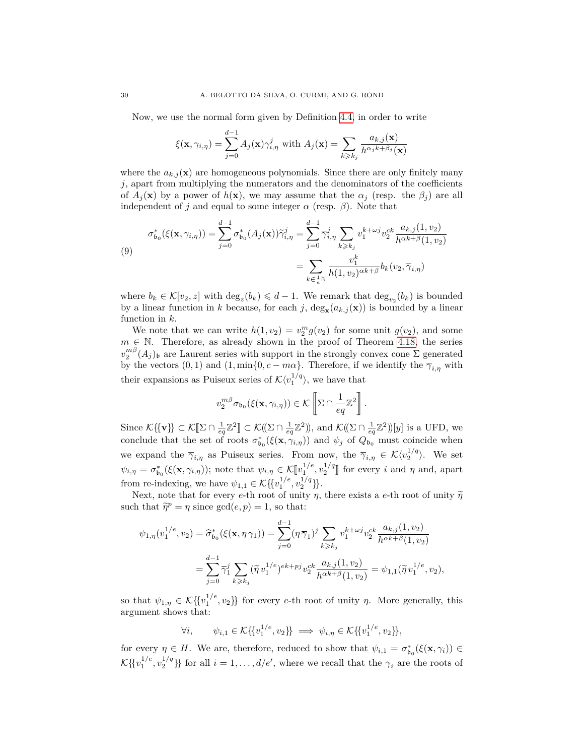Now, we use the normal form given by Definition [4.4,](#page-21-0) in order to write

$$
\xi(\mathbf{x}, \gamma_{i,\eta}) = \sum_{j=0}^{d-1} A_j(\mathbf{x}) \gamma_{i,\eta}^j \text{ with } A_j(\mathbf{x}) = \sum_{k \geq k_j} \frac{a_{k,j}(\mathbf{x})}{h^{\alpha_j k + \beta_j}(\mathbf{x})}
$$

where the  $a_{k,j}(\mathbf{x})$  are homogeneous polynomials. Since there are only finitely many *j*, apart from multiplying the numerators and the denominators of the coefficients of  $A_i(\mathbf{x})$  by a power of  $h(\mathbf{x})$ , we may assume that the  $\alpha_i$  (resp. the  $\beta_i$ ) are all independent of *j* and equal to some integer  $\alpha$  (resp.  $\beta$ ). Note that

<span id="page-29-0"></span>
$$
\sigma_{\mathfrak{b}_0}^*(\xi(\mathbf{x}, \gamma_{i, \eta})) = \sum_{j=0}^{d-1} \sigma_{\mathfrak{b}_0}^*(A_j(\mathbf{x})) \widetilde{\gamma}_{i, \eta}^j = \sum_{j=0}^{d-1} \overline{\gamma}_{i, \eta}^j \sum_{k \geqslant k_j} v_1^{k+\omega j} v_2^{ck} \frac{a_{k, j}(1, v_2)}{h^{\alpha k + \beta}(1, v_2)}
$$
\n
$$
= \sum_{k \in \frac{1}{c} \mathbb{N}} \frac{v_1^k}{h(1, v_2)^{\alpha k + \beta}} b_k(v_2, \overline{\gamma}_{i, \eta})
$$

where  $b_k \in \mathcal{K}[v_2, z]$  with  $\deg_z(b_k) \leq d-1$ . We remark that  $\deg_{v_2}(b_k)$  is bounded by a linear function in *k* because, for each *j*,  $\deg_{\mathbf{x}}(a_{k,j}(\mathbf{x}))$  is bounded by a linear function in *k*.

We note that we can write  $h(1, v_2) = v_2^m g(v_2)$  for some unit  $g(v_2)$ , and some  $m \in \mathbb{N}$ . Therefore, as already shown in the proof of Theorem [4.18,](#page-26-1) the series  $v_2^{m\beta}(A_j)$ <sub>b</sub> are Laurent series with support in the strongly convex cone Σ generated by the vectors  $(0, 1)$  and  $(1, \min\{0, c - m\alpha\})$ . Therefore, if we identify the  $\overline{\gamma}_{i,n}$  with their expansions as Puiseux series of  $\mathcal{K}\langle v_1^{1/q} \rangle$ , we have that

$$
v_2^{m\beta}\sigma_{\mathfrak{b}_0}(\xi(\mathbf{x},\gamma_{i,\eta}))\in\mathcal{K}\left[\Sigma\cap\frac{1}{eq}\mathbb{Z}^2\right].
$$

Since  $\mathcal{K}\{\{\mathbf{v}\}\}\subset \mathcal{K}[\Sigma \cap \frac{1}{eq}\mathbb{Z}^2] \subset \mathcal{K}((\Sigma \cap \frac{1}{eq}\mathbb{Z}^2))$ , and  $\mathcal{K}((\Sigma \cap \frac{1}{eq}\mathbb{Z}^2))[y]$  is a UFD, we conclude that the set of roots  $\sigma_{\mathfrak{b}_0}^*(\xi(\mathbf{x}, \gamma_{i,\eta}))$  and  $\psi_j$  of  $Q_{\mathfrak{b}_0}$  must coincide when we expand the  $\overline{\gamma}_{i,\eta}$  as Puiseux series. From now, the  $\overline{\gamma}_{i,\eta} \in \mathcal{K}\langle v_2^{1/q} \rangle$ . We set  $\psi_{i,\eta} = \sigma_{\mathfrak{b}_0}^*(\xi(\mathbf{x}, \gamma_{i,\eta}))$ ; note that  $\psi_{i,\eta} \in \mathcal{K}[\![v_1]^{1/e}, v_2^{1/q}]\!]$  for every *i* and *η* and, apart from re-indexing, we have  $\psi_{1,1} \in \mathcal{K} \{ \{v_1^{1/e}, v_2^{1/q} \} \}.$ 

Next, note that for every *e*-th root of unity *η*, there exists a *e*-th root of unity  $\tilde{\eta}$ such that  $\tilde{\eta}^p = \eta$  since  $gcd(e, p) = 1$ , so that:

$$
\psi_{1,\eta}(v_1^{1/e}, v_2) = \hat{\sigma}_{\mathfrak{b}_0}^*(\xi(\mathbf{x}, \eta \gamma_1)) = \sum_{j=0}^{d-1} (\eta \overline{\gamma}_1)^j \sum_{k \geq k_j} v_1^{k+\omega j} v_2^{ck} \frac{a_{k,j}(1, v_2)}{h^{\alpha k+\beta}(1, v_2)}
$$

$$
= \sum_{j=0}^{d-1} \overline{\gamma}_1^j \sum_{k \geq k_j} (\widetilde{\eta} v_1^{1/e})^{ek+pj} v_2^{ck} \frac{a_{k,j}(1, v_2)}{h^{\alpha k+\beta}(1, v_2)} = \psi_{1,1}(\widetilde{\eta} v_1^{1/e}, v_2),
$$

so that  $\psi_{1,\eta} \in \mathcal{K} \{ \{v_1^{1/e}, v_2\} \}$  for every *e*-th root of unity  $\eta$ . More generally, this argument shows that:

$$
\forall i, \qquad \psi_{i,1} \in \mathcal{K} \{ \{v_1^{1/e}, v_2\} \} \implies \psi_{i,\eta} \in \mathcal{K} \{ \{v_1^{1/e}, v_2\} \},
$$

for every  $\eta \in H$ . We are, therefore, reduced to show that  $\psi_{i,1} = \sigma_{\mathfrak{b}_0}^*(\xi(\mathbf{x}, \gamma_i)) \in$  $\mathcal{K}\{\{v_1^{1/e}, v_2^{1/q}\}\}\$  for all  $i = 1, \ldots, d/e'$ , where we recall that the  $\overline{\gamma}_i$  are the roots of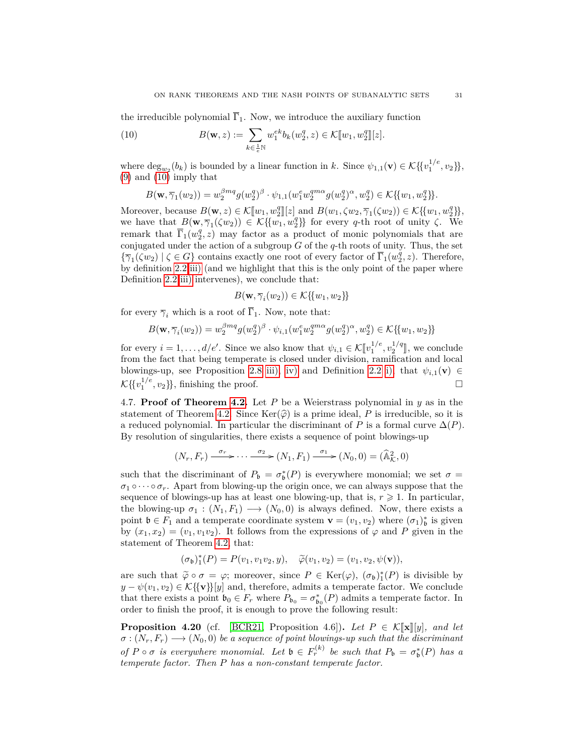the irreducible polynomial  $\overline{\Gamma}_1$ . Now, we introduce the auxiliary function

<span id="page-30-1"></span>(10) 
$$
B(\mathbf{w}, z) := \sum_{k \in \frac{1}{e} \mathbb{N}} w_1^{ek} b_k(w_2^q, z) \in \mathcal{K}[\![w_1, w_2^q]\!][z].
$$

where  $\deg_{w_2}(b_k)$  is bounded by a linear function in *k*. Since  $\psi_{1,1}(\mathbf{v}) \in \mathcal{K}\{\{v_1^{1/e}, v_2\}\}\,$ [\(9\)](#page-29-0) and [\(10\)](#page-30-1) imply that

$$
B(\mathbf{w}, \overline{\gamma}_1(w_2)) = w_2^{\beta mq} g(w_2^q)^{\beta} \cdot \psi_{1,1}(w_1^e w_2^{q m \alpha} g(w_2^q)^{\alpha}, w_2^q) \in \mathcal{K} \{ \{w_1, w_2^q \} \}.
$$

Moreover, because  $B(\mathbf{w}, z) \in \mathcal{K}[[w_1, w_2^q]][z]$  and  $B(w_1, \zeta w_2, \overline{\gamma}_1(\zeta w_2)) \in \mathcal{K}[\{w_1, w_2^q\}],$ <br>we have that  $B(\mathbf{w}, \overline{z}, (\zeta w_1)) \in \mathcal{K}[\{w_1, w_2^q\}]$  for every *a* the rest of unity  $\zeta$ . we have that  $B(\mathbf{w}, \overline{\gamma}_1(\zeta w_2)) \in \mathcal{K}\{\{w_1, w_2^q\}\}\)$  for every *q*-th root of unity  $\zeta$ . We remark that  $\overline{\Gamma}_1(w_2^q, z)$  may factor as a product of monic polynomials that are conjugated under the action of a subgroup *G* of the *q*-th roots of unity. Thus, the set  ${\overline{\gamma_1}}(\zeta w_2) \mid \zeta \in G$  contains exactly one root of every factor of  $\overline{\Gamma_1}(w_2^q, z)$ . Therefore, by definition [2.2](#page-5-0) [iii\)](#page-5-3) (and we highlight that this is the only point of the paper where Definition [2.2](#page-5-0) [iii\)](#page-5-3) intervenes), we conclude that:

$$
B(\mathbf{w}, \overline{\gamma}_i(w_2)) \in \mathcal{K}\{\{w_1, w_2\}\}\
$$

for every  $\overline{\gamma}_i$  which is a root of  $\overline{\Gamma}_1$ . Now, note that:

$$
B(\mathbf{w}, \overline{\gamma}_i(w_2)) = w_2^{\beta m q} g(w_2^q)^{\beta} \cdot \psi_{i,1}(w_1^e w_2^{q m \alpha} g(w_2^q)^{\alpha}, w_2^q) \in \mathcal{K}\{\{w_1, w_2\}\}\
$$

for every  $i = 1, ..., d/e'$ . Since we also know that  $\psi_{i,1} \in \mathcal{K}[[v_1^{1/e}, v_2^{1/q}]],$  we conclude from the feet that heing temperate is closed under division propriation and local from the fact that being temperate is closed under division, ramification and local blowings-up, see Proposition [2.8](#page-7-0) [iii\),](#page-8-3) [iv\)](#page-8-2) and Definition [2.2](#page-5-0) [i\),](#page-5-5) that  $\psi_{i,1}(\mathbf{v}) \in$  $\mathcal{K}\lbrace \lbrace v_1^{1/e}, v_2 \rbrace \rbrace$ , finishing the proof.

<span id="page-30-0"></span>4.7. **Proof of Theorem [4.2.](#page-19-1)** Let P be a Weierstrass polynomial in  $y$  as in the statement of Theorem [4.2.](#page-19-1) Since  $\text{Ker}(\hat{\varphi})$  is a prime ideal, *P* is irreducible, so it is a reduced polynomial. In particular the discriminant of *P* is a formal curve  $\Delta(P)$ . By resolution of singularities, there exists a sequence of point blowings-up

$$
(N_r, F_r) \xrightarrow{\sigma_r} \cdots \xrightarrow{\sigma_2} (N_1, F_1) \xrightarrow{\sigma_1} (N_0, 0) = (\widehat{\mathbb{A}}_{\mathcal{K}}^2, 0)
$$

such that the discriminant of  $P_{\mathfrak{b}} = \sigma_{\mathfrak{b}}^*(P)$  is everywhere monomial; we set  $\sigma =$  $\sigma_1 \circ \cdots \circ \sigma_r$ . Apart from blowing-up the origin once, we can always suppose that the sequence of blowings-up has at least one blowing-up, that is,  $r \geqslant 1$ . In particular, the blowing-up  $\sigma_1 : (N_1, F_1) \longrightarrow (N_0, 0)$  is always defined. Now, there exists a point  $\mathfrak{b} \in F_1$  and a temperate coordinate system  $\mathbf{v} = (v_1, v_2)$  where  $(\sigma_1)_{\mathfrak{b}}^*$  is given by  $(x_1, x_2) = (v_1, v_1v_2)$ . It follows from the expressions of  $\varphi$  and P given in the statement of Theorem [4.2,](#page-19-1) that:

$$
(\sigma_{\mathfrak{b}})^*_{1}(P) = P(v_1, v_1v_2, y), \quad \widetilde{\varphi}(v_1, v_2) = (v_1, v_2, \psi(\mathbf{v})),
$$

are such that  $\tilde{\varphi} \circ \sigma = \varphi$ ; moreover, since  $P \in \text{Ker}(\varphi), (\sigma_b)_1^*(P)$  is divisible by<br>  $u = \psi(u, v_1) \in \mathcal{K}^f(\mathbb{R}^d)$  and therefore admits a temperate factor. We conclude  $y - \psi(v_1, v_2) \in \mathcal{K}\{ \{\mathbf{v}\}\}[y]$  and, therefore, admits a temperate factor. We conclude that there exists a point  $\mathfrak{b}_0 \in F_r$  where  $P_{\mathfrak{b}_0} = \sigma_{\mathfrak{b}_0}^*(P)$  admits a temperate factor. In order to finish the proof, it is enough to prove the following result:

**Proposition 4.20** (cf. [\[BCR21,](#page-48-2) Proposition 4.6]). Let  $P \in \mathcal{K}[\![\mathbf{x}]\!][y]$ , and let  $\sigma : (N_r, F_r) \longrightarrow (N_0, 0)$  *be a sequence of point blowings-up such that the discriminant of*  $P \circ \sigma$  *is everywhere monomial. Let*  $\mathfrak{b} \in F_r^{(k)}$  *be such that*  $P_{\mathfrak{b}} = \sigma_{\mathfrak{b}}^*(P)$  *has a temperate factor. Then P has a non-constant temperate factor.*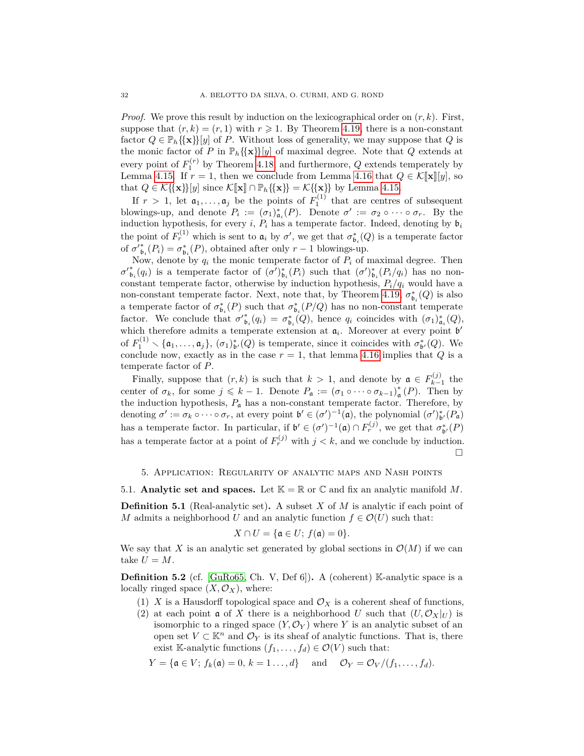*Proof.* We prove this result by induction on the lexicographical order on (*r, k*). First, suppose that  $(r, k) = (r, 1)$  with  $r \geq 1$ . By Theorem [4.19,](#page-27-0) there is a non-constant factor  $Q \in \mathbb{P}_h\{\{\mathbf{x}\}\}[y]$  of *P*. Without loss of generality, we may suppose that *Q* is the monic factor of *P* in  $\mathbb{P}_h\{\{\mathbf{x}\}\}[y]$  of maximal degree. Note that *Q* extends at every point of  $F_1^{(r)}$  by Theorem [4.18,](#page-26-1) and furthermore,  $Q$  extends temperately by Lemma [4.15.](#page-25-0) If  $r = 1$ , then we conclude from Lemma [4.16](#page-25-1) that  $Q \in \mathcal{K}[\mathbf{x}][y]$ , so that  $Q \in \mathcal{K} \{\{\mathbf{x}\}\}[y]$  since  $\mathcal{K}[\![\mathbf{x}]\!] \cap \mathbb{P}_h \{\{\mathbf{x}\}\} = \mathcal{K} \{\{\mathbf{x}\}\}\$  by Lemma [4.15.](#page-25-0)

If  $r > 1$ , let  $a_1, \ldots, a_j$  be the points of  $F_1^{(1)}$  that are centres of subsequent blowings-up, and denote  $P_i := (\sigma_1)_{\alpha_i}^*(P)$ . Denote  $\sigma' := \sigma_2 \circ \cdots \circ \sigma_r$ . By the induction hypothesis, for every *i*,  $P_i$  has a temperate factor. Indeed, denoting by  $\mathfrak{b}_i$ the point of  $F_r^{(1)}$  which is sent to  $\mathfrak{a}_i$  by  $\sigma'$ , we get that  $\sigma_{\mathfrak{b}_i}^*(Q)$  is a temperate factor of  ${\sigma'}_{\mathfrak{b}_i}^*(P_i) = {\sigma_{\mathfrak{b}_i}^*(P)}$ , obtained after only  $r-1$  blowings-up.

Now, denote by  $q_i$  the monic temperate factor of  $P_i$  of maximal degree. Then  $\sigma'_{\mathfrak{b}_i}(q_i)$  is a temperate factor of  $(\sigma')_{\mathfrak{b}_i}^*(P_i)$  such that  $(\sigma')_{\mathfrak{b}_i}^*(P_i/q_i)$  has no nonconstant temperate factor, otherwise by induction hypothesis,  $P_i/q_i$  would have a non-constant temperate factor. Next, note that, by Theorem [4.19,](#page-27-0)  $\sigma_{\mathfrak{b}_i}^*(Q)$  is also a temperate factor of  $\sigma_{\mathfrak{b}_i}^*(P)$  such that  $\sigma_{\mathfrak{b}_i}^*(P/Q)$  has no non-constant temperate factor. We conclude that  $\sigma'_{\mathfrak{b}_i}(q_i) = \sigma_{\mathfrak{b}_i}^*(Q)$ , hence  $q_i$  coincides with  $(\sigma_1)_{\mathfrak{a}_i}^*(Q)$ , which therefore admits a temperate extension at  $a_i$ . Moreover at every point  $b'$ of  $F_1^{(1)} \setminus {\mathfrak{a}}_1, \ldots, {\mathfrak{a}}_j$ ,  $(\sigma_1)_{\mathfrak{b}'}^*(Q)$  is temperate, since it coincides with  $\sigma_{\mathfrak{b}'}^*(Q)$ . We conclude now, exactly as in the case  $r = 1$ , that lemma [4.16](#page-25-1) implies that *Q* is a temperate factor of *P*.

Finally, suppose that  $(r, k)$  is such that  $k > 1$ , and denote by  $\mathfrak{a} \in F_{k-1}^{(j)}$  $\sum_{k=1}^{(J)}$  the center of  $\sigma_k$ , for some  $j \leq k - 1$ . Denote  $P_{\mathfrak{a}} := (\sigma_1 \circ \cdots \circ \sigma_{k-1})_{\mathfrak{a}}^*$  $_{\mathfrak{a}}^*(P)$ . Then by the induction hypothesis,  $P_a$  has a non-constant temperate factor. Therefore, by denoting  $\sigma' := \sigma_k \circ \cdots \circ \sigma_r$ , at every point  $\mathfrak{b}' \in (\sigma')^{-1}(\mathfrak{a})$ , the polynomial  $(\sigma')_{\mathfrak{b}'}^*(P_{\mathfrak{a}})$ has a temperate factor. In particular, if  $\mathfrak{b}' \in (\sigma')^{-1}(\mathfrak{a}) \cap F_r^{(j)}$ , we get that  $\sigma_{\mathfrak{b}'}^*(P)$ has a temperate factor at a point of  $F_r^{(j)}$  with  $j < k$ , and we conclude by induction.  $\Box$ 

## 5. Application: Regularity of analytic maps and Nash points

5.1. **Analytic set and spaces.** Let  $\mathbb{K} = \mathbb{R}$  or  $\mathbb{C}$  and fix an analytic manifold M.

**Definition 5.1** (Real-analytic set)**.** A subset *X* of *M* is analytic if each point of *M* admits a neighborhood *U* and an analytic function  $f \in \mathcal{O}(U)$  such that:

$$
X \cap U = \{ \mathfrak{a} \in U; f(\mathfrak{a}) = 0 \}.
$$

We say that X is an analytic set generated by global sections in  $\mathcal{O}(M)$  if we can take  $U = M$ .

**Definition 5.2** (cf. [\[GuRo65,](#page-48-16) Ch. V, Def 6])**.** A (coherent) K-analytic space is a locally ringed space  $(X, \mathcal{O}_X)$ , where:

- (1) *X* is a Hausdorff topological space and  $\mathcal{O}_X$  is a coherent sheaf of functions,
- (2) at each point  $\mathfrak{a}$  of X there is a neighborhood U such that  $(U, \mathcal{O}_X|_U)$  is isomorphic to a ringed space  $(Y, \mathcal{O}_Y)$  where *Y* is an analytic subset of an open set  $V \subset \mathbb{K}^n$  and  $\mathcal{O}_Y$  is its sheaf of analytic functions. That is, there exist K-analytic functions  $(f_1, \ldots, f_d) \in \mathcal{O}(V)$  such that:

$$
Y = \{ \mathfrak{a} \in V; f_k(\mathfrak{a}) = 0, k = 1 \dots, d \} \quad \text{and} \quad \mathcal{O}_Y = \mathcal{O}_V/(f_1, \dots, f_d).
$$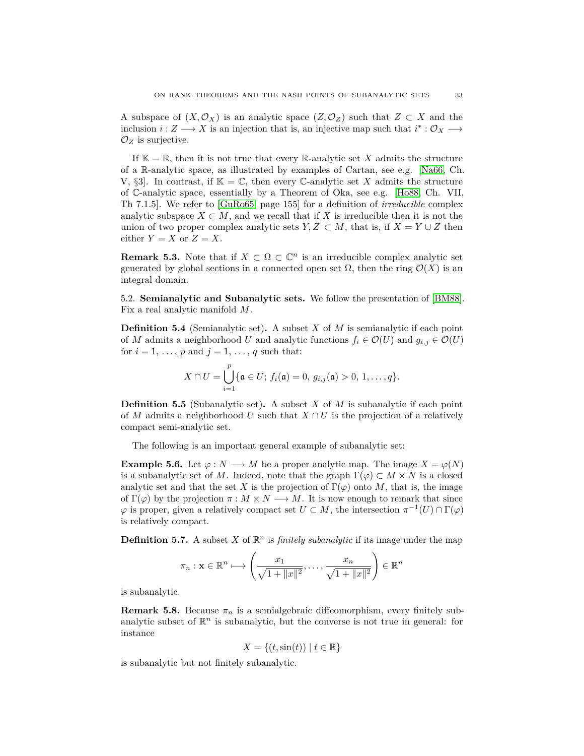A subspace of  $(X, \mathcal{O}_X)$  is an analytic space  $(Z, \mathcal{O}_Z)$  such that  $Z \subset X$  and the inclusion  $i: Z \longrightarrow X$  is an injection that is, an injective map such that  $i^*: \mathcal{O}_X \longrightarrow$  $\mathcal{O}_Z$  is surjective.

If  $\mathbb{K} = \mathbb{R}$ , then it is not true that every  $\mathbb{R}$ -analytic set X admits the structure of a R-analytic space, as illustrated by examples of Cartan, see e.g. [\[Na66,](#page-49-13) Ch. V,  $\S3$ . In contrast, if  $\mathbb{K} = \mathbb{C}$ , then every C-analytic set X admits the structure of C-analytic space, essentially by a Theorem of Oka, see e.g. [\[Ho88,](#page-48-17) Ch. VII, Th 7.1.5]. We refer to [\[GuRo65,](#page-48-16) page 155] for a definition of *irreducible* complex analytic subspace  $X \subset M$ , and we recall that if  $X$  is irreducible then it is not the union of two proper complex analytic sets  $Y, Z \subset M$ , that is, if  $X = Y \cup Z$  then either  $Y = X$  or  $Z = X$ .

<span id="page-32-1"></span>**Remark 5.3.** Note that if  $X \subset \Omega \subset \mathbb{C}^n$  is an irreducible complex analytic set generated by global sections in a connected open set Ω, then the ring O(*X*) is an integral domain.

<span id="page-32-0"></span>5.2. **Semianalytic and Subanalytic sets.** We follow the presentation of [\[BM88\]](#page-48-7). Fix a real analytic manifold *M*.

**Definition 5.4** (Semianalytic set)**.** A subset *X* of *M* is semianalytic if each point of *M* admits a neighborhood *U* and analytic functions  $f_i \in \mathcal{O}(U)$  and  $g_{i,j} \in \mathcal{O}(U)$ for  $i = 1, \ldots, p$  and  $j = 1, \ldots, q$  such that:

$$
X \cap U = \bigcup_{i=1}^p \{ \mathfrak{a} \in U; \ f_i(\mathfrak{a}) = 0, \ g_{i,j}(\mathfrak{a}) > 0, \ 1, \ldots, q \}.
$$

**Definition 5.5** (Subanalytic set)**.** A subset *X* of *M* is subanalytic if each point of *M* admits a neighborhood *U* such that  $X \cap U$  is the projection of a relatively compact semi-analytic set.

The following is an important general example of subanalytic set:

**Example 5.6.** Let  $\varphi : N \longrightarrow M$  be a proper analytic map. The image  $X = \varphi(N)$ is a subanalytic set of *M*. Indeed, note that the graph  $\Gamma(\varphi) \subset M \times N$  is a closed analytic set and that the set *X* is the projection of  $\Gamma(\varphi)$  onto *M*, that is, the image of  $\Gamma(\varphi)$  by the projection  $\pi : M \times N \longrightarrow M$ . It is now enough to remark that since  $\varphi$  is proper, given a relatively compact set  $U \subset M$ , the intersection  $\pi^{-1}(U) \cap \Gamma(\varphi)$ is relatively compact.

**Definition 5.7.** A subset *X* of  $\mathbb{R}^n$  is *finitely subanalytic* if its image under the map

$$
\pi_n: \mathbf{x} \in \mathbb{R}^n \longmapsto \left(\frac{x_1}{\sqrt{1 + ||x||^2}}, \dots, \frac{x_n}{\sqrt{1 + ||x||^2}}\right) \in \mathbb{R}^n
$$

is subanalytic.

**Remark 5.8.** Because  $\pi_n$  is a semialgebraic diffeomorphism, every finitely subanalytic subset of  $\mathbb{R}^n$  is subanalytic, but the converse is not true in general: for instance

$$
X = \{(t, \sin(t)) \mid t \in \mathbb{R}\}\
$$

is subanalytic but not finitely subanalytic.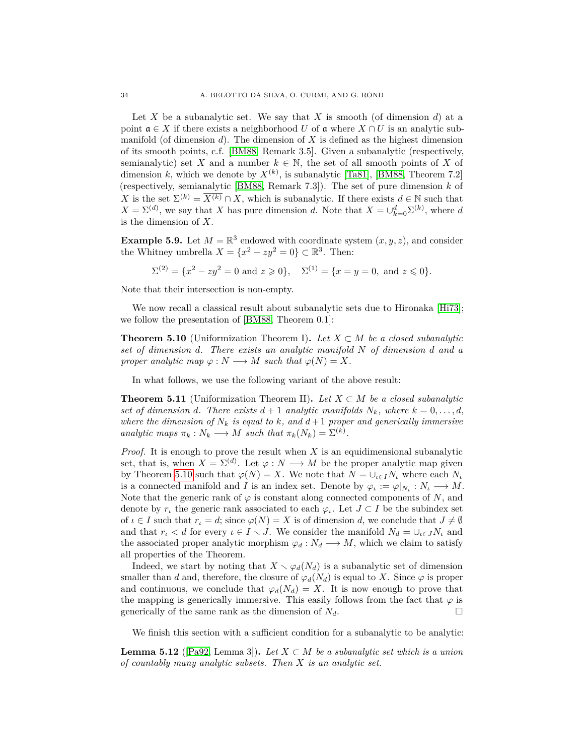Let X be a subanalytic set. We say that X is smooth (of dimension  $d$ ) at a point  $\mathfrak{a} \in X$  if there exists a neighborhood *U* of  $\mathfrak{a}$  where  $X \cap U$  is an analytic submanifold (of dimension  $d$ ). The dimension of  $X$  is defined as the highest dimension of its smooth points, c.f. [\[BM88,](#page-48-7) Remark 3.5]. Given a subanalytic (respectively, semianalytic) set *X* and a number  $k \in \mathbb{N}$ , the set of all smooth points of *X* of dimension *k*, which we denote by  $X^{(k)}$ , is subanalytic [\[Ta81\]](#page-49-14), [\[BM88,](#page-48-7) Theorem 7.2] (respectively, semianalytic [\[BM88,](#page-48-7) Remark 7.3]). The set of pure dimension *k* of X is the set  $\Sigma^{(k)} = \overline{X^{(k)}} \cap X$ , which is subanalytic. If there exists  $d \in \mathbb{N}$  such that  $X = \Sigma^{(d)}$ , we say that *X* has pure dimension *d*. Note that  $X = \bigcup_{k=0}^{d} \Sigma^{(k)}$ , where *d* is the dimension of *X*.

**Example 5.9.** Let  $M = \mathbb{R}^3$  endowed with coordinate system  $(x, y, z)$ , and consider the Whitney umbrella  $X = \{x^2 - zy^2 = 0\} \subset \mathbb{R}^3$ . Then:

$$
\Sigma^{(2)} = \{x^2 - zy^2 = 0 \text{ and } z \ge 0\}, \quad \Sigma^{(1)} = \{x = y = 0, \text{ and } z \le 0\}.
$$

Note that their intersection is non-empty.

We now recall a classical result about subanalytic sets due to Hironaka [\[Hi73\]](#page-48-9); we follow the presentation of [\[BM88,](#page-48-7) Theorem 0.1]:

<span id="page-33-0"></span>**Theorem 5.10** (Uniformization Theorem I). Let  $X \subset M$  be a closed subanalytic *set of dimension d. There exists an analytic manifold N of dimension d and a proper analytic map*  $\varphi : N \longrightarrow M$  *such that*  $\varphi(N) = X$ *.* 

In what follows, we use the following variant of the above result:

<span id="page-33-1"></span>**Theorem 5.11** (Uniformization Theorem II). Let  $X \subset M$  be a closed subanalytic *set of dimension d. There exists*  $d+1$  *analytic manifolds*  $N_k$ *, where*  $k = 0, \ldots, d$ *, where the dimension of*  $N_k$  *is equal to*  $k$ *, and*  $d+1$  *proper and generically immersive analytic maps*  $\pi_k : N_k \longrightarrow M$  *such that*  $\pi_k(N_k) = \Sigma^{(k)}$ .

*Proof.* It is enough to prove the result when *X* is an equidimensional subanalytic set, that is, when  $X = \Sigma^{(d)}$ . Let  $\varphi : N \longrightarrow M$  be the proper analytic map given by Theorem [5.10](#page-33-0) such that  $\varphi(N) = X$ . We note that  $N = \bigcup_{\iota \in I} N_{\iota}$  where each  $N_{\iota}$ is a connected manifold and *I* is an index set. Denote by  $\varphi_{\iota} := \varphi|_{N_{\iota}} : N_{\iota} \longrightarrow M$ . Note that the generic rank of  $\varphi$  is constant along connected components of *N*, and denote by  $r_t$  the generic rank associated to each  $\varphi_t$ . Let  $J \subset I$  be the subindex set of  $\iota \in I$  such that  $r_{\iota} = d$ ; since  $\varphi(N) = X$  is of dimension *d*, we conclude that  $J \neq \emptyset$ and that  $r_i < d$  for every  $\iota \in I \setminus J$ . We consider the manifold  $N_d = \bigcup_{\iota \in J} N_{\iota}$  and the associated proper analytic morphism  $\varphi_d : N_d \longrightarrow M$ , which we claim to satisfy all properties of the Theorem.

Indeed, we start by noting that  $X \setminus \varphi_d(N_d)$  is a subanalytic set of dimension smaller than *d* and, therefore, the closure of  $\varphi_d(N_d)$  is equal to *X*. Since  $\varphi$  is proper and continuous, we conclude that  $\varphi_d(N_d) = X$ . It is now enough to prove that the mapping is generically immersive. This easily follows from the fact that  $\varphi$  is generically of the same rank as the dimension of  $N_d$ .

We finish this section with a sufficient condition for a subanalytic to be analytic:

<span id="page-33-2"></span>**Lemma 5.12** ([\[Pa92,](#page-49-3) Lemma 3]). Let  $X \subset M$  be a subanalytic set which is a union *of countably many analytic subsets. Then X is an analytic set.*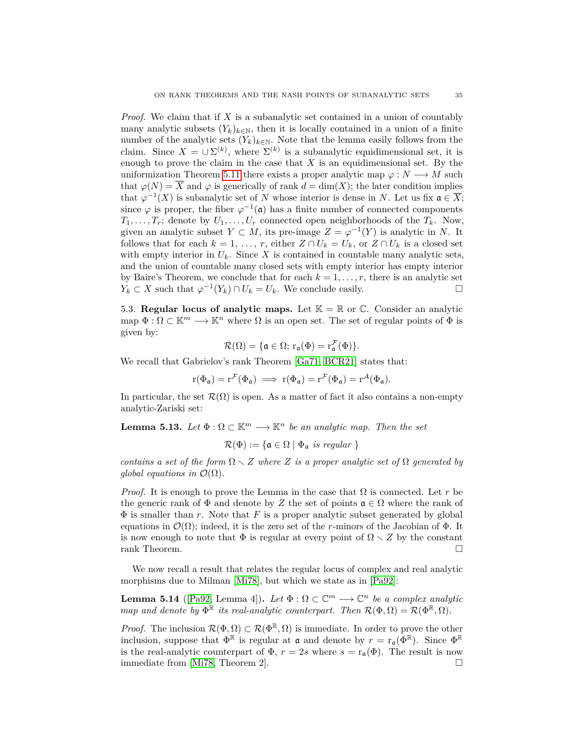*Proof.* We claim that if *X* is a subanalytic set contained in a union of countably many analytic subsets  $(Y_k)_{k \in \mathbb{N}}$ , then it is locally contained in a union of a finite number of the analytic sets  $(Y_k)_{k \in \mathbb{N}}$ . Note that the lemma easily follows from the claim. Since  $X = \cup \Sigma^{(k)}$ , where  $\Sigma^{(k)}$  is a subanalytic equidimensional set, it is enough to prove the claim in the case that *X* is an equidimensional set. By the uniformization Theorem [5.11](#page-33-1) there exists a proper analytic map  $\varphi : N \longrightarrow M$  such that  $\varphi(N) = \overline{X}$  and  $\varphi$  is generically of rank  $d = \dim(X)$ ; the later condition implies that  $\varphi^{-1}(X)$  is subanalytic set of *N* whose interior is dense in *N*. Let us fix  $\mathfrak{a} \in \overline{X}$ ; since  $\varphi$  is proper, the fiber  $\varphi^{-1}(\mathfrak{a})$  has a finite number of connected components  $T_1, \ldots, T_r$ ; denote by  $U_1, \ldots, U_r$  connected open neighborhoods of the  $T_k$ . Now, given an analytic subset  $Y \subset M$ , its pre-image  $Z = \varphi^{-1}(Y)$  is analytic in *N*. It follows that for each  $k = 1, \ldots, r$ , either  $Z \cap U_k = U_k$ , or  $Z \cap U_k$  is a closed set with empty interior in  $U_k$ . Since X is contained in countable many analytic sets, and the union of countable many closed sets with empty interior has empty interior by Baire's Theorem, we conclude that for each  $k = 1, \ldots, r$ , there is an analytic set  $Y_k \subset X$  such that  $\varphi^{-1}(Y_k) \cap U_k = U_k$ . We conclude easily.

5.3. **Regular locus of analytic maps.** Let  $K = \mathbb{R}$  or  $\mathbb{C}$ . Consider an analytic map  $\Phi : \Omega \subset \mathbb{K}^m \longrightarrow \mathbb{K}^n$  where  $\Omega$  is an open set. The set of regular points of  $\Phi$  is given by:

$$
\mathcal{R}(\Omega)=\{\mathfrak{a}\in\Omega;\,r_{\mathfrak{a}}(\Phi)=r_{\mathfrak{a}}^{\mathcal{F}}(\Phi)\}.
$$

We recall that Gabrielov's rank Theorem [\[Ga71,](#page-48-18) [BCR21\]](#page-48-2) states that:

$$
r(\Phi_{\mathfrak{a}}) = r^{\mathcal{F}}(\Phi_{\mathfrak{a}}) \implies r(\Phi_{\mathfrak{a}}) = r^{\mathcal{F}}(\Phi_{\mathfrak{a}}) = r^{\mathcal{A}}(\Phi_{\mathfrak{a}}).
$$

In particular, the set  $\mathcal{R}(\Omega)$  is open. As a matter of fact it also contains a non-empty analytic-Zariski set:

<span id="page-34-0"></span>**Lemma 5.13.** *Let*  $\Phi : \Omega \subset \mathbb{K}^m \longrightarrow \mathbb{K}^n$  *be an analytic map. Then the set* 

$$
\mathcal{R}(\Phi) := \{ \mathfrak{a} \in \Omega \mid \Phi_{\mathfrak{a}} \text{ is regular } \}
$$

*contains a set of the form*  $\Omega \setminus Z$  *where Z is a proper analytic set of*  $\Omega$  *generated by global equations in*  $\mathcal{O}(\Omega)$ *.* 

*Proof.* It is enough to prove the Lemma in the case that  $\Omega$  is connected. Let r be the generic rank of  $\Phi$  and denote by Z the set of points  $\mathfrak{a} \in \Omega$  where the rank of  $\Phi$  is smaller than  $r$ . Note that  $F$  is a proper analytic subset generated by global equations in  $\mathcal{O}(\Omega)$ ; indeed, it is the zero set of the *r*-minors of the Jacobian of  $\Phi$ . It is now enough to note that  $\Phi$  is regular at every point of  $\Omega \setminus Z$  by the constant rank Theorem.

We now recall a result that relates the regular locus of complex and real analytic morphisms due to Milman [\[Mi78\]](#page-49-15), but which we state as in [\[Pa92\]](#page-49-3):

<span id="page-34-1"></span>**Lemma 5.14** ([\[Pa92,](#page-49-3) Lemma 4]). Let  $\Phi : \Omega \subset \mathbb{C}^m \longrightarrow \mathbb{C}^n$  be a complex analytic *map and denote by*  $\Phi^{\mathbb{R}}$  *its real-analytic counterpart. Then*  $\mathcal{R}(\Phi,\Omega) = \mathcal{R}(\Phi^{\mathbb{R}},\Omega)$ .

*Proof.* The inclusion  $\mathcal{R}(\Phi,\Omega) \subset \mathcal{R}(\Phi^{\mathbb{R}},\Omega)$  is immediate. In order to prove the other inclusion, suppose that  $\Phi^{\mathbb{R}}$  is regular at **a** and denote by  $r = r_{\mathfrak{a}}(\Phi^{\mathbb{R}})$ . Since  $\Phi^{\mathbb{R}}$ is the real-analytic counterpart of  $\Phi$ ,  $r = 2s$  where  $s = r_a(\Phi)$ . The result is now immediate from [\[Mi78,](#page-49-15) Theorem 2].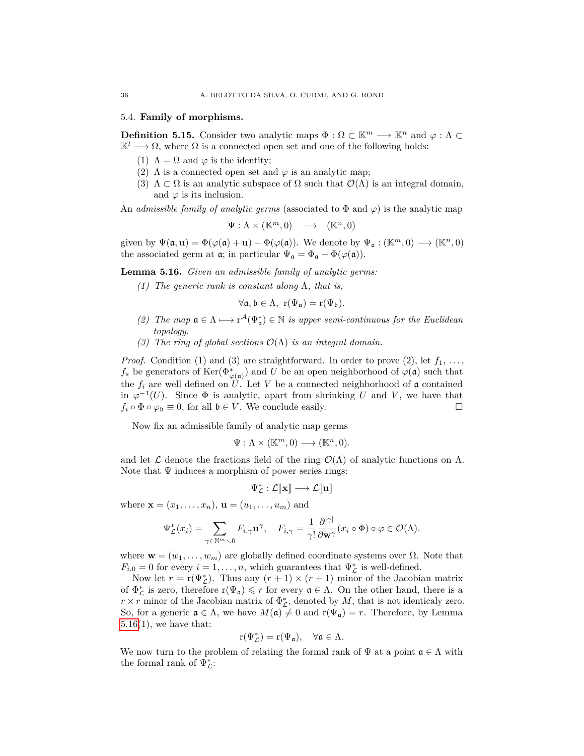### 5.4. **Family of morphisms.**

<span id="page-35-1"></span>**Definition 5.15.** Consider two analytic maps  $\Phi : \Omega \subset \mathbb{K}^m \longrightarrow \mathbb{K}^n$  and  $\varphi : \Lambda \subset \Omega$  $\mathbb{K}^l \longrightarrow \Omega$ , where  $\Omega$  is a connected open set and one of the following holds:

- (1)  $\Lambda = \Omega$  and  $\varphi$  is the identity;
- (2)  $\Lambda$  is a connected open set and  $\varphi$  is an analytic map;
- (3)  $\Lambda \subset \Omega$  is an analytic subspace of  $\Omega$  such that  $\mathcal{O}(\Lambda)$  is an integral domain, and  $\varphi$  is its inclusion.

An *admissible family of analytic germs* (associated to  $\Phi$  and  $\varphi$ ) is the analytic map

$$
\Psi: \Lambda \times (\mathbb{K}^m, 0) \quad \longrightarrow \quad (\mathbb{K}^n, 0)
$$

given by  $\Psi(\mathfrak{a}, \mathbf{u}) = \Phi(\varphi(\mathfrak{a}) + \mathbf{u}) - \Phi(\varphi(\mathfrak{a}))$ . We denote by  $\Psi_{\mathfrak{a}} : (\mathbb{K}^m, 0) \longrightarrow (\mathbb{K}^n, 0)$ the associated germ at  $\mathfrak{a}$ ; in particular  $\Psi_{\mathfrak{a}} = \Phi_{\mathfrak{a}} - \Phi(\varphi(\mathfrak{a}))$ .

<span id="page-35-0"></span>**Lemma 5.16.** *Given an admissible family of analytic germs:*

*(1) The generic rank is constant along* Λ*, that is,*

$$
\forall \mathfrak{a}, \mathfrak{b} \in \Lambda, \ r(\Psi_{\mathfrak{a}}) = r(\Psi_{\mathfrak{b}}).
$$

- (2) *The map*  $\mathfrak{a} \in \Lambda \mapsto r^{\mathcal{A}}(\Psi_{\mathfrak{a}}^{*}) \in \mathbb{N}$  *is upper semi-continuous for the Euclidean topology.*
- *(3) The ring of global sections* O(Λ) *is an integral domain.*

*Proof.* Condition (1) and (3) are straightforward. In order to prove (2), let  $f_1, \ldots,$  $f_s$  be generators of  $\text{Ker}(\Phi^*_{\varphi(\mathfrak{a})})$  and *U* be an open neighborhood of  $\varphi(\mathfrak{a})$  such that the  $f_i$  are well defined on  $\hat{U}$ . Let V be a connected neighborhood of a contained in  $\varphi^{-1}(U)$ . Since  $\Phi$  is analytic, apart from shrinking *U* and *V*, we have that  $f_i \circ \Phi \circ \varphi_{\mathfrak{b}} \equiv 0$ , for all  $\mathfrak{b} \in V$ . We conclude easily.

Now fix an admissible family of analytic map germs

$$
\Psi: \Lambda \times (\mathbb{K}^m, 0) \longrightarrow (\mathbb{K}^n, 0).
$$

and let  $\mathcal L$  denote the fractions field of the ring  $\mathcal O(\Lambda)$  of analytic functions on  $\Lambda$ . Note that  $\Psi$  induces a morphism of power series rings:

$$
\Psi_{\mathcal{L}}^* : \mathcal{L}[\hspace{-1.5pt}[ \mathbf{x}]\hspace{-1.5pt}] \longrightarrow \mathcal{L}[\hspace{-1.5pt}[ \mathbf{u}]\hspace{-1.5pt}]
$$

where  $\mathbf{x} = (x_1, ..., x_n), \mathbf{u} = (u_1, ..., u_m)$  and

$$
\Psi_{\mathcal{L}}^*(x_i) = \sum_{\gamma \in \mathbb{N}^m \setminus 0} F_{i,\gamma} \mathbf{u}^\gamma, \quad F_{i,\gamma} = \frac{1}{\gamma!} \frac{\partial^{|\gamma|}}{\partial \mathbf{w}^\gamma} (x_i \circ \Phi) \circ \varphi \in \mathcal{O}(\Lambda).
$$

where  $\mathbf{w} = (w_1, \ldots, w_m)$  are globally defined coordinate systems over  $\Omega$ . Note that  $F_{i,0} = 0$  for every  $i = 1, \ldots, n$ , which guarantees that  $\Psi_{\mathcal{L}}^*$  is well-defined.

Now let  $r = r(\Psi_{\mathcal{L}}^*)$ . Thus any  $(r+1) \times (r+1)$  minor of the Jacobian matrix of  $\Phi_{\mathcal{L}}^*$  is zero, therefore  $r(\Psi_{\mathfrak{a}}) \leq r$  for every  $\mathfrak{a} \in \Lambda$ . On the other hand, there is a  $r \times r$  minor of the Jacobian matrix of  $\Phi_{\mathcal{L}}^*$ , denoted by  $M$ , that is not identicaly zero. So, for a generic  $\mathfrak{a} \in \Lambda$ , we have  $M(\mathfrak{a}) \neq 0$  and  $r(\Psi_{\mathfrak{a}}) = r$ . Therefore, by Lemma  $5.16(1)$  $5.16(1)$ , we have that:

$$
r(\Psi^*_{\mathcal L})=r(\Psi_{\mathfrak a}),\quad \forall {\mathfrak a}\in\Lambda.
$$

We now turn to the problem of relating the formal rank of  $\Psi$  at a point  $\mathfrak{a} \in \Lambda$  with the formal rank of  $\Psi_{\mathcal{L}}^*$ :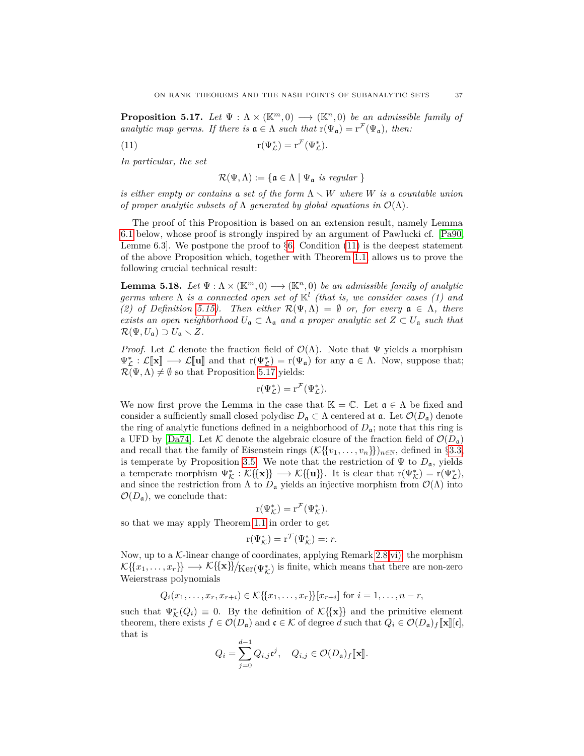<span id="page-36-2"></span>**Proposition 5.17.** *Let*  $\Psi : \Lambda \times (\mathbb{K}^m, 0) \longrightarrow (\mathbb{K}^n, 0)$  *be an admissible family of analytic map germs. If there is*  $\mathfrak{a} \in \Lambda$  *such that*  $r(\Psi_{\mathfrak{a}}) = r^{\mathcal{F}}(\Psi_{\mathfrak{a}})$ *, then:* 

(11) 
$$
\mathbf{r}(\Psi_{\mathcal{L}}^*) = \mathbf{r}^{\mathcal{F}}(\Psi_{\mathcal{L}}^*).
$$

*In particular, the set*

<span id="page-36-1"></span>
$$
\mathcal{R}(\Psi,\Lambda):=\{\mathfrak{a}\in\Lambda\mid \Psi_{\mathfrak{a}}\ \text{is regular}\ \}
$$

*is either empty or contains a set of the form*  $\Lambda \setminus W$  *where W is a countable union of proper analytic subsets of*  $\Lambda$  *generated by global equations in*  $\mathcal{O}(\Lambda)$ *.* 

The proof of this Proposition is based on an extension result, namely Lemma [6.1](#page-42-0) below, whose proof is strongly inspired by an argument of Pawłucki cf. [\[Pa90,](#page-49-2) Lemme [6.](#page-42-1)3. We postpone the proof to  $\S6$ . Condition [\(11\)](#page-36-1) is the deepest statement of the above Proposition which, together with Theorem [1.1,](#page-1-0) allows us to prove the following crucial technical result:

<span id="page-36-0"></span>**Lemma 5.18.** *Let*  $\Psi : \Lambda \times (\mathbb{K}^m, 0) \longrightarrow (\mathbb{K}^n, 0)$  *be an admissible family of analytic germs where* Λ *is a connected open set of* K*<sup>l</sup> (that is, we consider cases (1) and (2) of Definition [5.15\)](#page-35-1). Then either*  $\mathcal{R}(\Psi,\Lambda) = \emptyset$  *or, for every*  $\mathfrak{a} \in \Lambda$ , there *exists an open neighborhood*  $U_a \subset \Lambda_a$  *and a proper analytic set*  $Z \subset U_a$  *such that*  $\mathcal{R}(\Psi, U_{\mathfrak{a}}) \supset U_{\mathfrak{a}} \setminus Z$ *.* 

*Proof.* Let  $\mathcal L$  denote the fraction field of  $\mathcal O(\Lambda)$ . Note that  $\Psi$  yields a morphism  $\Psi_{\mathcal{L}}^* : \mathcal{L}[\![\mathbf{x}]\!] \longrightarrow \mathcal{L}[\![\mathbf{u}]\!]$  and that  $r(\Psi_{\mathcal{L}}^*) = r(\Psi_{\mathfrak{a}})$  for any  $\mathfrak{a} \in \Lambda$ . Now, suppose that;<br> $\mathcal{L}(\Psi_{\mathfrak{a}}) \neq \emptyset$  so that Proposition 5.17 violds:  $\mathcal{R}(\Psi,\Lambda) \neq \emptyset$  so that Proposition [5.17](#page-36-2) yields:

$$
r(\Psi_{\mathcal{L}}^*) = r^{\mathcal{F}}(\Psi_{\mathcal{L}}^*).
$$

We now first prove the Lemma in the case that  $\mathbb{K} = \mathbb{C}$ . Let  $\mathfrak{a} \in \Lambda$  be fixed and consider a sufficiently small closed polydisc  $D_{\mathfrak{a}} \subset \Lambda$  centered at  $\mathfrak{a}$ . Let  $\mathcal{O}(D_{\mathfrak{a}})$  denote the ring of analytic functions defined in a neighborhood of  $D_{\mathfrak{a}}$ ; note that this ring is a UFD by [\[Da74\]](#page-48-15). Let  $K$  denote the algebraic closure of the fraction field of  $\mathcal{O}(D_{a})$ and recall that the family of Eisenstein rings  $(\mathcal{K}\{\{v_1,\ldots,v_n\}\})_{n\in\mathbb{N}}$ , defined in §[3.3,](#page-12-0) is temperate by Proposition [3.5.](#page-12-2) We note that the restriction of  $\Psi$  to  $D_{\mathfrak{a}}$ , yields a temperate morphism  $\Psi_{\mathcal{K}}^* : \mathcal{K} \{ \{ \mathbf{x} \} \} \longrightarrow \mathcal{K} \{ \{ \mathbf{u} \} \}$ . It is clear that  $r(\Psi_{\mathcal{K}}^*) = r(\Psi_{\mathcal{L}}^*)$ , and since the restriction from  $\Lambda$  to  $D_{\mathfrak{a}}$  yields an injective morphism from  $\mathcal{O}(\Lambda)$  into  $\mathcal{O}(D_{\mathfrak{a}})$ , we conclude that:

$$
r(\Psi_{\mathcal{K}}^*) = r^{\mathcal{F}}(\Psi_{\mathcal{K}}^*).
$$

so that we may apply Theorem [1.1](#page-1-0) in order to get

$$
\mathbf{r}(\Psi_{\mathcal{K}}^*) = \mathbf{r}^{\mathcal{T}}(\Psi_{\mathcal{K}}^*) =: r.
$$

Now, up to a  $K$ -linear change of coordinates, applying Remark [2.8](#page-7-0) [vi\),](#page-8-5) the morphism  $\mathcal{K} \{\! \{x_1,\ldots,x_r\} \!\} \longrightarrow \mathcal{K} \{\!\{ \mathbf{x} \} \!\} \!/\! \mathop{\mathrm{Ker}}\nolimits(\Psi_\mathcal{K}^*)$  is finite, which means that there are non-zero Weierstrass polynomials

$$
Q_i(x_1,...,x_r,x_{r+i}) \in K\{\{x_1,...,x_r\}\}[x_{r+i}]
$$
 for  $i = 1,...,n-r$ ,

such that  $\Psi_{\mathcal{K}}^*(Q_i) \equiv 0$ . By the definition of  $\mathcal{K}\{\{\mathbf{x}\}\}\$  and the primitive element theorem, there exists  $f \in \mathcal{O}(D_{\mathfrak{a}})$  and  $\mathfrak{c} \in \mathcal{K}$  of degree *d* such that  $Q_i \in \mathcal{O}(D_{\mathfrak{a}})_f[\![\mathbf{x}]\!][\![\mathbf{c}]\!],$ that is

$$
Q_i = \sum_{j=0}^{d-1} Q_{i,j} \mathfrak{c}^j, \quad Q_{i,j} \in \mathcal{O}(D_{\mathfrak{a}})_f[\![\mathbf{x}]\!].
$$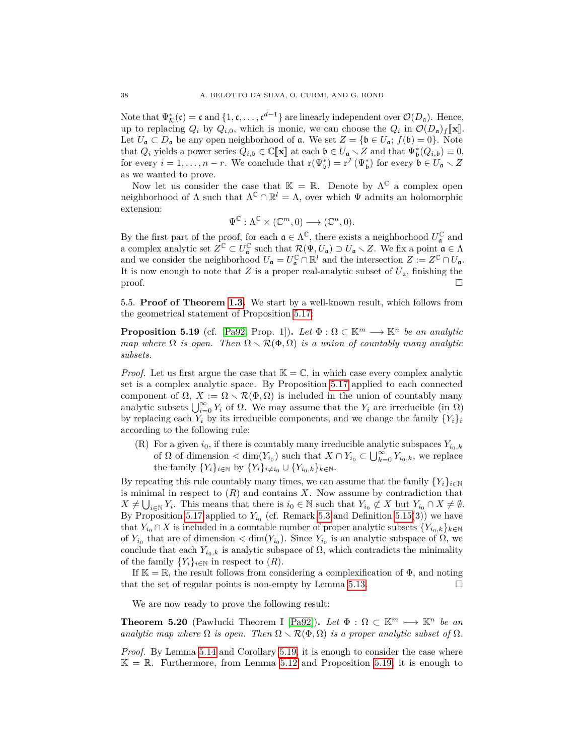Note that  $\Psi^*_{\mathcal{K}}(\mathfrak{c}) = \mathfrak{c}$  and  $\{1, \mathfrak{c}, \ldots, \mathfrak{c}^{d-1}\}$  are linearly independent over  $\mathcal{O}(D_{\mathfrak{a}})$ . Hence, up to replacing  $Q_i$  by  $Q_{i,0}$ , which is monic, we can choose the  $Q_i$  in  $\mathcal{O}(D_{\mathfrak{a}}) f[\mathbf{x}]$ .<br>Let  $U \subseteq D$  be any open point behavior of  $\mathfrak{a}$ . We set  $Z = \{ \mathbf{b} \in U : f(\mathbf{b}) = 0 \}$ . Note Let  $U_{\mathfrak{a}} \subset D_{\mathfrak{a}}$  be any open neighborhood of  $\mathfrak{a}$ . We set  $Z = {\mathfrak{b} \in U_{\mathfrak{a}}; f(\mathfrak{b}) = 0}.$  Note that  $Q_i$  yields a power series  $Q_{i,b} \in \mathbb{C}[\![\mathbf{x}]\!]$  at each  $\mathfrak{b} \in U_{\mathfrak{a}} \setminus Z$  and that  $\Psi_{\mathfrak{b}}^*(Q_{i,b}) \equiv 0$ , for every  $i = 1, \ldots, n$ , We conclude that  $r(\mathbf{F}^*) = r^{\mathcal{F}}(\mathbf{F}^*)$  for every  $\mathfrak{b} \in U \setminus Z$ for every  $i = 1, \ldots, n-r$ . We conclude that  $r(\Psi_{\mathfrak{b}}^*) = r^{\mathcal{F}}(\Psi_{\mathfrak{b}}^*)$  for every  $\mathfrak{b} \in U_{\mathfrak{a}} \setminus Z$ as we wanted to prove.

Now let us consider the case that  $\mathbb{K} = \mathbb{R}$ . Denote by  $\Lambda^{\mathbb{C}}$  a complex open neighborhood of  $\Lambda$  such that  $\Lambda^{\mathbb{C}} \cap \mathbb{R}^{l} = \Lambda$ , over which  $\Psi$  admits an holomorphic extension:

$$
\Psi^{\mathbb{C}} : \Lambda^{\mathbb{C}} \times (\mathbb{C}^m, 0) \longrightarrow (\mathbb{C}^n, 0).
$$

By the first part of the proof, for each  $\mathfrak{a} \in \Lambda^{\mathbb{C}}$ , there exists a neighborhood  $U^{\mathbb{C}}_{\mathfrak{a}}$  and a complex analytic set  $\overline{Z}^{\mathbb{C}} \subset U_{\mathfrak{a}}^{\mathbb{C}}$  such that  $\mathcal{R}(\Psi, U_{\mathfrak{a}}) \supset U_{\mathfrak{a}} \setminus Z$ . We fix a point  $\mathfrak{a} \in \Lambda$ and we consider the neighborhood  $U_{\mathfrak{a}} = U_{\mathfrak{a}}^{\mathbb{C}} \cap \mathbb{R}^l$  and the intersection  $Z := Z^{\mathbb{C}} \cap U_{\mathfrak{a}}$ . It is now enough to note that *Z* is a proper real-analytic subset of  $U_a$ , finishing the  $\Box$ 

5.5. **Proof of Theorem [1.3.](#page-2-1)** We start by a well-known result, which follows from the geometrical statement of Proposition [5.17:](#page-36-2)

<span id="page-37-0"></span>**Proposition 5.19** (cf. [\[Pa92,](#page-49-3) Prop. 1]). *Let*  $\Phi : \Omega \subset \mathbb{K}^m \longrightarrow \mathbb{K}^n$  *be an analytic map where*  $\Omega$  *is open. Then*  $\Omega \setminus \mathcal{R}(\Phi, \Omega)$  *is a union of countably many analytic subsets.*

*Proof.* Let us first argue the case that  $\mathbb{K} = \mathbb{C}$ , in which case every complex analytic set is a complex analytic space. By Proposition [5.17](#page-36-2) applied to each connected component of  $\Omega$ ,  $X := \Omega \setminus \mathcal{R}(\Phi,\Omega)$  is included in the union of countably many analytic subsets  $\bigcup_{i=0}^{\infty} Y_i$  of  $\Omega$ . We may assume that the  $Y_i$  are irreducible (in  $\Omega$ ) by replacing each  $Y_i$  by its irreducible components, and we change the family  $\{Y_i\}_i$ according to the following rule:

(R) For a given  $i_0$ , if there is countably many irreducible analytic subspaces  $Y_{i_0,k}$ of  $\Omega$  of dimension  $\langle \dim(Y_{i_0}) \rangle$  such that  $X \cap Y_{i_0} \subset \bigcup_{k=0}^{\infty} Y_{i_0,k}$ , we replace the family  $\{Y_i\}_{i \in \mathbb{N}}$  by  $\{Y_i\}_{i \neq i_0} \cup \{Y_{i_0,k}\}_{k \in \mathbb{N}}$ .

By repeating this rule countably many times, we can assume that the family  ${Y_i}_{i \in \mathbb{N}}$ is minimal in respect to  $(R)$  and contains  $X$ . Now assume by contradiction that  $X \neq \bigcup_{i \in \mathbb{N}} Y_i$ . This means that there is  $i_0 \in \mathbb{N}$  such that  $Y_{i_0} \not\subset X$  but  $Y_{i_0} \cap X \neq \emptyset$ . By Proposition [5.17](#page-36-2) applied to  $Y_{i_0}$  (cf. Remark [5.3](#page-32-1) and Definition [5.15\(](#page-35-1)3)) we have that  $Y_{i_0} \cap X$  is included in a countable number of proper analytic subsets  $\{Y_{i_0,k}\}_{k\in\mathbb{N}}$ of  $Y_{i_0}$  that are of dimension  $\langle \dim(Y_{i_0}) \rangle$ . Since  $Y_{i_0}$  is an analytic subspace of  $\Omega$ , we conclude that each  $Y_{i_0,k}$  is analytic subspace of  $\Omega$ , which contradicts the minimality of the family  $\{Y_i\}_{i\in\mathbb{N}}$  in respect to  $(R)$ .

If  $\mathbb{K} = \mathbb{R}$ , the result follows from considering a complexification of  $\Phi$ , and noting that the set of regular points is non-empty by Lemma [5.13.](#page-34-0)

We are now ready to prove the following result:

<span id="page-37-1"></span>**Theorem 5.20** (Pawłucki Theorem I [\[Pa92\]](#page-49-3)). Let  $\Phi : \Omega \subset \mathbb{K}^m \longmapsto \mathbb{K}^n$  be an *analytic map where*  $\Omega$  *is open. Then*  $\Omega \setminus \mathcal{R}(\Phi,\Omega)$  *is a proper analytic subset of*  $\Omega$ *.* 

*Proof.* By Lemma [5.14](#page-34-1) and Corollary [5.19,](#page-37-0) it is enough to consider the case where  $\mathbb{K} = \mathbb{R}$ . Furthermore, from Lemma [5.12](#page-33-2) and Proposition [5.19,](#page-37-0) it is enough to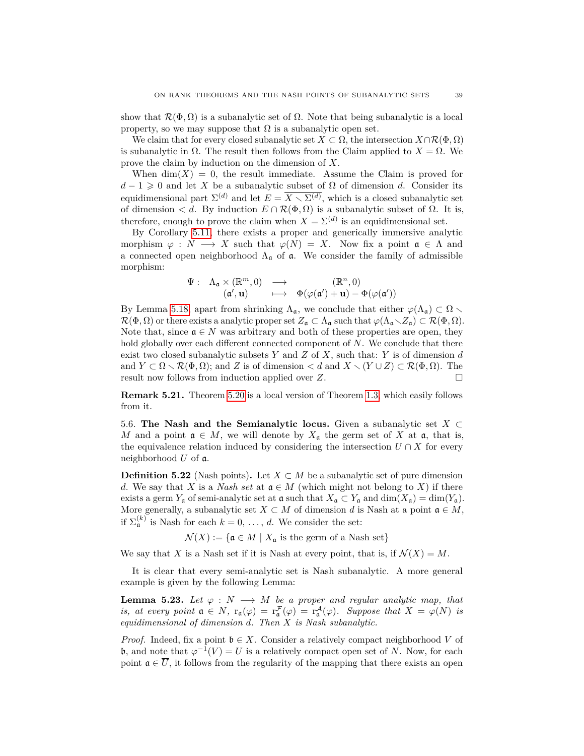show that  $\mathcal{R}(\Phi,\Omega)$  is a subanalytic set of  $\Omega$ . Note that being subanalytic is a local property, so we may suppose that  $\Omega$  is a subanalytic open set.

We claim that for every closed subanalytic set  $X \subset \Omega$ , the intersection  $X \cap \mathcal{R}(\Phi,\Omega)$ is subanalytic in Ω. The result then follows from the Claim applied to *X* = Ω. We prove the claim by induction on the dimension of *X*.

When  $\dim(X) = 0$ , the result immediate. Assume the Claim is proved for  $d-1 \geq 0$  and let *X* be a subanalytic subset of  $\Omega$  of dimension *d*. Consider its equidimensional part  $\Sigma^{(d)}$  and let  $E = \overline{X \setminus \Sigma^{(d)}}$ , which is a closed subanalytic set of dimension  $\langle d$ . By induction  $E \cap \mathcal{R}(\Phi,\Omega)$  is a subanalytic subset of  $\Omega$ . It is, therefore, enough to prove the claim when  $X = \Sigma^{(d)}$  is an equidimensional set.

By Corollary [5.11,](#page-33-1) there exists a proper and generically immersive analytic morphism  $\varphi : N \longrightarrow X$  such that  $\varphi(N) = X$ . Now fix a point  $\mathfrak{a} \in \Lambda$  and a connected open neighborhood  $Λ<sub>α</sub>$  of **a**. We consider the family of admissible morphism:

$$
\Psi: \quad \Lambda_{\mathfrak{a}} \times (\mathbb{R}^m, 0) \quad \longrightarrow \quad (\mathbb{R}^n, 0)
$$
\n
$$
(\mathfrak{a}', \mathbf{u}) \quad \longmapsto \quad \Phi(\varphi(\mathfrak{a}') + \mathbf{u}) - \Phi(\varphi(\mathfrak{a}'))
$$

By Lemma [5.18,](#page-36-0) apart from shrinking  $\Lambda_{\mathfrak{a}}$ , we conclude that either  $\varphi(\Lambda_{\mathfrak{a}}) \subset \Omega$  $\mathcal{R}(\Phi,\Omega)$  or there exists a analytic proper set  $Z_{\mathfrak{a}} \subset \Lambda_{\mathfrak{a}}$  such that  $\varphi(\Lambda_{\mathfrak{a}} \setminus Z_{\mathfrak{a}}) \subset \mathcal{R}(\Phi,\Omega)$ . Note that, since  $\mathfrak{a} \in N$  was arbitrary and both of these properties are open, they hold globally over each different connected component of *N*. We conclude that there exist two closed subanalytic subsets *Y* and *Z* of *X*, such that: *Y* is of dimension *d* and  $Y \subset \Omega \setminus \mathcal{R}(\Phi,\Omega)$ ; and *Z* is of dimension  $\lt d$  and  $X \setminus (Y \cup Z) \subset \mathcal{R}(\Phi,\Omega)$ . The result now follows from induction applied over *Z*.

**Remark 5.21.** Theorem [5.20](#page-37-1) is a local version of Theorem [1.3,](#page-2-1) which easily follows from it.

<span id="page-38-0"></span>5.6. **The Nash and the Semianalytic locus.** Given a subanalytic set *X* ⊂ *M* and a point  $\mathfrak{a} \in M$ , we will denote by  $X_{\mathfrak{a}}$  the germ set of X at  $\mathfrak{a}$ , that is, the equivalence relation induced by considering the intersection  $U \cap X$  for every neighborhood *U* of a.

**Definition 5.22** (Nash points). Let  $X \subset M$  be a subanalytic set of pure dimension *d*. We say that *X* is a *Nash set* at  $a \in M$  (which might not belong to *X*) if there exists a germ  $Y_a$  of semi-analytic set at  $\mathfrak a$  such that  $X_{\mathfrak a} \subset Y_{\mathfrak a}$  and  $\dim(X_{\mathfrak a}) = \dim(Y_{\mathfrak a})$ . More generally, a subanalytic set  $X \subset M$  of dimension *d* is Nash at a point  $\mathfrak{a} \in M$ , if  $\Sigma_{\mathfrak{a}}^{(k)}$  is Nash for each  $k = 0, \ldots, d$ . We consider the set:

 $\mathcal{N}(X) := \{ \mathfrak{a} \in M \mid X_{\mathfrak{a}} \text{ is the germ of a Nash set} \}$ 

We say that X is a Nash set if it is Nash at every point, that is, if  $\mathcal{N}(X) = M$ .

It is clear that every semi-analytic set is Nash subanalytic. A more general example is given by the following Lemma:

<span id="page-38-1"></span>**Lemma 5.23.** *Let*  $\varphi : N \longrightarrow M$  *be a proper and regular analytic map, that is, at every point*  $\mathfrak{a} \in N$ *,*  $\mathbf{r}_{\mathfrak{a}}(\varphi) = \mathbf{r}_{\mathfrak{a}}^{\mathcal{F}}(\varphi) = \mathbf{r}_{\mathfrak{a}}^{\mathcal{A}}(\varphi)$ *. Suppose that*  $X = \varphi(N)$  *is equidimensional of dimension d. Then X is Nash subanalytic.*

*Proof.* Indeed, fix a point  $\mathfrak{b} \in X$ . Consider a relatively compact neighborhood *V* of **b**, and note that  $\varphi^{-1}(V) = U$  is a relatively compact open set of *N*. Now, for each point  $\mathfrak{a} \in \overline{U}$ , it follows from the regularity of the mapping that there exists an open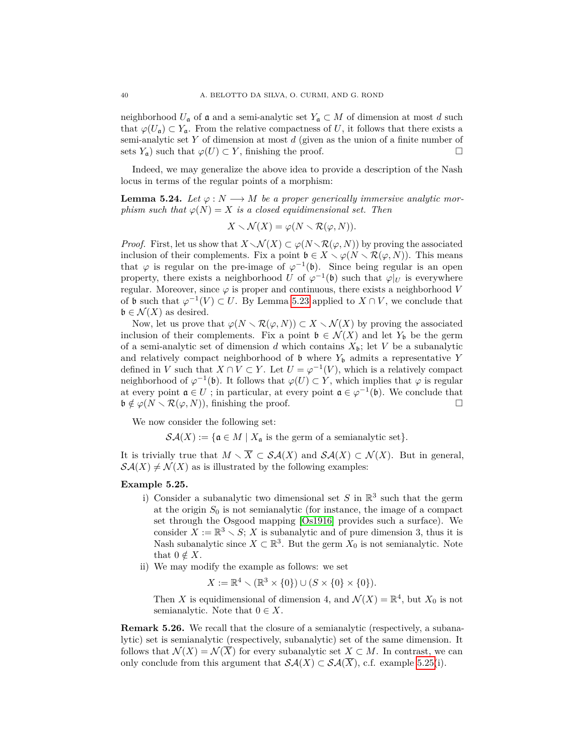neighborhood  $U_a$  of a and a semi-analytic set  $Y_a \subset M$  of dimension at most *d* such that  $\varphi(U_{\mathfrak{a}}) \subset Y_{\mathfrak{a}}$ . From the relative compactness of *U*, it follows that there exists a semi-analytic set *Y* of dimension at most *d* (given as the union of a finite number of sets  $Y_a$ ) such that  $\varphi(U) \subset Y$ , finishing the proof.

Indeed, we may generalize the above idea to provide a description of the Nash locus in terms of the regular points of a morphism:

<span id="page-39-2"></span>**Lemma 5.24.** *Let*  $\varphi : N \longrightarrow M$  *be a proper generically immersive analytic morphism such that*  $\varphi(N) = X$  *is a closed equidimensional set. Then* 

$$
X \setminus \mathcal{N}(X) = \varphi(N \setminus \mathcal{R}(\varphi, N)).
$$

*Proof.* First, let us show that  $X \setminus \mathcal{N}(X) \subset \varphi(N \setminus \mathcal{R}(\varphi, N))$  by proving the associated inclusion of their complements. Fix a point  $\mathfrak{b} \in X \setminus \varphi(N \setminus \mathcal{R}(\varphi, N))$ . This means that  $\varphi$  is regular on the pre-image of  $\varphi^{-1}(\mathfrak{b})$ . Since being regular is an open property, there exists a neighborhood *U* of  $\varphi^{-1}(\mathfrak{b})$  such that  $\varphi|_U$  is everywhere regular. Moreover, since  $\varphi$  is proper and continuous, there exists a neighborhood *V* of **b** such that  $\varphi^{-1}(V) \subset U$ . By Lemma [5.23](#page-38-1) applied to  $X \cap V$ , we conclude that  $\mathfrak{b} \in \mathcal{N}(X)$  as desired.

Now, let us prove that  $\varphi(N \setminus \mathcal{R}(\varphi, N)) \subset X \setminus \mathcal{N}(X)$  by proving the associated inclusion of their complements. Fix a point  $\mathfrak{b} \in \mathcal{N}(X)$  and let  $Y_{\mathfrak{b}}$  be the germ of a semi-analytic set of dimension *d* which contains  $X_{\mathfrak{b}}$ ; let *V* be a subanalytic and relatively compact neighborhood of  $\mathfrak b$  where  $Y_{\mathfrak b}$  admits a representative  $Y$ defined in *V* such that  $X \cap V \subset Y$ . Let  $U = \varphi^{-1}(V)$ , which is a relatively compact neighborhood of  $\varphi^{-1}(\mathfrak{b})$ . It follows that  $\varphi(U) \subset Y$ , which implies that  $\varphi$  is regular at every point  $\mathfrak{a} \in U$ ; in particular, at every point  $\mathfrak{a} \in \varphi^{-1}(\mathfrak{b})$ . We conclude that  $\mathfrak{b} \notin \varphi(N \setminus \mathcal{R}(\varphi, N)),$  finishing the proof.

We now consider the following set:

 $\mathcal{S}\mathcal{A}(X) := \{ \mathfrak{a} \in M \mid X_{\mathfrak{a}} \text{ is the germ of a semianalytic set} \}.$ 

It is trivially true that  $M \setminus \overline{X} \subset \mathcal{SA}(X)$  and  $\mathcal{SA}(X) \subset \mathcal{N}(X)$ . But in general,  $\mathcal{S}\mathcal{A}(X) \neq \mathcal{N}(X)$  as is illustrated by the following examples:

#### <span id="page-39-0"></span>**Example 5.25.**

- i) Consider a subanalytic two dimensional set  $S$  in  $\mathbb{R}^3$  such that the germ at the origin  $S_0$  is not semianalytic (for instance, the image of a compact set through the Osgood mapping [\[Os1916\]](#page-49-16) provides such a surface). We consider  $X := \mathbb{R}^3 \setminus S$ ; *X* is subanalytic and of pure dimension 3, thus it is Nash subanalytic since  $X \subset \mathbb{R}^3$ . But the germ  $X_0$  is not semianalytic. Note that  $0 \notin X$ .
- ii) We may modify the example as follows: we set

$$
X := \mathbb{R}^4 \setminus (\mathbb{R}^3 \times \{0\}) \cup (S \times \{0\} \times \{0\}).
$$

Then *X* is equidimensional of dimension 4, and  $\mathcal{N}(X) = \mathbb{R}^4$ , but  $X_0$  is not semianalytic. Note that  $0 \in X$ .

<span id="page-39-1"></span>**Remark 5.26.** We recall that the closure of a semianalytic (respectively, a subanalytic) set is semianalytic (respectively, subanalytic) set of the same dimension. It follows that  $\mathcal{N}(X) = \mathcal{N}(\overline{X})$  for every subanalytic set  $X \subset M$ . In contrast, we can only conclude from this argument that  $\mathcal{S}\mathcal{A}(X) \subset \mathcal{S}\mathcal{A}(\overline{X})$ , c.f. example [5.25\(](#page-39-0)i).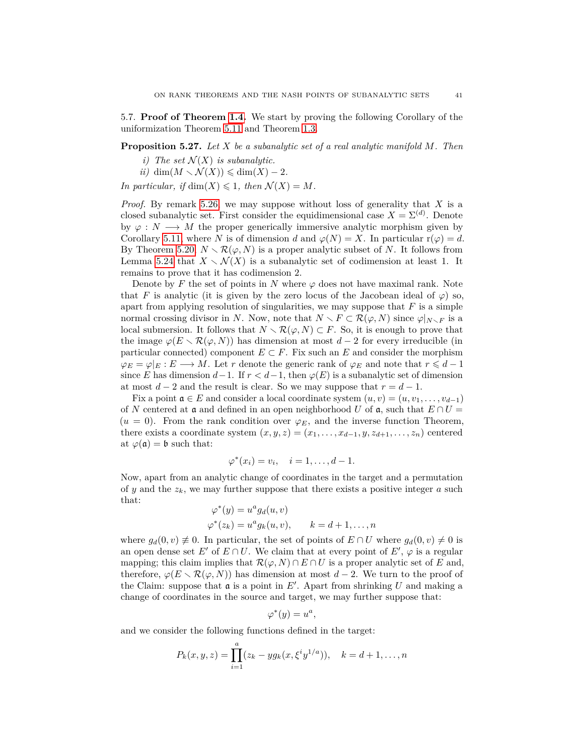5.7. **Proof of Theorem [1.4.](#page-3-0)** We start by proving the following Corollary of the uniformization Theorem [5.11](#page-33-1) and Theorem [1.3.](#page-2-1)

### <span id="page-40-0"></span>**Proposition 5.27.** *Let X be a subanalytic set of a real analytic manifold M. Then*

- *i*) The set  $\mathcal{N}(X)$  *is subanalytic.*
- $ii)$  dim $(M \setminus \mathcal{N}(X)) \leq \dim(X) 2$ .

*In particular, if*  $\dim(X) \leq 1$ *, then*  $\mathcal{N}(X) = M$ *.* 

*Proof.* By remark [5.26,](#page-39-1) we may suppose without loss of generality that *X* is a closed subanalytic set. First consider the equidimensional case  $X = \Sigma^{(d)}$ . Denote by  $\varphi : N \longrightarrow M$  the proper generically immersive analytic morphism given by Corollary [5.11,](#page-33-1) where *N* is of dimension *d* and  $\varphi(N) = X$ . In particular r( $\varphi$ ) = *d*. By Theorem [5.20,](#page-37-1)  $N \setminus \mathcal{R}(\varphi, N)$  is a proper analytic subset of *N*. It follows from Lemma [5.24](#page-39-2) that  $X \setminus \mathcal{N}(X)$  is a subanalytic set of codimension at least 1. It remains to prove that it has codimension 2.

Denote by F the set of points in N where  $\varphi$  does not have maximal rank. Note that *F* is analytic (it is given by the zero locus of the Jacobean ideal of  $\varphi$ ) so, apart from applying resolution of singularities, we may suppose that *F* is a simple normal crossing divisor in *N*. Now, note that  $N \setminus F \subset \mathcal{R}(\varphi, N)$  since  $\varphi|_{N \setminus F}$  is a local submersion. It follows that  $N \setminus \mathcal{R}(\varphi, N) \subset F$ . So, it is enough to prove that the image  $\varphi(E \setminus \mathcal{R}(\varphi, N))$  has dimension at most  $d-2$  for every irreducible (in particular connected) component  $E \subset F$ . Fix such an *E* and consider the morphism  $\varphi_E = \varphi|_E : E \longrightarrow M$ . Let *r* denote the generic rank of  $\varphi_E$  and note that  $r \leq d-1$ since *E* has dimension  $d-1$ . If  $r < d-1$ , then  $\varphi(E)$  is a subanalytic set of dimension at most  $d-2$  and the result is clear. So we may suppose that  $r = d-1$ .

Fix a point  $a \in E$  and consider a local coordinate system  $(u, v) = (u, v_1, \ldots, v_{d-1})$ of *N* centered at **a** and defined in an open neighborhood *U* of **a**, such that  $E \cap U =$  $(u = 0)$ . From the rank condition over  $\varphi_E$ , and the inverse function Theorem, there exists a coordinate system  $(x, y, z) = (x_1, \ldots, x_{d-1}, y, z_{d+1}, \ldots, z_n)$  centered at  $\varphi(\mathfrak{a}) = \mathfrak{b}$  such that:

$$
\varphi^*(x_i) = v_i, \quad i = 1, \dots, d-1.
$$

Now, apart from an analytic change of coordinates in the target and a permutation of *y* and the  $z_k$ , we may further suppose that there exists a positive integer *a* such that: ∗

$$
\varphi^*(y) = u^a g_d(u, v)
$$
  

$$
\varphi^*(z_k) = u^a g_k(u, v), \qquad k = d+1, \dots, n
$$

where  $g_d(0, v) \neq 0$ . In particular, the set of points of  $E \cap U$  where  $g_d(0, v) \neq 0$  is an open dense set  $E'$  of  $E \cap U$ . We claim that at every point of  $E'$ ,  $\varphi$  is a regular mapping; this claim implies that  $\mathcal{R}(\varphi, N) \cap E \cap U$  is a proper analytic set of *E* and, therefore,  $\varphi(E \setminus \mathcal{R}(\varphi, N))$  has dimension at most  $d-2$ . We turn to the proof of the Claim: suppose that  $\mathfrak a$  is a point in  $E'$ . Apart from shrinking  $U$  and making a change of coordinates in the source and target, we may further suppose that:

$$
\varphi^*(y) = u^a,
$$

and we consider the following functions defined in the target:

$$
P_k(x, y, z) = \prod_{i=1}^a (z_k - yg_k(x, \xi^i y^{1/a})), \quad k = d+1, \dots, n
$$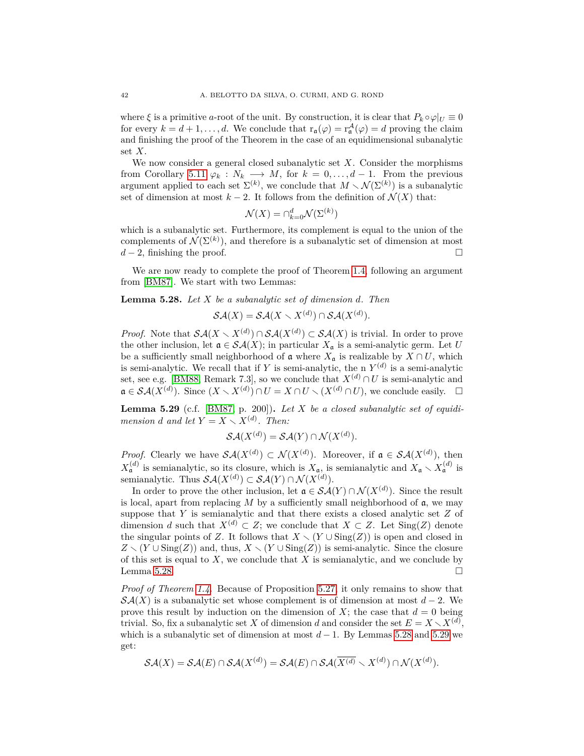where  $\xi$  is a primitive *a*-root of the unit. By construction, it is clear that  $P_k \circ \varphi|_U \equiv 0$ for every  $k = d + 1, \ldots, d$ . We conclude that  $r_{\mathfrak{a}}(\varphi) = r_{\mathfrak{a}}^{\mathcal{A}}(\varphi) = d$  proving the claim and finishing the proof of the Theorem in the case of an equidimensional subanalytic set *X*.

We now consider a general closed subanalytic set *X*. Consider the morphisms from Corollary [5.11](#page-33-1)  $\varphi_k : N_k \longrightarrow M$ , for  $k = 0, \ldots, d-1$ . From the previous argument applied to each set  $\Sigma^{(k)}$ , we conclude that  $M \setminus \mathcal{N}(\Sigma^{(k)})$  is a subanalytic set of dimension at most  $k-2$ . It follows from the definition of  $\mathcal{N}(X)$  that:

$$
\mathcal{N}(X) = \cap_{k=0}^d \mathcal{N}(\Sigma^{(k)})
$$

which is a subanalytic set. Furthermore, its complement is equal to the union of the complements of  $\mathcal{N}(\Sigma^{(k)})$ , and therefore is a subanalytic set of dimension at most  $d-2$ , finishing the proof.

We are now ready to complete the proof of Theorem [1.4,](#page-3-0) following an argument from [\[BM87\]](#page-48-19). We start with two Lemmas:

### <span id="page-41-0"></span>**Lemma 5.28.** *Let X be a subanalytic set of dimension d. Then*

$$
\mathcal{SA}(X) = \mathcal{SA}(X \setminus X^{(d)}) \cap \mathcal{SA}(X^{(d)}).
$$

*Proof.* Note that  $\mathcal{SA}(X \setminus X^{(d)}) \cap \mathcal{SA}(X^{(d)}) \subset \mathcal{SA}(X)$  is trivial. In order to prove the other inclusion, let  $\mathfrak{a} \in \mathcal{SA}(X)$ ; in particular  $X_{\mathfrak{a}}$  is a semi-analytic germ. Let *U* be a sufficiently small neighborhood of  $\mathfrak a$  where  $X_{\mathfrak a}$  is realizable by  $X \cap U$ , which is semi-analytic. We recall that if *Y* is semi-analytic, the n  $Y^{(d)}$  is a semi-analytic set, see e.g. [\[BM88,](#page-48-7) Remark 7.3], so we conclude that  $X^{(d)} \cap U$  is semi-analytic and  $\mathfrak{a} \in \mathcal{SA}(X^{(d)})$ . Since  $(X \setminus X^{(d)}) \cap U = X \cap U \setminus (X^{(d)} \cap U)$ , we conclude easily.  $\Box$ 

<span id="page-41-1"></span>**Lemma 5.29** (c.f. [\[BM87,](#page-48-19) p. 200])**.** *Let X be a closed subanalytic set of equidimension d* and let  $Y = X \setminus X^{(d)}$ . Then:

$$
\mathcal{SA}(X^{(d)}) = \mathcal{SA}(Y) \cap \mathcal{N}(X^{(d)}).
$$

*Proof.* Clearly we have  $\mathcal{SA}(X^{(d)}) \subset \mathcal{N}(X^{(d)})$ . Moreover, if  $\mathfrak{a} \in \mathcal{SA}(X^{(d)})$ , then  $X_{\mathfrak{a}}^{(d)}$  is semianalytic, so its closure, which is  $X_{\mathfrak{a}}$ , is semianalytic and  $X_{\mathfrak{a}} \setminus X_{\mathfrak{a}}^{(d)}$  is semianalytic. Thus  $\mathcal{SA}(X^{(d)}) \subset \mathcal{SA}(Y) \cap \mathcal{N}(X^{(d)})$ .

In order to prove the other inclusion, let  $\mathfrak{a} \in \mathcal{SA}(Y) \cap \mathcal{N}(X^{(d)})$ . Since the result is local, apart from replacing  $M$  by a sufficiently small neighborhood of  $\mathfrak{a}$ , we may suppose that *Y* is semianalytic and that there exists a closed analytic set *Z* of dimension *d* such that  $X^{(d)} \subset Z$ ; we conclude that  $X \subset Z$ . Let Sing(*Z*) denote the singular points of *Z*. It follows that  $X \setminus (Y \cup \text{Sing}(Z))$  is open and closed in  $Z \setminus (Y \cup \text{Sing}(Z))$  and, thus,  $X \setminus (Y \cup \text{Sing}(Z))$  is semi-analytic. Since the closure of this set is equal to *X*, we conclude that *X* is semianalytic, and we conclude by Lemma [5.28.](#page-41-0)  $\Box$ 

*Proof of Theorem [1.4.](#page-3-0)* Because of Proposition [5.27,](#page-40-0) it only remains to show that  $\mathcal{S}\mathcal{A}(X)$  is a subanalytic set whose complement is of dimension at most  $d-2$ . We prove this result by induction on the dimension of  $X$ ; the case that  $d = 0$  being trivial. So, fix a subanalytic set *X* of dimension *d* and consider the set  $E = X \setminus X^{(d)}$ , which is a subanalytic set of dimension at most  $d-1$ . By Lemmas [5.28](#page-41-0) and [5.29](#page-41-1) we get:

$$
\mathcal{SA}(X)=\mathcal{SA}(E)\cap\mathcal{SA}(X^{(d)})=\mathcal{SA}(E)\cap\mathcal{SA}(\overline{X^{(d)}}\smallsetminus X^{(d)})\cap\mathcal{N}(X^{(d)}).
$$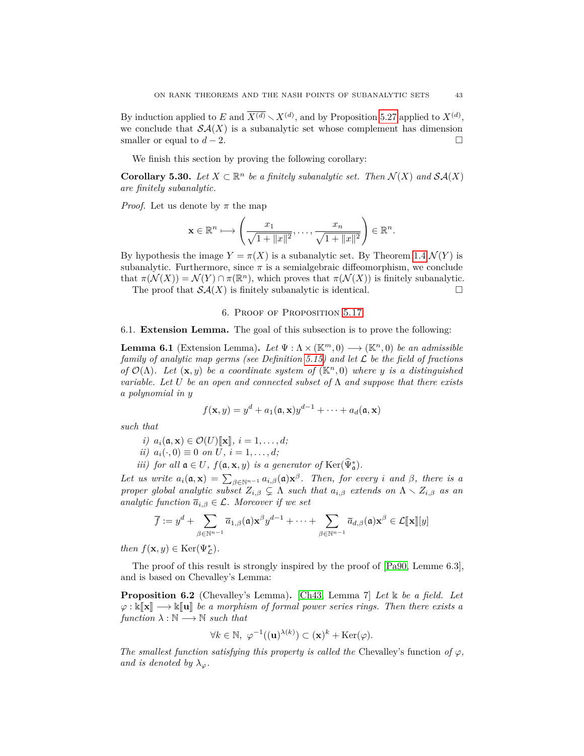By induction applied to *E* and  $\overline{X^{(d)}} \setminus X^{(d)}$ , and by Proposition [5.27](#page-40-0) applied to  $X^{(d)}$ , we conclude that  $\mathcal{SA}(X)$  is a subanalytic set whose complement has dimension smaller or equal to  $d-2$ .

We finish this section by proving the following corollary:

**Corollary 5.30.** Let  $X \subset \mathbb{R}^n$  be a finitely subanalytic set. Then  $\mathcal{N}(X)$  and  $\mathcal{SA}(X)$ *are finitely subanalytic.*

*Proof.* Let us denote by  $\pi$  the map

$$
\mathbf{x} \in \mathbb{R}^n \longmapsto \left(\frac{x_1}{\sqrt{1 + \|x\|^2}}, \dots, \frac{x_n}{\sqrt{1 + \|x\|^2}}\right) \in \mathbb{R}^n.
$$

By hypothesis the image  $Y = \pi(X)$  is a subanalytic set. By Theorem [1.4](#page-3-0)  $\mathcal{N}(Y)$  is subanalytic. Furthermore, since  $\pi$  is a semialgebraic diffeomorphism, we conclude that  $\pi(\mathcal{N}(X)) = \mathcal{N}(Y) \cap \pi(\mathbb{R}^n)$ , which proves that  $\pi(\mathcal{N}(X))$  is finitely subanalytic.

The proof that  $\mathcal{SA}(X)$  is finitely subanalytic is identical.

### 6. Proof of Proposition [5.17](#page-36-2)

#### <span id="page-42-1"></span>6.1. **Extension Lemma.** The goal of this subsection is to prove the following:

<span id="page-42-0"></span>**Lemma 6.1** (Extension Lemma). Let  $\Psi : \Lambda \times (\mathbb{K}^m, 0) \longrightarrow (\mathbb{K}^n, 0)$  be an admissible *family of analytic map germs (see Definition [5.15\)](#page-35-1) and let* L *be the field of fractions of*  $\mathcal{O}(\Lambda)$ *. Let*  $(\mathbf{x}, y)$  *be a coordinate system of*  $(\mathbb{K}^n, 0)$  *where y is a distinguished variable. Let U be an open and connected subset of* Λ *and suppose that there exists a polynomial in y*

$$
f(\mathbf{x}, y) = y^d + a_1(\mathfrak{a}, \mathbf{x})y^{d-1} + \cdots + a_d(\mathfrak{a}, \mathbf{x})
$$

*such that*

- $i)$   $a_i(\mathfrak{a}, \mathbf{x}) \in \mathcal{O}(U)[\mathfrak{x}], i = 1, \ldots, d;$
- *ii*)  $a_i(\cdot, 0) \equiv 0$  *on*  $U, i = 1, \ldots, d;$
- *iii) for all*  $\mathfrak{a} \in U$ *,*  $f(\mathfrak{a}, \mathbf{x}, y)$  *is a generator of* Ker $(\widehat{\Psi}_{\mathfrak{a}}^{*})$ *.*

*Let us write*  $a_i(\mathfrak{a}, \mathbf{x}) = \sum_{\beta \in \mathbb{N}^{n-1}} a_{i,\beta}(\mathfrak{a}) \mathbf{x}^{\beta}$ *. Then, for every i and*  $\beta$ *, there is a proper global analytic subset*  $Z_{i,\beta} \subsetneq \Lambda$  *such that*  $a_{i,\beta}$  *extends on*  $\Lambda \setminus Z_{i,\beta}$  *as an analytic function*  $\overline{a}_{i,\beta} \in \mathcal{L}$ *. Moreover if we set* 

$$
\overline{f} := y^d + \sum_{\beta \in \mathbb{N}^{n-1}} \overline{a}_{1,\beta}(\mathfrak{a}) \mathbf{x}^\beta y^{d-1} + \cdots + \sum_{\beta \in \mathbb{N}^{n-1}} \overline{a}_{d,\beta}(\mathfrak{a}) \mathbf{x}^\beta \in \mathcal{L}[\![\mathbf{x}]\!][\![y]\!]
$$

*then*  $f(\mathbf{x}, y) \in \text{Ker}(\Psi_{\mathcal{L}}^*)$ *.* 

The proof of this result is strongly inspired by the proof of [\[Pa90,](#page-49-2) Lemme 6.3], and is based on Chevalley's Lemma:

<span id="page-42-2"></span>**Proposition 6.2** (Chevalley's Lemma)**.** [\[Ch43,](#page-48-20) Lemma 7] *Let* k *be a field. Let*  $\varphi: \Bbbk[\![\mathbf{x}]\!] \longrightarrow \Bbbk[\![\mathbf{u}]\!]$  be a morphism of formal power series rings. Then there exists a  $function \lambda : \mathbb{N} \longrightarrow \mathbb{N} \ such \ that$ 

$$
\forall k \in \mathbb{N}, \ \varphi^{-1}((\mathbf{u})^{\lambda(k)}) \subset (\mathbf{x})^k + \text{Ker}(\varphi).
$$

*The smallest function satisfying this property is called the* Chevalley's function of  $\varphi$ , *and is denoted by*  $\lambda_{\varphi}$ *.*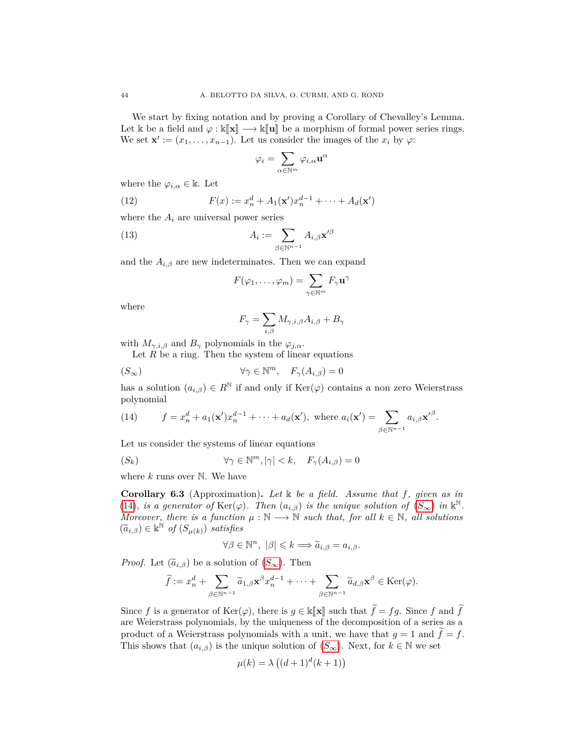We start by fixing notation and by proving a Corollary of Chevalley's Lemma. Let k be a field and  $\varphi : \kappa[\mathbf{x}] \longrightarrow \kappa[\mathbf{u}]$  be a morphism of formal power series rings. We set  $\mathbf{x}' := (x_1, \ldots, x_{n-1})$ . Let us consider the images of the  $x_i$  by  $\varphi$ :

<span id="page-43-3"></span>
$$
\varphi_i=\sum_{\alpha\in\mathbb{N}^m}\varphi_{i,\alpha}\mathbf{u}^\alpha
$$

where the  $\varphi_{i,\alpha} \in \mathbb{k}$ . Let

(12) 
$$
F(x) := x_n^d + A_1(\mathbf{x}')x_n^{d-1} + \dots + A_d(\mathbf{x}')
$$

where the  $A_i$  are universal power series

(13) 
$$
A_i := \sum_{\beta \in \mathbb{N}^{n-1}} A_{i,\beta} \mathbf{x'}^{\beta}
$$

and the  $A_{i,\beta}$  are new indeterminates. Then we can expand

<span id="page-43-4"></span>
$$
F(\varphi_1,\ldots,\varphi_m)=\sum_{\gamma\in\mathbb{N}^m}F_{\gamma}\mathbf{u}^{\gamma}
$$

where

<span id="page-43-0"></span>
$$
F_{\gamma} = \sum_{i,\beta} M_{\gamma,i,\beta} A_{i,\beta} + B_{\gamma}
$$

with  $M_{\gamma,i,\beta}$  and  $B_{\gamma}$  polynomials in the  $\varphi_{j,\alpha}$ .

Let *R* be a ring. Then the system of linear equations

<span id="page-43-1"></span>
$$
(\mathcal{S}_{\infty}) \qquad \qquad \forall \gamma \in \mathbb{N}^m, \quad F_{\gamma}(A_{i,\beta}) = 0
$$

has a solution  $(a_{i,\beta}) \in R^{\mathbb{N}}$  if and only if  $\text{Ker}(\varphi)$  contains a non zero Weierstrass polynomial

(14) 
$$
f = x_n^d + a_1(\mathbf{x}')x_n^{d-1} + \cdots + a_d(\mathbf{x}'), \text{ where } a_i(\mathbf{x}') = \sum_{\beta \in \mathbb{N}^{n-1}} a_{i,\beta} \mathbf{x}'^{\beta}.
$$

Let us consider the systems of linear equations

$$
(S_k) \t\t \forall \gamma \in \mathbb{N}^m, |\gamma| < k, \quad F_{\gamma}(A_{i,\beta}) = 0
$$

where *k* runs over N. We have

<span id="page-43-5"></span>**Corollary 6.3** (Approximation)**.** *Let* k *be a field. Assume that f, given as in* [\(14\)](#page-43-0)*, is a generator of*  $\text{Ker}(\varphi)$ *. Then*  $(a_{i,\beta})$  *is the unique solution of*  $(S_{\infty})$  $(S_{\infty})$  $(S_{\infty})$  *in*  $\mathbb{k}^{\mathbb{N}}$ *. Moreover, there is a function*  $\mu : \mathbb{N} \longrightarrow \mathbb{N}$  *such that, for all*  $k \in \mathbb{N}$ *, all solutions*  $(\widetilde{a}_{i,\beta}) \in \mathbb{k}^{\mathbb{N}}$  of  $(S_{\mu(k)})$  satisfies

<span id="page-43-2"></span>
$$
\forall \beta \in \mathbb{N}^n, \ |\beta| \leqslant k \Longrightarrow \widetilde{a}_{i,\beta} = a_{i,\beta}.
$$

*Proof.* Let  $(\tilde{a}_{i,\beta})$  be a solution of  $(S_{\infty})$  $(S_{\infty})$  $(S_{\infty})$ . Then

$$
\widetilde{f} := x_n^d + \sum_{\beta \in \mathbb{N}^{n-1}} \widetilde{a}_{1,\beta} \mathbf{x}^{\beta} x_n^{d-1} + \dots + \sum_{\beta \in \mathbb{N}^{n-1}} \widetilde{a}_{d,\beta} \mathbf{x}^{\beta} \in \text{Ker}(\varphi).
$$

Since *f* is a generator of  $\text{Ker}(\varphi)$ , there is  $g \in \mathbb{k}[\![\mathbf{x}]\!]$  such that  $\widetilde{f} = fg$ . Since *f* and  $\widetilde{f}$ are Weierstrass polynomials, by the uniqueness of the decomposition of a series as a product of a Weierstrass polynomials with a unit, we have that  $q = 1$  and  $\tilde{f} = f$ . This shows that  $(a_{i,\beta})$  is the unique solution of  $(S_{\infty})$  $(S_{\infty})$  $(S_{\infty})$ . Next, for  $k \in \mathbb{N}$  we set

$$
\mu(k) = \lambda ((d+1)^d (k+1))
$$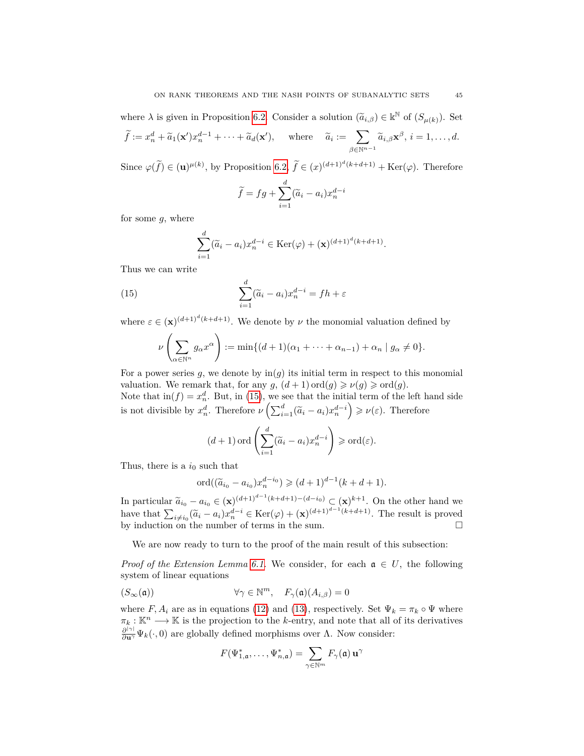where  $\lambda$  is given in Proposition [6.2.](#page-42-2) Consider a solution  $(\tilde{a}_{i,\beta}) \in \mathbb{R}^{\mathbb{N}}$  of  $(S_{\mu(k)})$ . Set  $\widetilde{f} := x_n^d + \widetilde{a}_1(\mathbf{x}')x_n^{d-1} + \cdots + \widetilde{a}_d(\mathbf{x}'), \text{ where } \widetilde{a}_i := \sum_{\alpha \in \mathbb{N}^n}$  $\sum_{\beta \in \mathbb{N}^{n-1}} \widetilde{a}_{i,\beta} \mathbf{x}^{\beta}, \, i=1,\ldots,d.$ 

Since  $\varphi(\tilde{f}) \in (\mathbf{u})^{\mu(k)}$ , by Proposition [6.2,](#page-42-2)  $\tilde{f} \in (x)^{(d+1)^d(k+d+1)} + \text{Ker}(\varphi)$ . Therefore

$$
\widetilde{f} = fg + \sum_{i=1}^{d} (\widetilde{a}_i - a_i) x_n^{d-i}
$$

for some *g*, where

$$
\sum_{i=1}^d (\widetilde{a}_i - a_i) x_n^{d-i} \in \text{Ker}(\varphi) + (\mathbf{x})^{(d+1)^d (k+d+1)}.
$$

Thus we can write

(15) 
$$
\sum_{i=1}^{d} (\widetilde{a}_{i} - a_{i}) x_{n}^{d-i} = f h + \varepsilon
$$

where  $\varepsilon \in (\mathbf{x})^{(d+1)^d (k+d+1)}$ . We denote by *ν* the monomial valuation defined by

$$
\nu\left(\sum_{\alpha\in\mathbb{N}^n}g_{\alpha}x^{\alpha}\right):=\min\{(d+1)(\alpha_1+\cdots+\alpha_{n-1})+\alpha_n\mid g_{\alpha}\neq 0\}.
$$

For a power series  $g$ , we denote by  $\text{in}(g)$  its initial term in respect to this monomial valuation. We remark that, for any  $g$ ,  $(d+1)$  ord $(g) \geq v(g) \geq \text{ord}(g)$ .

Note that  $\text{in}(f) = x_n^d$ . But, in [\(15\)](#page-43-2), we see that the initial term of the left hand side is not divisible by  $x_n^d$ . Therefore  $\nu\left(\sum_{i=1}^d (\tilde{a}_i - a_i)x_n^{d-i}\right) \geqslant \nu(\varepsilon)$ . Therefore

$$
(d+1)
$$
ord $\left(\sum_{i=1}^d (\widetilde{a}_i - a_i)x_n^{d-i}\right) \geq \text{ord}(\varepsilon).$ 

Thus, there is a  $i_0$  such that

$$
\mathrm{ord}((\widetilde{a}_{i_0}-a_{i_0})x_n^{d-i_0}) \geqslant (d+1)^{d-1}(k+d+1).
$$

In particular  $\tilde{a}_{i_0} - a_{i_0} \in (\mathbf{x})^{(d+1)^{d-1}(k+d+1)-(d-i_0)} \subset (\mathbf{x})^{k+1}$ . On the other hand we have that  $\sum_{i \neq i_0} (\tilde{a}_i - a_i) x_n^{d-i} \in \text{Ker}(\varphi) + (\mathbf{x})^{(d+1)^{d-1}(k+d+1)}$ . The result is proved by induction on the number of terms in the sum.  $\Box$ 

We are now ready to turn to the proof of the main result of this subsection:

*Proof of the Extension Lemma [6.1.](#page-42-0)* We consider, for each  $a \in U$ , the following system of linear equations

$$
(S_{\infty}(\mathfrak{a})) \qquad \qquad \forall \gamma \in \mathbb{N}^m, \quad F_{\gamma}(\mathfrak{a})(A_{i,\beta}) = 0
$$

where  $F, A_i$  are as in equations [\(12\)](#page-43-3) and [\(13\)](#page-43-4), respectively. Set  $\Psi_k = \pi_k \circ \Psi$  where  $\pi_k : \mathbb{K}^n \longrightarrow \mathbb{K}$  is the projection to the *k*-entry, and note that all of its derivatives  $\frac{\partial^{|\gamma|}}{\partial \mathbf{u}^{\gamma}} \Psi_k(\cdot,0)$  are globally defined morphisms over Λ. Now consider:

$$
F(\Psi_{1,\mathfrak{a}}^*,\ldots,\Psi_{n,\mathfrak{a}}^*)=\sum_{\gamma\in\mathbb{N}^m}F_\gamma(\mathfrak{a})\,\mathbf{u}^\gamma
$$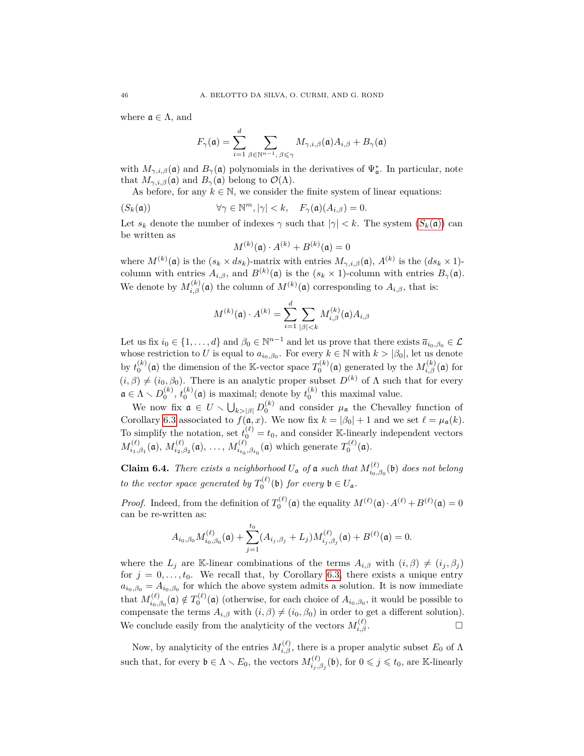where  $\mathfrak{a} \in \Lambda$ , and

$$
F_{\gamma}(\mathfrak{a}) = \sum_{i=1}^d \sum_{\beta \in \mathbb{N}^{n-1}, \beta \leq \gamma} M_{\gamma, i, \beta}(\mathfrak{a}) A_{i, \beta} + B_{\gamma}(\mathfrak{a})
$$

with  $M_{\gamma,i,\beta}(\mathfrak{a})$  and  $B_{\gamma}(\mathfrak{a})$  polynomials in the derivatives of  $\Psi_{\mathfrak{a}}^*$ . In particular, note that  $M_{\gamma,i,\beta}(\mathfrak{a})$  and  $B_{\gamma}(\mathfrak{a})$  belong to  $\mathcal{O}(\Lambda)$ .

As before, for any  $k \in \mathbb{N}$ , we consider the finite system of linear equations:

<span id="page-45-0"></span> $(\mathcal{S}_k(\mathfrak{a}))$   $\forall \gamma \in \mathbb{N}^m, |\gamma| < k, \quad F_\gamma(\mathfrak{a})(A_{i,\beta}) = 0.$ 

Let  $s_k$  denote the number of indexes  $\gamma$  such that  $|\gamma| < k$ . The system  $(S_k(\mathfrak{a}))$  $(S_k(\mathfrak{a}))$  $(S_k(\mathfrak{a}))$  can be written as

$$
M^{(k)}(\mathfrak{a}) \cdot A^{(k)} + B^{(k)}(\mathfrak{a}) = 0
$$

where  $M^{(k)}(\mathfrak{a})$  is the  $(s_k \times ds_k)$ -matrix with entries  $M_{\gamma,i,\beta}(\mathfrak{a})$ ,  $A^{(k)}$  is the  $(ds_k \times 1)$ column with entries  $A_{i,\beta}$ , and  $B^{(k)}(\mathfrak{a})$  is the  $(s_k \times 1)$ -column with entries  $B_{\gamma}(\mathfrak{a})$ . We denote by  $M_{i,\beta}^{(k)}(\mathfrak{a})$  the column of  $M^{(k)}(\mathfrak{a})$  corresponding to  $A_{i,\beta}$ , that is:

$$
M^{(k)}(\mathfrak{a}) \cdot A^{(k)} = \sum_{i=1}^{d} \sum_{|\beta| < k} M_{i,\beta}^{(k)}(\mathfrak{a}) A_{i,\beta}
$$

Let us fix  $i_0 \in \{1, ..., d\}$  and  $\beta_0 \in \mathbb{N}^{n-1}$  and let us prove that there exists  $\overline{a}_{i_0, \beta_0} \in \mathcal{L}$ whose restriction to *U* is equal to  $a_{i_0,\beta_0}$ . For every  $k \in \mathbb{N}$  with  $k > |\beta_0|$ , let us denote by  $t_0^{(k)}(\mathfrak{a})$  the dimension of the K-vector space  $T_0^{(k)}(\mathfrak{a})$  generated by the  $M_{i,\beta}^{(k)}(\mathfrak{a})$  for  $(i, \beta) \neq (i_0, \beta_0)$ . There is an analytic proper subset  $D^{(k)}$  of  $\Lambda$  such that for every  $\mathfrak{a} \in \Lambda \setminus D_0^{(k)}$ ,  $t_0^{(k)}(\mathfrak{a})$  is maximal; denote by  $t_0^{(k)}$  this maximal value.

We now fix  $\mathfrak{a} \in U \setminus \bigcup_{k>|\beta|} D_0^{(k)}$  and consider  $\mu_{\mathfrak{a}}$  the Chevalley function of Corollary [6.3](#page-43-5) associated to  $f(\mathfrak{a}, x)$ . We now fix  $k = |\beta_0| + 1$  and we set  $\ell = \mu_{\mathfrak{a}}(k)$ . To simplify the notation, set  $t_0^{(\ell)} = t_0$ , and consider K-linearly independent vectors  $M_i^{(\ell)}$  $\hat{M}^{(\ell)}_{i_1,\beta_1}(\mathfrak{a}),\,M^{(\ell)}_{i_2,\beta_2}$  $\chi_{i_2,\beta_2}^{(\ell)}(\mathfrak{a}),\ldots, M_{i_{t_0}}^{(\ell)}$  $T_{i_{t_0},\beta_{t_0}}^{(\ell)}(\mathfrak{a})$  which generate  $T_0^{(\ell)}(\mathfrak{a})$ .

<span id="page-45-1"></span>**Claim 6.4.** *There exists a neighborhood*  $U_a$  *of*  $a$  *such that*  $M_{i_0}^{(\ell)}$  $\int_{i_0,\beta_0}^{(\ell)}(\mathfrak{b})$  *does not belong to the vector space generated by*  $T_0^{(\ell)}(\mathfrak{b})$  *for every*  $\mathfrak{b} \in U_{\mathfrak{a}}$ *.* 

*Proof.* Indeed, from the definition of  $T_0^{(\ell)}(\mathfrak{a})$  the equality  $M^{(\ell)}(\mathfrak{a}) \cdot A^{(\ell)} + B^{(\ell)}(\mathfrak{a}) = 0$ can be re-written as:

$$
A_{i_0,\beta_0} M_{i_0,\beta_0}^{(\ell)}(\mathfrak{a}) + \sum_{j=1}^{t_0} (A_{i_j,\beta_j} + L_j) M_{i_j,\beta_j}^{(\ell)}(\mathfrak{a}) + B^{(\ell)}(\mathfrak{a}) = 0.
$$

where the  $L_j$  are K-linear combinations of the terms  $A_{i,\beta}$  with  $(i,\beta) \neq (i_j,\beta_j)$ for  $j = 0, \ldots, t_0$ . We recall that, by Corollary [6.3,](#page-43-5) there exists a unique entry  $a_{i_0,\beta_0} = A_{i_0,\beta_0}$  for which the above system admits a solution. It is now immediate that  $M^{(\ell)}_{i_0}$  $\chi_{i_0,\beta_0}^{(\ell)}(\mathfrak{a}) \notin T_0^{(\ell)}(\mathfrak{a})$  (otherwise, for each choice of  $A_{i_0,\beta_0}$ , it would be possible to compensate the terms  $A_{i,\beta}$  with  $(i,\beta) \neq (i_0,\beta_0)$  in order to get a different solution). We conclude easily from the analyticity of the vectors  $M_{i,\beta}^{(\ell)}$ .

Now, by analyticity of the entries  $M_{i,\beta}^{(\ell)}$ , there is a proper analytic subset  $E_0$  of  $\Lambda$ such that, for every  $\mathfrak{b} \in \Lambda \setminus E_0$ , the vectors  $M_{i,j}^{(\ell)}$  $i_j^{(\ell)}$ <sub>*i*</sub>, $\beta_j$ </sub>(b), for  $0 \leqslant j \leqslant t_0$ , are K-linearly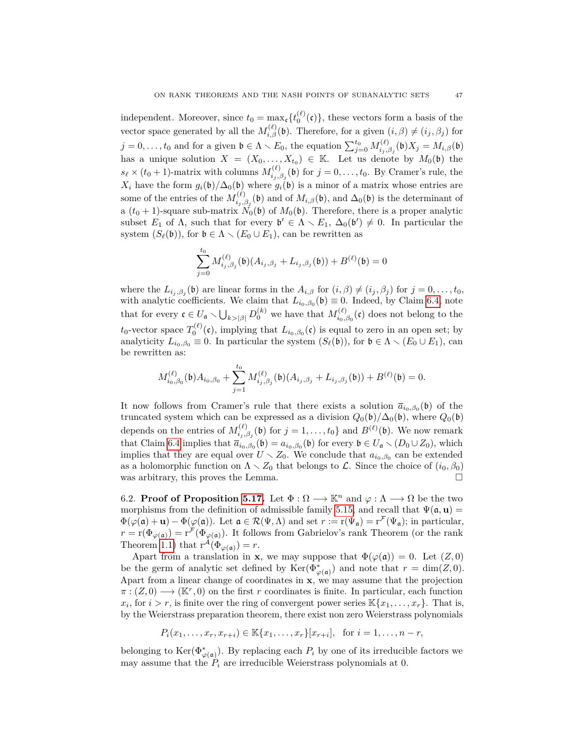independent. Moreover, since  $t_0 = \max_{\mathbf{c}} \{ t_0^{(\ell)}(\mathbf{c}) \}$ , these vectors form a basis of the vector space generated by all the  $M_{i,\beta}^{(\ell)}(\mathfrak{b})$ . Therefore, for a given  $(i,\beta) \neq (i_j,\beta_j)$  for  $j = 0, \ldots, t_0$  and for a given  $\mathfrak{b} \in \Lambda \setminus E_0$ , the equation  $\sum_{j=0}^{t_0} M_{i_j,j}^{(\ell)}$ *i*<sub>*i*</sub>, $β_j$ </sub>(b) $X_j = M_{i,β}$ (b) has a unique solution  $X = (X_0, \ldots, X_{t_0}) \in \mathbb{K}$ . Let us denote by  $M_0(\mathfrak{b})$  the  $s_{\ell} \times (t_0 + 1)$ -matrix with columns  $M_{i_1,i_2}^{(\ell)}$  $i_{j,\beta_j}^{(\ell)}(\mathfrak{b})$  for  $j = 0, \ldots, t_0$ . By Cramer's rule, the *X*<sub>*i*</sub> have the form  $g_i(\mathfrak{b})/\Delta_0(\mathfrak{b})$  where  $g_i(\mathfrak{b})$  is a minor of a matrix whose entries are some of the entries of the  $M_i^{(\ell)}$  $\hat{h}_{i,j,\beta_j}^{(\ell)}(\mathfrak{b})$  and of  $M_{i,\beta}(\mathfrak{b})$ , and  $\Delta_0(\mathfrak{b})$  is the determinant of a  $(t_0 + 1)$ -square sub-matrix  $N_0(\mathfrak{b})$  of  $M_0(\mathfrak{b})$ . Therefore, there is a proper analytic subset  $E_1$  of  $\Lambda$ , such that for every  $\mathfrak{b}' \in \Lambda \setminus E_1$ ,  $\Delta_0(\mathfrak{b}') \neq 0$ . In particular the system  $(S_\ell(\mathfrak{b}))$ , for  $\mathfrak{b} \in \Lambda \setminus (E_0 \cup E_1)$ , can be rewritten as

$$
\sum_{j=0}^{t_0} M_{i_j,\beta_j}^{(\ell)}(\mathfrak{b})(A_{i_j,\beta_j} + L_{i_j,\beta_j}(\mathfrak{b})) + B^{(\ell)}(\mathfrak{b}) = 0
$$

where the  $L_{i_j, \beta_j}(\mathfrak{b})$  are linear forms in the  $A_{i,\beta}$  for  $(i, \beta) \neq (i_j, \beta_j)$  for  $j = 0, \ldots, t_0$ , with analytic coefficients. We claim that  $L_{i_0,\beta_0}(\mathfrak{b}) \equiv 0$ . Indeed, by Claim [6.4,](#page-45-1) note that for every  $\mathfrak{c} \in U_{\mathfrak{a}} \setminus \bigcup_{k>|\beta|} D_0^{(k)}$  we have that  $M_{i_0,i_0}^{(\ell)}$  $\int_{i_0,\beta_0}^{(\ell)}(\mathfrak{c})$  does not belong to the  $t_0$ -vector space  $T_0^{(\ell)}(\mathfrak{c})$ , implying that  $L_{i_0,\beta_0}(\mathfrak{c})$  is equal to zero in an open set; by analyticity  $L_{i_0,\beta_0} \equiv 0$ . In particular the system  $(S_\ell(\mathfrak{b}))$ , for  $\mathfrak{b} \in \Lambda \setminus (E_0 \cup E_1)$ , can be rewritten as:

$$
M_{i_0,\beta_0}^{(\ell)}(\mathfrak{b})A_{i_0,\beta_0} + \sum_{j=1}^{t_0} M_{i_j,\beta_j}^{(\ell)}(\mathfrak{b})(A_{i_j,\beta_j} + L_{i_j,\beta_j}(\mathfrak{b})) + B^{(\ell)}(\mathfrak{b}) = 0.
$$

It now follows from Cramer's rule that there exists a solution  $\bar{a}_{i_0,\beta_0}(\mathfrak{b})$  of the truncated system which can be expressed as a division  $Q_0(\mathfrak{b})/\Delta_0(\mathfrak{b})$ , where  $Q_0(\mathfrak{b})$ depends on the entries of  $M_i^{(\ell)}$  $i_j^{(\ell)}(b)$  for  $j = 1, ..., t_0$  and  $B^{(\ell)}(b)$ . We now remark that Claim [6.4](#page-45-1) implies that  $\overline{a}_{i_0,\beta_0}(\mathfrak{b}) = a_{i_0,\beta_0}(\mathfrak{b})$  for every  $\mathfrak{b} \in U_{\mathfrak{a}} \setminus (D_0 \cup Z_0)$ , which implies that they are equal over  $U \setminus Z_0$ . We conclude that  $a_{i_0,\beta_0}$  can be extended as a holomorphic function on  $\Lambda \setminus Z_0$  that belongs to L. Since the choice of  $(i_0, \beta_0)$ was arbitrary, this proves the Lemma.

6.2. **Proof of Proposition [5.17.](#page-36-2)** Let  $\Phi : \Omega \longrightarrow \mathbb{K}^n$  and  $\varphi : \Lambda \longrightarrow \Omega$  be the two morphisms from the definition of admissible family [5.15,](#page-35-1) and recall that  $\Psi(\mathfrak{a}, \mathbf{u}) =$  $\Phi(\varphi(\mathfrak{a}) + \mathbf{u}) - \Phi(\varphi(\mathfrak{a}))$ . Let  $\mathfrak{a} \in \mathcal{R}(\Psi, \Lambda)$  and set  $r := r(\Psi_{\mathfrak{a}}) = r^{\mathcal{F}}(\Psi_{\mathfrak{a}})$ ; in particular,  $r = r(\Phi_{\varphi(\mathfrak{a})}) = r^{\mathcal{F}}(\Phi_{\varphi(\mathfrak{a})})$ . It follows from Gabrielov's rank Theorem (or the rank Theorem [1.1\)](#page-1-0) that  $r^{\mathcal{A}}(\Phi_{\varphi(\mathfrak{a})}) = r$ .

Apart from a translation in **x**, we may suppose that  $\Phi(\varphi(\mathfrak{a})) = 0$ . Let  $(Z, 0)$ be the germ of analytic set defined by  $\text{Ker}(\Phi_{\varphi(\mathfrak{a})}^*)$  and note that  $r = \dim(Z, 0)$ . Apart from a linear change of coordinates in **x**, we may assume that the projection  $\pi$ :  $(Z,0) \longrightarrow (\mathbb{K}^r,0)$  on the first *r* coordinates is finite. In particular, each function  $x_i$ , for  $i > r$ , is finite over the ring of convergent power series  $\mathbb{K}\{x_1, \ldots, x_r\}$ . That is, by the Weierstrass preparation theorem, there exist non zero Weierstrass polynomials

$$
P_i(x_1, \ldots, x_r, x_{r+i}) \in \mathbb{K}\{x_1, \ldots, x_r\}[x_{r+i}], \text{ for } i = 1, \ldots, n-r,
$$

belonging to  $\text{Ker}(\Phi_{\varphi(\mathfrak{a})}^*)$ . By replacing each  $P_i$  by one of its irreducible factors we may assume that the  $P_i$  are irreducible Weierstrass polynomials at 0.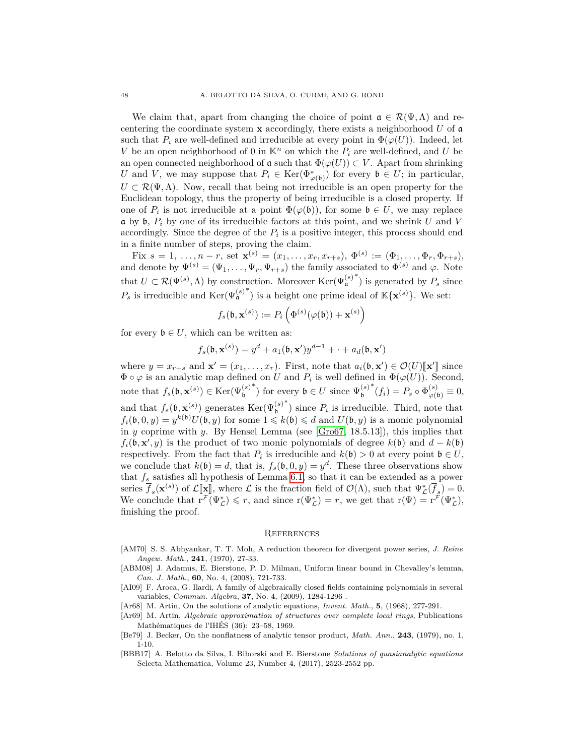We claim that, apart from changing the choice of point  $\mathfrak{a} \in \mathcal{R}(\Psi,\Lambda)$  and recentering the coordinate system **x** accordingly, there exists a neighborhood *U* of a such that  $P_i$  are well-defined and irreducible at every point in  $\Phi(\varphi(U))$ . Indeed, let *V* be an open neighborhood of 0 in  $\mathbb{K}^n$  on which the  $P_i$  are well-defined, and *U* be an open connected neighborhood of  $\mathfrak{a}$  such that  $\Phi(\varphi(U)) \subset V$ . Apart from shrinking *U* and *V*, we may suppose that  $P_i \in \text{Ker}(\Phi_{\varphi(\mathfrak{b})}^*)$  for every  $\mathfrak{b} \in U$ ; in particular,  $U \subset \mathcal{R}(\Psi,\Lambda)$ . Now, recall that being not irreducible is an open property for the Euclidean topology, thus the property of being irreducible is a closed property. If one of  $P_i$  is not irreducible at a point  $\Phi(\varphi(\mathfrak{b}))$ , for some  $\mathfrak{b} \in U$ , we may replace  $\mathfrak{a}$  by  $\mathfrak{b}$ ,  $P_i$  by one of its irreducible factors at this point, and we shrink *U* and *V* accordingly. Since the degree of the  $P_i$  is a positive integer, this process should end in a finite number of steps, proving the claim.

 $\text{Fix } s = 1, \ldots, n-r, \text{ set } \mathbf{x}^{(s)} = (x_1, \ldots, x_r, x_{r+s}), \ \Phi^{(s)} := (\Phi_1, \ldots, \Phi_r, \Phi_{r+s}),$ and denote by  $\Psi^{(s)} = (\Psi_1, \dots, \Psi_r, \Psi_{r+s})$  the family associated to  $\Phi^{(s)}$  and  $\varphi$ . Note that  $U \subset \mathcal{R}(\Psi^{(s)}, \Lambda)$  by construction. Moreover  $\text{Ker}(\Psi^{(s)}_{\mathfrak{a}})$  $*$ ) is generated by  $P_s$  since  $P_s$  is irreducible and  $\text{Ker}(\Psi_{\mathfrak{a}}^{(s)})$ <sup>\*</sup>) is a height one prime ideal of  $\mathbb{K}\{\mathbf{x}^{(s)}\}$ . We set:

$$
f_s(\mathfrak{b}, \mathbf{x}^{(s)}) := P_i\left(\Phi^{(s)}(\varphi(\mathfrak{b})) + \mathbf{x}^{(s)}\right)
$$

for every  $\mathfrak{b} \in U$ , which can be written as:

$$
f_s(\mathfrak{b}, \mathbf{x}^{(s)}) = y^d + a_1(\mathfrak{b}, \mathbf{x}')y^{d-1} + \dots + a_d(\mathfrak{b}, \mathbf{x}')
$$

where  $y = x_{r+s}$  and  $\mathbf{x}' = (x_1, \ldots, x_r)$ . First, note that  $a_i(\mathfrak{b}, \mathbf{x}') \in \mathcal{O}(U)[\mathbf{x}']$  since  $\Phi$  are specified in  $\Phi(a(\mathfrak{b}, \mathfrak{b}))$ . Second  $\Phi \circ \varphi$  is an analytic map defined on *U* and  $P_i$  is well defined in  $\Phi(\varphi(U))$ . Second, note that  $f_s(\mathfrak{b}, \mathbf{x}^{(s)}) \in \text{Ker}(\Psi_{\mathfrak{b}}^{(s)})$ b <sup>\*</sup>) for every  $\mathfrak{b} \in U$  since  $\Psi_{\mathfrak{b}}^{(s)}$ b  $^*(f_i) = P_s \circ \Phi_{\varphi(\mathfrak{b})}^{(s)} \equiv 0,$ and that  $f_s(\mathfrak{b}, \mathbf{x}^{(s)})$  generates  $\text{Ker}(\Psi_{\mathfrak{b}}^{(s)})$ b  $*$ ) since  $P_i$  is irreducible. Third, note that  $f_i(\mathfrak{b}, 0, y) = y^{k(\mathfrak{b})} U(\mathfrak{b}, y)$  for some  $1 \leqslant k(\mathfrak{b}) \leqslant d$  and  $U(\mathfrak{b}, y)$  is a monic polynomial in *y* coprime with *y*. By Hensel Lemma (see [\[Gro67,](#page-48-21) 18.5.13]), this implies that  $f_i(\mathfrak{b}, \mathbf{x}', y)$  is the product of two monic polynomials of degree  $k(\mathfrak{b})$  and  $d - k(\mathfrak{b})$ respectively. From the fact that  $P_i$  is irreducible and  $k(\mathfrak{b}) > 0$  at every point  $\mathfrak{b} \in U$ , we conclude that  $k(\mathfrak{b}) = d$ , that is,  $f_s(\mathfrak{b}, 0, y) = y^d$ . These three observations show that *f<sup>s</sup>* satisfies all hypothesis of Lemma [6.1,](#page-42-0) so that it can be extended as a power series  $\overline{f}_s(\mathbf{x}^{(s)})$  of  $\mathcal{L}[\mathbf{x}]$ , where  $\mathcal{L}$  is the fraction field of  $\mathcal{O}(\Lambda)$ , such that  $\Psi^*_\mathcal{L}(\overline{f}_s) = 0$ .<br>We conclude that  $\mathbf{x}^{\mathcal{F}}(\mathbf{u}^*) \leq x$  and since  $\mathbf{x}^{(1)}(\mathbf{x}^*) = x$  we get that  $\$ We conclude that  $\overline{r^{\mathcal{F}}}(\Psi_{\mathcal{L}}^{*}) \leq r$ , and since  $r(\Psi_{\mathcal{L}}^{*}) = r$ , we get that  $r(\Psi) = \overline{r^{\mathcal{F}}}(\Psi_{\mathcal{L}}^{*})$ , finishing the proof.

#### **REFERENCES**

- <span id="page-47-3"></span>[AM70] S. S. Abhyankar, T. T. Moh, A reduction theorem for divergent power series, *J. Reine Angew. Math.*, **241**, (1970), 27-33.
- [ABM08] J. Adamus, E. Bierstone, P. D. Milman, Uniform linear bound in Chevalley's lemma, *Can. J. Math.*, **60**, No. 4, (2008), 721-733.
- <span id="page-47-4"></span>[AI09] F. Aroca, G. Ilardi, A family of algebraically closed fields containing polynomials in several variables, *Commun. Algebra*, **37**, No. 4, (2009), 1284-1296 .
- <span id="page-47-0"></span>[Ar68] M. Artin, On the solutions of analytic equations, *Invent. Math.*, **5**, (1968), 277-291.
- <span id="page-47-1"></span>[Ar69] M. Artin, *Algebraic approximation of structures over complete local rings*, Publications Mathématiques de l'IHÉS (36): 23–58, 1969.
- [Be79] J. Becker, On the nonflatness of analytic tensor product, *Math. Ann.*, **243**, (1979), no. 1, 1-10.
- <span id="page-47-2"></span>[BBB17] A. Belotto da Silva, I. Biborski and E. Bierstone *Solutions of quasianalytic equations* Selecta Mathematica, Volume 23, Number 4, (2017), 2523-2552 pp.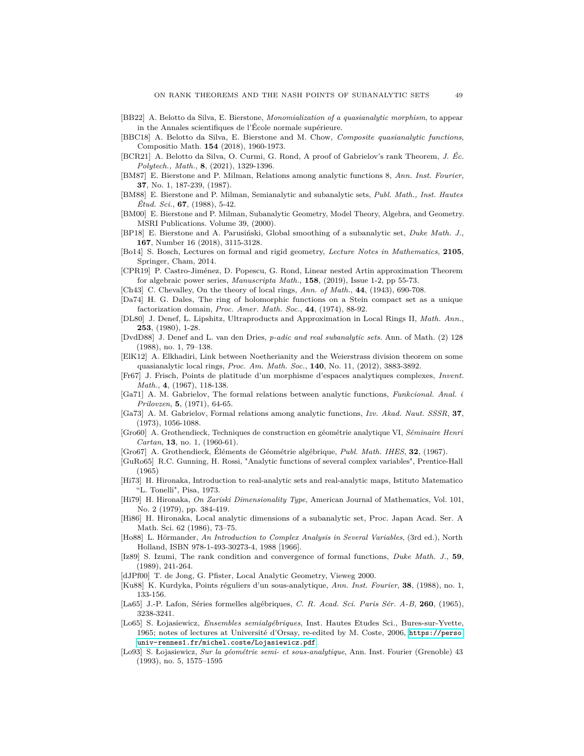- <span id="page-48-10"></span>[BB22] A. Belotto da Silva, E. Bierstone, *Monomialization of a quasianalytic morphism*, to appear in the Annales scientifiques de l'École normale supérieure.
- <span id="page-48-11"></span>[BBC18] A. Belotto da Silva, E. Bierstone and M. Chow, *Composite quasianalytic functions*, Compositio Math. **154** (2018), 1960-1973.
- <span id="page-48-2"></span>[BCR21] A. Belotto da Silva, O. Curmi, G. Rond, A proof of Gabrielov's rank Theorem, *J. Éc. Polytech., Math.*, **8**, (2021), 1329-1396.
- <span id="page-48-19"></span>[BM87] E. Bierstone and P. Milman, Relations among analytic functions 8, *Ann. Inst. Fourier*, **37**, No. 1, 187-239, (1987).
- <span id="page-48-7"></span>[BM88] E. Bierstone and P. Milman, Semianalytic and subanalytic sets, *Publ. Math., Inst. Hautes Étud. Sci.*, **67**, (1988), 5-42.
- [BM00] E. Bierstone and P. Milman, Subanalytic Geometry, Model Theory, Algebra, and Geometry. MSRI Publications. Volume 39, (2000).
- [BP18] E. Bierstone and A. Parusiński, Global smoothing of a subanalytic set, *Duke Math. J.*, **167**, Number 16 (2018), 3115-3128.
- [Bo14] S. Bosch, Lectures on formal and rigid geometry, *Lecture Notes in Mathematics*, **2105**, Springer, Cham, 2014.
- <span id="page-48-14"></span>[CPR19] P. Castro-Jiménez, D. Popescu, G. Rond, Linear nested Artin approximation Theorem for algebraic power series, *Manuscripta Math.*, **158**, (2019), Issue 1-2, pp 55-73.
- <span id="page-48-20"></span>[Ch43] C. Chevalley, On the theory of local rings, *Ann. of Math.*, **44**, (1943), 690-708.
- <span id="page-48-15"></span>[Da74] H. G. Dales, The ring of holomorphic functions on a Stein compact set as a unique factorization domain, *Proc. Amer. Math. Soc.*, **44**, (1974), 88-92.
- <span id="page-48-0"></span>[DL80] J. Denef, L. Lipshitz, Ultraproducts and Approximation in Local Rings II, *Math. Ann.*, **253**, (1980), 1-28.
- <span id="page-48-5"></span>[DvdD88] J. Denef and L. van den Dries, *p-adic and real subanalytic sets*. Ann. of Math. (2) 128 (1988), no. 1, 79–138.
- [ElK12] A. Elkhadiri, Link between Noetherianity and the Weierstrass division theorem on some quasianalytic local rings, *Proc. Am. Math. Soc.*, **140**, No. 11, (2012), 3883-3892.
- [Fr67] J. Frisch, Points de platitude d'un morphisme d'espaces analytiques complexes, *Invent. Math.*, **4**, (1967), 118-138.
- <span id="page-48-18"></span>[Ga71] A. M. Gabrielov, The formal relations between analytic functions, *Funkcional. Anal. i Prilovzen*, **5**, (1971), 64-65.
- <span id="page-48-1"></span>[Ga73] A. M. Gabrielov, Formal relations among analytic functions, *Izv. Akad. Naut. SSSR*, **37**, (1973), 1056-1088.
- [Gro60] A. Grothendieck, Techniques de construction en géométrie analytique VI, *Séminaire Henri Cartan*, **13**, no. 1, (1960-61).
- <span id="page-48-21"></span>[Gro67] A. Grothendieck, Éléments de Géométrie algébrique, *Publ. Math. IHES*, **32**, (1967).
- <span id="page-48-16"></span>[GuRo65] R.C. Gunning, H. Rossi, "Analytic functions of several complex variables", Prentice-Hall (1965)
- <span id="page-48-9"></span>[Hi73] H. Hironaka, Introduction to real-analytic sets and real-analytic maps, Istituto Matematico "L. Tonelli", Pisa, 1973.
- <span id="page-48-3"></span>[Hi79] H. Hironaka, *On Zariski Dimensionality Type*, American Journal of Mathematics, Vol. 101, No. 2 (1979), pp. 384-419.
- [Hi86] H. Hironaka, Local analytic dimensions of a subanalytic set, Proc. Japan Acad. Ser. A Math. Sci. 62 (1986), 73–75.
- <span id="page-48-17"></span>[Ho88] L. Hörmander, *An Introduction to Complex Analysis in Several Variables*, (3rd ed.), North Holland, ISBN 978-1-493-30273-4, 1988 [1966].
- <span id="page-48-6"></span>[Iz89] S. Izumi, The rank condition and convergence of formal functions, *Duke Math. J.*, **59**, (1989), 241-264.
- <span id="page-48-12"></span>[dJPf00] T. de Jong, G. Pfister, Local Analytic Geometry, Vieweg 2000.
- [Ku88] K. Kurdyka, Points réguliers d'un sous-analytique, *Ann. Inst. Fourier*, **38**, (1988), no. 1, 133-156.
- <span id="page-48-13"></span>[La65] J.-P. Lafon, Séries formelles algébriques, *C. R. Acad. Sci. Paris Sér. A-B*, **260**, (1965), 3238-3241.
- <span id="page-48-8"></span>[Lo65] S. Łojasiewicz, *Ensembles semialgébriques*, Inst. Hautes Etudes Sci., Bures-sur-Yvette, 1965; notes of lectures at Université d'Orsay, re-edited by M. Coste, 2006, [https://perso.](https://perso.univ-rennes1.fr/michel.coste/Lojasiewicz.pdf) [univ-rennes1.fr/michel.coste/Lojasiewicz.pdf](https://perso.univ-rennes1.fr/michel.coste/Lojasiewicz.pdf).
- <span id="page-48-4"></span>[Lo93] S. Łojasiewicz, *Sur la géométrie semi- et sous-analytique*, Ann. Inst. Fourier (Grenoble) 43 (1993), no. 5, 1575–1595